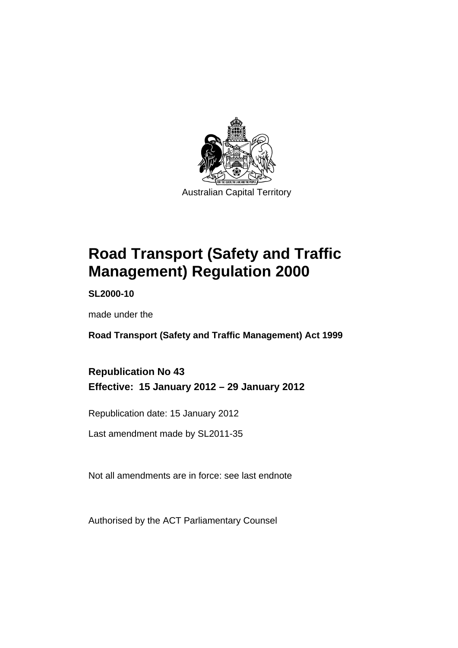

# **Road Transport (Safety and Traffic Management) Regulation 2000**

**SL2000-10** 

made under the

**Road Transport (Safety and Traffic Management) Act 1999** 

# **Republication No 43 Effective: 15 January 2012 – 29 January 2012**

Republication date: 15 January 2012

Last amendment made by SL2011-35

Not all amendments are in force: see last endnote

Authorised by the ACT Parliamentary Counsel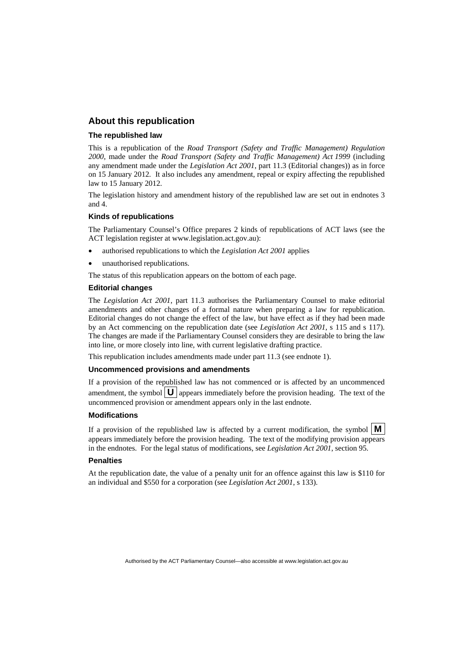### **About this republication**

### **The republished law**

This is a republication of the *Road Transport (Safety and Traffic Management) Regulation 2000*, made under the *Road Transport (Safety and Traffic Management) Act 1999* (including any amendment made under the *Legislation Act 2001*, part 11.3 (Editorial changes)) as in force on 15 January 2012*.* It also includes any amendment, repeal or expiry affecting the republished law to 15 January 2012.

The legislation history and amendment history of the republished law are set out in endnotes 3 and 4.

### **Kinds of republications**

The Parliamentary Counsel's Office prepares 2 kinds of republications of ACT laws (see the ACT legislation register at www.legislation.act.gov.au):

- authorised republications to which the *Legislation Act 2001* applies
- unauthorised republications.

The status of this republication appears on the bottom of each page.

### **Editorial changes**

The *Legislation Act 2001*, part 11.3 authorises the Parliamentary Counsel to make editorial amendments and other changes of a formal nature when preparing a law for republication. Editorial changes do not change the effect of the law, but have effect as if they had been made by an Act commencing on the republication date (see *Legislation Act 2001*, s 115 and s 117). The changes are made if the Parliamentary Counsel considers they are desirable to bring the law into line, or more closely into line, with current legislative drafting practice.

This republication includes amendments made under part 11.3 (see endnote 1).

### **Uncommenced provisions and amendments**

If a provision of the republished law has not commenced or is affected by an uncommenced amendment, the symbol  $\mathbf{U}$  appears immediately before the provision heading. The text of the uncommenced provision or amendment appears only in the last endnote.

### **Modifications**

If a provision of the republished law is affected by a current modification, the symbol  $\vert \mathbf{M} \vert$ appears immediately before the provision heading. The text of the modifying provision appears in the endnotes. For the legal status of modifications, see *Legislation Act 2001*, section 95.

### **Penalties**

At the republication date, the value of a penalty unit for an offence against this law is \$110 for an individual and \$550 for a corporation (see *Legislation Act 2001*, s 133).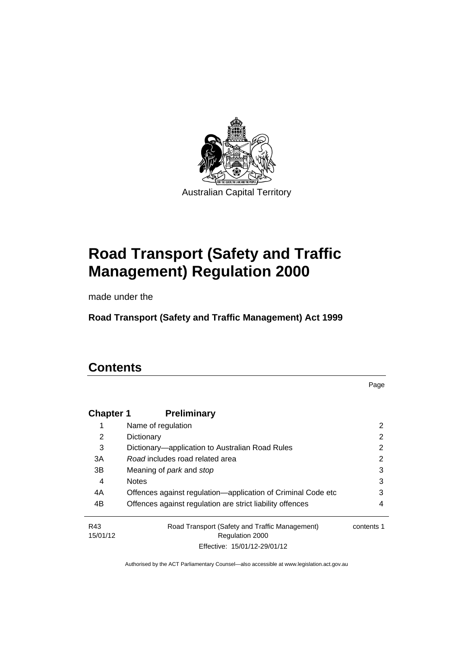

# **Road Transport (Safety and Traffic Management) Regulation 2000**

made under the

**Road Transport (Safety and Traffic Management) Act 1999** 

# **Contents**

Page

| <b>Chapter 1</b> | <b>Preliminary</b>                                                |            |
|------------------|-------------------------------------------------------------------|------------|
| 1                | Name of regulation                                                | 2          |
| 2                | Dictionary                                                        | 2          |
| 3                | Dictionary—application to Australian Road Rules                   | 2          |
| 3A               | Road includes road related area                                   | 2          |
| 3B               | Meaning of <i>park</i> and <i>stop</i>                            | 3          |
| 4                | <b>Notes</b>                                                      | 3          |
| 4A               | Offences against regulation-application of Criminal Code etc      | 3          |
| 4B               | Offences against regulation are strict liability offences         | 4          |
| R43<br>15/01/12  | Road Transport (Safety and Traffic Management)<br>Regulation 2000 | contents 1 |
|                  | Effective: 15/01/12-29/01/12                                      |            |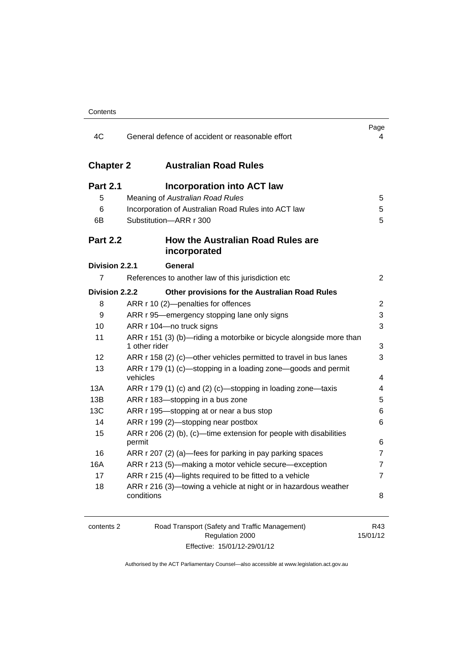| 4C               | General defence of accident or reasonable effort                                     | Page<br>4               |
|------------------|--------------------------------------------------------------------------------------|-------------------------|
| <b>Chapter 2</b> | <b>Australian Road Rules</b>                                                         |                         |
| <b>Part 2.1</b>  | <b>Incorporation into ACT law</b>                                                    |                         |
| 5                | Meaning of Australian Road Rules                                                     | 5                       |
| 6                | Incorporation of Australian Road Rules into ACT law                                  | 5                       |
| 6В               | Substitution-ARR r 300                                                               | 5                       |
| <b>Part 2.2</b>  | <b>How the Australian Road Rules are</b><br>incorporated                             |                         |
| Division 2.2.1   | General                                                                              |                         |
| 7                | References to another law of this jurisdiction etc                                   | $\overline{2}$          |
| Division 2.2.2   | Other provisions for the Australian Road Rules                                       |                         |
| 8                | ARR r 10 (2)-penalties for offences                                                  | $\overline{2}$          |
| 9                | ARR r 95—emergency stopping lane only signs                                          | 3                       |
| 10               | ARR r 104-no truck signs                                                             | 3                       |
| 11               | ARR r 151 (3) (b)-riding a motorbike or bicycle alongside more than<br>1 other rider | 3                       |
| 12               | ARR r 158 (2) (c)—other vehicles permitted to travel in bus lanes                    | 3                       |
| 13               | ARR r 179 (1) (c)—stopping in a loading zone—goods and permit<br>vehicles            | $\overline{\mathbf{4}}$ |
| 13A              | ARR r 179 (1) (c) and (2) (c)—stopping in loading zone—taxis                         | 4                       |
| 13B              | ARR r 183—stopping in a bus zone                                                     | 5                       |
| <b>13C</b>       | ARR r 195-stopping at or near a bus stop                                             | 6                       |
| 14               | ARR r 199 (2)-stopping near postbox                                                  | 6                       |
| 15               | ARR r 206 (2) (b), (c)—time extension for people with disabilities<br>permit         | 6                       |
| 16               | ARR r 207 (2) (a)-fees for parking in pay parking spaces                             | $\overline{7}$          |
| 16A              | ARR r 213 (5)-making a motor vehicle secure-exception                                | $\overline{7}$          |
| 17               | ARR r 215 (4)-lights required to be fitted to a vehicle                              | $\overline{7}$          |
| 18               | ARR r 216 (3)—towing a vehicle at night or in hazardous weather<br>conditions        | 8                       |

| contents 2 |  |  |
|------------|--|--|
|            |  |  |

2 Road Transport (Safety and Traffic Management) Regulation 2000 Effective: 15/01/12-29/01/12

R43 15/01/12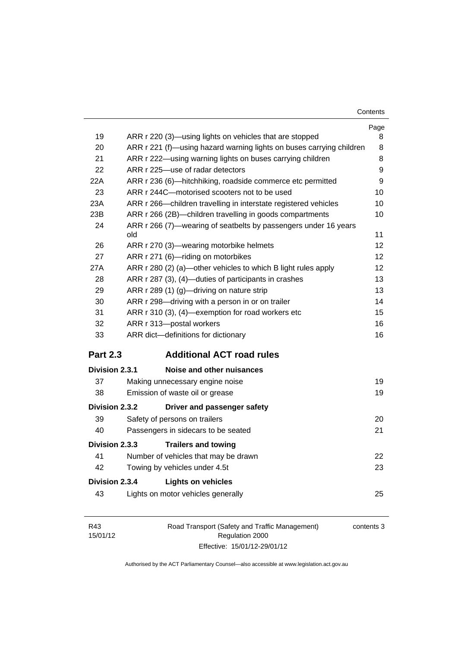| Contents |
|----------|
|----------|

|                       |                                                                        | Page |
|-----------------------|------------------------------------------------------------------------|------|
| 19                    | ARR r 220 (3)—using lights on vehicles that are stopped                | 8    |
| 20                    | ARR r 221 (f)—using hazard warning lights on buses carrying children   | 8    |
| 21                    | ARR r 222—using warning lights on buses carrying children              | 8    |
| 22                    | ARR r 225-use of radar detectors                                       | 9    |
| 22A                   | ARR r 236 (6)—hitchhiking, roadside commerce etc permitted             | 9    |
| 23                    | ARR r 244C-motorised scooters not to be used                           | 10   |
| 23A                   | ARR r 266-children travelling in interstate registered vehicles        | 10   |
| 23B                   | ARR r 266 (2B)—children travelling in goods compartments               | 10   |
| 24                    | ARR r 266 (7)-wearing of seatbelts by passengers under 16 years<br>old | 11   |
| 26                    | ARR r 270 (3)—wearing motorbike helmets                                | 12   |
| 27                    | ARR r 271 (6)-riding on motorbikes                                     | 12   |
| 27A                   | ARR r 280 (2) (a)—other vehicles to which B light rules apply          | 12   |
| 28                    | ARR r 287 (3), (4)—duties of participants in crashes                   | 13   |
| 29                    | ARR r 289 (1) (g)-driving on nature strip                              | 13   |
| 30                    | ARR r 298-driving with a person in or on trailer                       | 14   |
| 31                    | ARR r 310 (3), (4)-exemption for road workers etc                      | 15   |
| 32                    | ARR r 313-postal workers                                               | 16   |
| 33                    | ARR dict-definitions for dictionary                                    | 16   |
| <b>Part 2.3</b>       | <b>Additional ACT road rules</b>                                       |      |
| Division 2.3.1        | Noise and other nuisances                                              |      |
| 37                    | Making unnecessary engine noise                                        | 19   |
| 38                    | Emission of waste oil or grease                                        | 19   |
| <b>Division 2.3.2</b> | Driver and passenger safety                                            |      |
| 39                    | Safety of persons on trailers                                          | 20   |
| 40                    | Passengers in sidecars to be seated                                    | 21   |
| Division 2.3.3        | <b>Trailers and towing</b>                                             |      |
| 41                    | Number of vehicles that may be drawn                                   | 22   |
| 42                    | Towing by vehicles under 4.5t                                          | 23   |
| <b>Division 2.3.4</b> | <b>Lights on vehicles</b>                                              |      |
| 43                    | Lights on motor vehicles generally                                     | 25   |
|                       |                                                                        |      |

| R43      | Road Transport (Safety and Traffic Management) | contents 3 |
|----------|------------------------------------------------|------------|
| 15/01/12 | Regulation 2000                                |            |
|          | Effective: 15/01/12-29/01/12                   |            |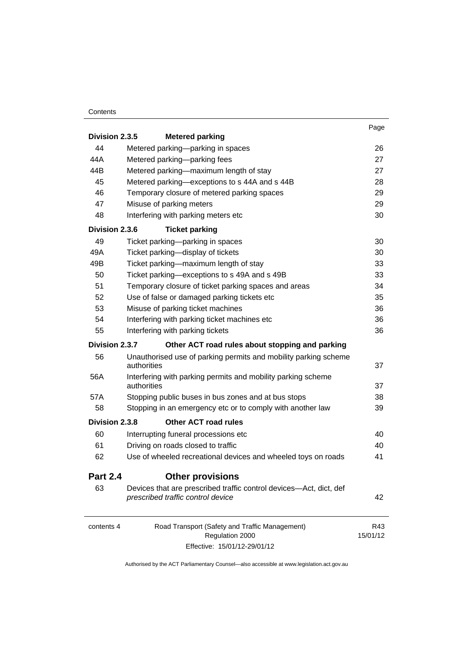### **Contents**

|                 |                                                                                                         | Page            |
|-----------------|---------------------------------------------------------------------------------------------------------|-----------------|
| Division 2.3.5  | <b>Metered parking</b>                                                                                  |                 |
| 44              | Metered parking-parking in spaces                                                                       | 26              |
| 44A             | Metered parking-parking fees                                                                            | 27              |
| 44B             | Metered parking-maximum length of stay                                                                  | 27              |
| 45              | Metered parking-exceptions to s 44A and s 44B                                                           | 28              |
| 46              | Temporary closure of metered parking spaces                                                             | 29              |
| 47              | Misuse of parking meters                                                                                | 29              |
| 48              | Interfering with parking meters etc                                                                     | 30              |
| Division 2.3.6  | <b>Ticket parking</b>                                                                                   |                 |
| 49              | Ticket parking-parking in spaces                                                                        | 30              |
| 49A             | Ticket parking-display of tickets                                                                       | 30              |
| 49B             | Ticket parking-maximum length of stay                                                                   | 33              |
| 50              | Ticket parking-exceptions to s 49A and s 49B                                                            | 33              |
| 51              | Temporary closure of ticket parking spaces and areas                                                    | 34              |
| 52              | Use of false or damaged parking tickets etc                                                             | 35              |
| 53              | Misuse of parking ticket machines                                                                       | 36              |
| 54              | Interfering with parking ticket machines etc                                                            | 36              |
| 55              | Interfering with parking tickets                                                                        | 36              |
| Division 2.3.7  | Other ACT road rules about stopping and parking                                                         |                 |
| 56              | Unauthorised use of parking permits and mobility parking scheme<br>authorities                          | 37              |
| 56A             | Interfering with parking permits and mobility parking scheme<br>authorities                             | 37              |
| 57A             | Stopping public buses in bus zones and at bus stops                                                     | 38              |
| 58              | Stopping in an emergency etc or to comply with another law                                              | 39              |
| Division 2.3.8  | <b>Other ACT road rules</b>                                                                             |                 |
| 60              | Interrupting funeral processions etc                                                                    | 40              |
| 61              | Driving on roads closed to traffic                                                                      | 40              |
| 62              | Use of wheeled recreational devices and wheeled toys on roads                                           | 41              |
| <b>Part 2.4</b> | <b>Other provisions</b>                                                                                 |                 |
| 63              | Devices that are prescribed traffic control devices—Act, dict, def<br>prescribed traffic control device | 42              |
| contents 4      | Road Transport (Safety and Traffic Management)<br>Regulation 2000                                       | R43<br>15/01/12 |

Effective: 15/01/12-29/01/12

15/01/12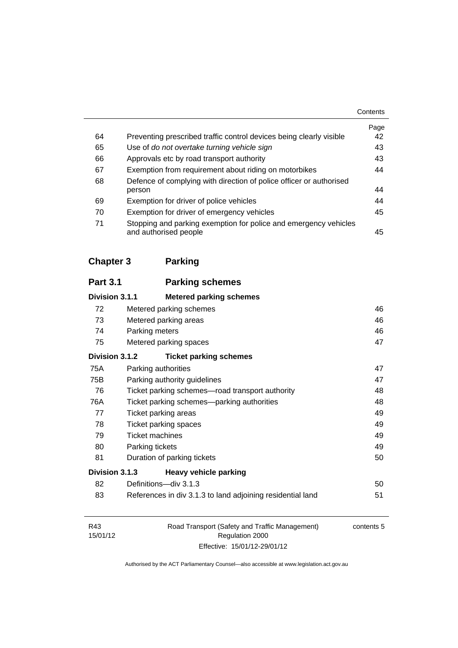|    |                                                                                           | Contents |
|----|-------------------------------------------------------------------------------------------|----------|
|    |                                                                                           | Page     |
| 64 | Preventing prescribed traffic control devices being clearly visible                       | 42       |
| 65 | Use of do not overtake turning vehicle sign                                               | 43       |
| 66 | Approvals etc by road transport authority                                                 | 43       |
| 67 | Exemption from requirement about riding on motorbikes                                     | 44       |
| 68 | Defence of complying with direction of police officer or authorised                       |          |
|    | person                                                                                    | 44       |
| 69 | Exemption for driver of police vehicles                                                   | 44       |
| 70 | Exemption for driver of emergency vehicles                                                | 45       |
| 71 | Stopping and parking exemption for police and emergency vehicles<br>and authorised people | 45       |

**[Chapter 3](#page-64-0) Parking**

| <b>Part 3.1</b> | <b>Parking schemes</b>                                     |    |
|-----------------|------------------------------------------------------------|----|
| Division 3.1.1  | <b>Metered parking schemes</b>                             |    |
| 72              | Metered parking schemes                                    | 46 |
| 73              | Metered parking areas                                      | 46 |
| 74              | Parking meters                                             | 46 |
| 75              | Metered parking spaces                                     | 47 |
| Division 3.1.2  | <b>Ticket parking schemes</b>                              |    |
| 75A             | Parking authorities                                        | 47 |
| 75B             | Parking authority guidelines                               | 47 |
| 76              | Ticket parking schemes—road transport authority            | 48 |
| 76A             | Ticket parking schemes—parking authorities                 | 48 |
| 77              | Ticket parking areas                                       | 49 |
| 78              | Ticket parking spaces                                      | 49 |
| 79              | <b>Ticket machines</b>                                     | 49 |
| 80              | Parking tickets                                            | 49 |
| 81              | Duration of parking tickets                                | 50 |
| Division 3.1.3  | <b>Heavy vehicle parking</b>                               |    |
| 82              | Definitions-div 3.1.3                                      | 50 |
| 83              | References in div 3.1.3 to land adjoining residential land | 51 |

| R43      | Road Transport (Safety and Traffic Management) | contents 5 |
|----------|------------------------------------------------|------------|
| 15/01/12 | Regulation 2000                                |            |
|          | Effective: 15/01/12-29/01/12                   |            |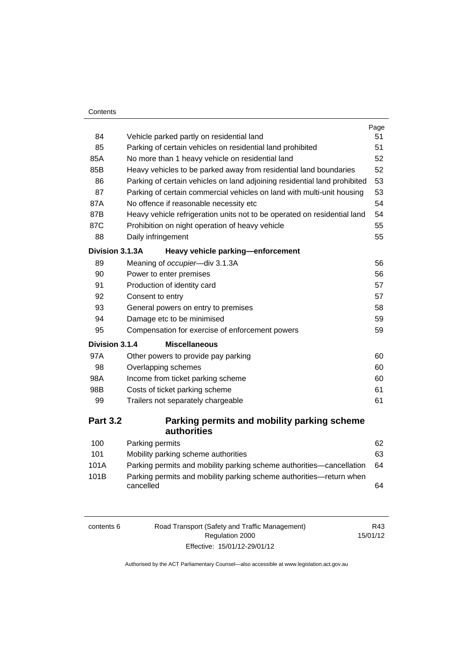### **Contents**

| 84              | Vehicle parked partly on residential land                                        | Page<br>51 |
|-----------------|----------------------------------------------------------------------------------|------------|
| 85              | Parking of certain vehicles on residential land prohibited                       | 51         |
| 85A             | No more than 1 heavy vehicle on residential land                                 | 52         |
| 85B             | Heavy vehicles to be parked away from residential land boundaries                | 52         |
| 86              | Parking of certain vehicles on land adjoining residential land prohibited        | 53         |
| 87              | Parking of certain commercial vehicles on land with multi-unit housing           | 53         |
| 87A             | No offence if reasonable necessity etc                                           | 54         |
| 87B             | Heavy vehicle refrigeration units not to be operated on residential land         | 54         |
| 87C             | Prohibition on night operation of heavy vehicle                                  | 55         |
| 88              | Daily infringement                                                               | 55         |
| Division 3.1.3A | Heavy vehicle parking-enforcement                                                |            |
| 89              | Meaning of occupier-div 3.1.3A                                                   | 56         |
| 90              | Power to enter premises                                                          | 56         |
| 91              | Production of identity card                                                      | 57         |
| 92              | Consent to entry                                                                 | 57         |
| 93              | General powers on entry to premises                                              | 58         |
| 94              | Damage etc to be minimised                                                       | 59         |
| 95              | Compensation for exercise of enforcement powers                                  | 59         |
| Division 3.1.4  | <b>Miscellaneous</b>                                                             |            |
| 97A             | Other powers to provide pay parking                                              | 60         |
| 98              | Overlapping schemes                                                              | 60         |
| 98A             | Income from ticket parking scheme                                                | 60         |
| 98B             | Costs of ticket parking scheme                                                   | 61         |
| 99              | Trailers not separately chargeable                                               | 61         |
| <b>Part 3.2</b> | Parking permits and mobility parking scheme<br>authorities                       |            |
| 100             | Parking permits                                                                  | 62         |
| 101             | Mobility parking scheme authorities                                              | 63         |
| 101A            | Parking permits and mobility parking scheme authorities—cancellation             | 64         |
| 101B            | Parking permits and mobility parking scheme authorities-return when<br>cancelled | 64         |

6 Road Transport (Safety and Traffic Management) Regulation 2000 Effective: 15/01/12-29/01/12

R43 15/01/12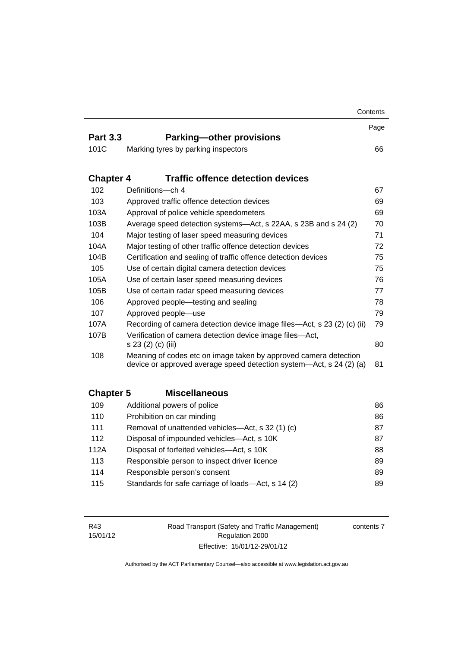|                  |                                                                                                                                         | Contents |
|------------------|-----------------------------------------------------------------------------------------------------------------------------------------|----------|
|                  |                                                                                                                                         | Page     |
| <b>Part 3.3</b>  | <b>Parking-other provisions</b>                                                                                                         |          |
| 101C             | Marking tyres by parking inspectors                                                                                                     | 66       |
| <b>Chapter 4</b> | <b>Traffic offence detection devices</b>                                                                                                |          |
| 102              | Definitions-ch 4                                                                                                                        | 67       |
| 103              | Approved traffic offence detection devices                                                                                              | 69       |
| 103A             | Approval of police vehicle speedometers                                                                                                 | 69       |
| 103B             | Average speed detection systems—Act, s 22AA, s 23B and s 24 (2)                                                                         | 70       |
| 104              | Major testing of laser speed measuring devices                                                                                          | 71       |
| 104A             | Major testing of other traffic offence detection devices                                                                                | 72       |
| 104B             | Certification and sealing of traffic offence detection devices                                                                          | 75       |
| 105              | Use of certain digital camera detection devices                                                                                         | 75       |
| 105A             | Use of certain laser speed measuring devices                                                                                            | 76       |
| 105B             | Use of certain radar speed measuring devices                                                                                            | 77       |
| 106              | Approved people-testing and sealing                                                                                                     | 78       |
| 107              | Approved people-use                                                                                                                     | 79       |
| 107A             | Recording of camera detection device image files-Act, s 23 (2) (c) (ii)                                                                 | 79       |
| 107B             | Verification of camera detection device image files-Act,<br>s 23 (2) (c) (iii)                                                          | 80       |
| 108              | Meaning of codes etc on image taken by approved camera detection<br>device or approved average speed detection system—Act, s 24 (2) (a) | 81       |
| <b>Chapter 5</b> | <b>Miscellaneous</b>                                                                                                                    |          |
| 109              | Additional powers of police                                                                                                             | 86       |
| 110              | Prohibition on car minding                                                                                                              | 86       |
| 111              | Removal of unattended vehicles—Act, s 32 (1) (c)                                                                                        | 87       |
| 112              | Disposal of impounded vehicles-Act, s 10K                                                                                               | 87       |
| 112A             | Disposal of forfeited vehicles-Act, s 10K                                                                                               | 88       |
| 113              | Responsible person to inspect driver licence                                                                                            | 89       |
| 114              | Responsible person's consent                                                                                                            | 89       |
|                  |                                                                                                                                         |          |

| 115 | Standards for safe carriage of loads—Act, s 14 (2) | 89 |
|-----|----------------------------------------------------|----|
|-----|----------------------------------------------------|----|

| R43                         | Road Transport (Safety and Traffic Management) | contents 7 |
|-----------------------------|------------------------------------------------|------------|
| 15/01/12<br>Regulation 2000 |                                                |            |
|                             | Effective: 15/01/12-29/01/12                   |            |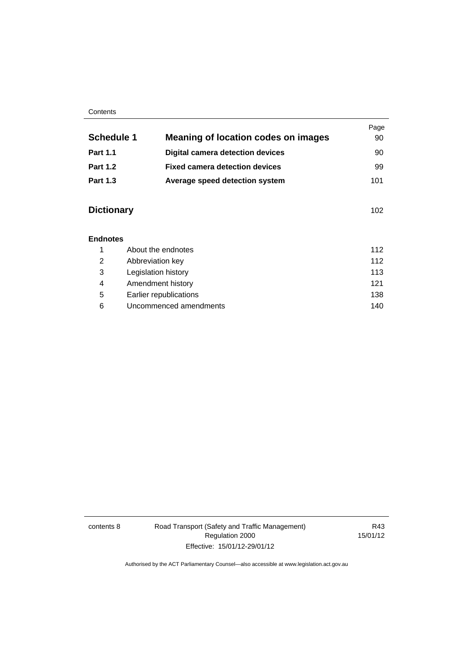### **Contents**

| <b>Schedule 1</b> | <b>Meaning of location codes on images</b> | Page<br>90 |
|-------------------|--------------------------------------------|------------|
|                   |                                            |            |
| <b>Part 1.1</b>   | <b>Digital camera detection devices</b>    | 90         |
| <b>Part 1.2</b>   | <b>Fixed camera detection devices</b>      | 99         |
| <b>Part 1.3</b>   | Average speed detection system             | 101        |
|                   |                                            |            |

## **Dictionary** [102](#page-120-0)

### **[Endnotes](#page-131-0)**

|   | About the endnotes     | 112 |
|---|------------------------|-----|
| 2 | Abbreviation key       | 112 |
| 3 | Legislation history    | 113 |
| 4 | Amendment history      | 121 |
| 5 | Earlier republications | 138 |
| 6 | Uncommenced amendments | 140 |

contents 8 Road Transport (Safety and Traffic Management) Regulation 2000 Effective: 15/01/12-29/01/12

R43 15/01/12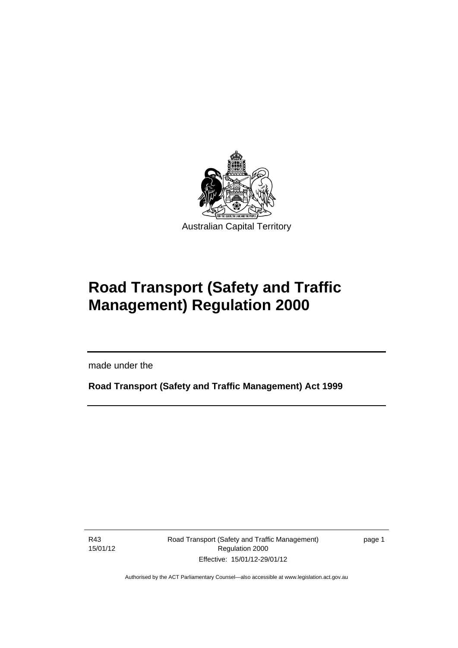

# **Road Transport (Safety and Traffic Management) Regulation 2000**

made under the

**Road Transport (Safety and Traffic Management) Act 1999** 

R43 15/01/12

Ī

Road Transport (Safety and Traffic Management) Regulation 2000 Effective: 15/01/12-29/01/12

page 1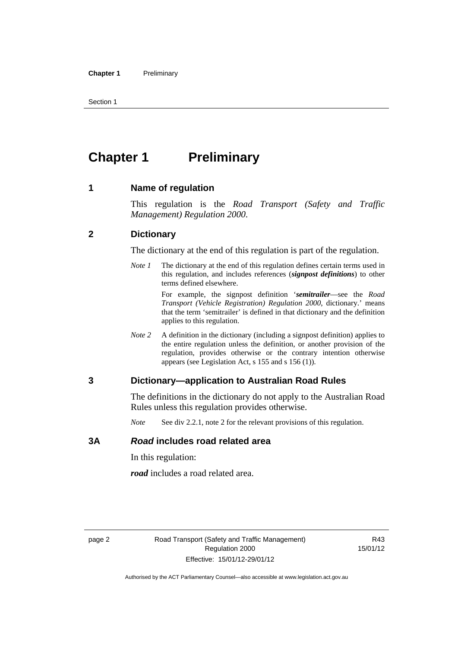Section 1

# <span id="page-11-0"></span>**Chapter 1 Preliminary**

### <span id="page-11-1"></span>**1 Name of regulation**

This regulation is the *Road Transport (Safety and Traffic Management) Regulation 2000*.

### <span id="page-11-2"></span>**2 Dictionary**

The dictionary at the end of this regulation is part of the regulation.

*Note 1* The dictionary at the end of this regulation defines certain terms used in this regulation, and includes references (*signpost definitions*) to other terms defined elsewhere.

> For example, the signpost definition '*semitrailer*—see the *Road Transport (Vehicle Registration) Regulation 2000*, dictionary.' means that the term 'semitrailer' is defined in that dictionary and the definition applies to this regulation.

*Note* 2 A definition in the dictionary (including a signpost definition) applies to the entire regulation unless the definition, or another provision of the regulation, provides otherwise or the contrary intention otherwise appears (see Legislation Act, s 155 and s 156 (1)).

### <span id="page-11-3"></span>**3 Dictionary—application to Australian Road Rules**

The definitions in the dictionary do not apply to the Australian Road Rules unless this regulation provides otherwise.

*Note* See div 2.2.1, note 2 for the relevant provisions of this regulation.

### <span id="page-11-4"></span>**3A** *Road* **includes road related area**

In this regulation:

*road* includes a road related area.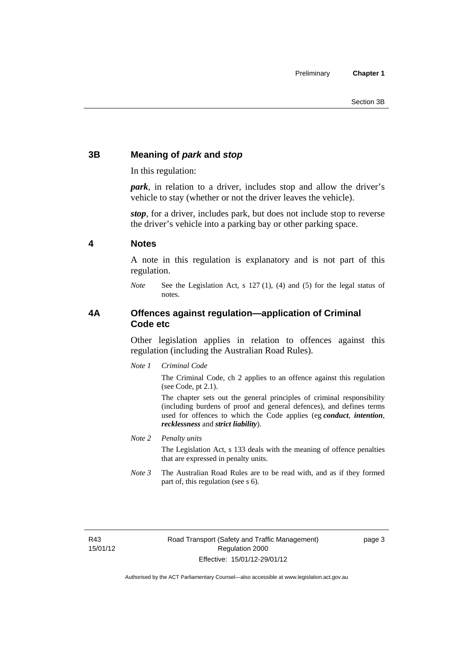### <span id="page-12-0"></span>**3B Meaning of** *park* **and** *stop*

In this regulation:

*park*, in relation to a driver, includes stop and allow the driver's vehicle to stay (whether or not the driver leaves the vehicle).

*stop*, for a driver, includes park, but does not include stop to reverse the driver's vehicle into a parking bay or other parking space.

### <span id="page-12-1"></span>**4 Notes**

A note in this regulation is explanatory and is not part of this regulation.

*Note* See the Legislation Act, s 127 (1), (4) and (5) for the legal status of notes.

### <span id="page-12-2"></span>**4A Offences against regulation—application of Criminal Code etc**

Other legislation applies in relation to offences against this regulation (including the Australian Road Rules).

*Note 1 Criminal Code*

The Criminal Code, ch 2 applies to an offence against this regulation (see Code, pt 2.1).

The chapter sets out the general principles of criminal responsibility (including burdens of proof and general defences), and defines terms used for offences to which the Code applies (eg *conduct*, *intention*, *recklessness* and *strict liability*).

*Note 2 Penalty units* 

The Legislation Act, s 133 deals with the meaning of offence penalties that are expressed in penalty units.

*Note 3* The Australian Road Rules are to be read with, and as if they formed part of, this regulation (see s 6).

R43 15/01/12 page 3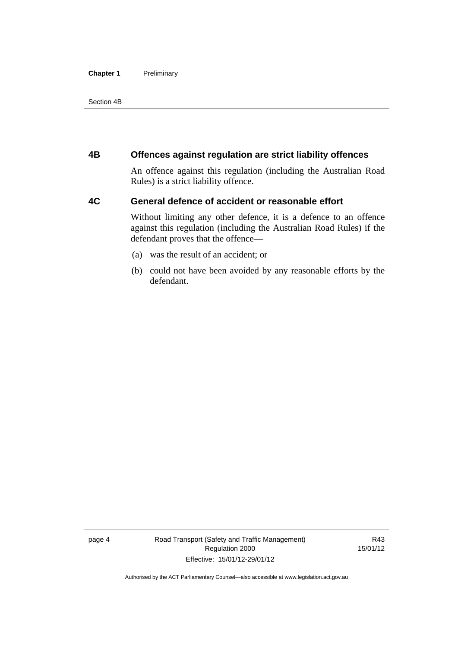### **Chapter 1** Preliminary

Section 4B

### <span id="page-13-0"></span>**4B Offences against regulation are strict liability offences**

An offence against this regulation (including the Australian Road Rules) is a strict liability offence.

### <span id="page-13-1"></span>**4C General defence of accident or reasonable effort**

Without limiting any other defence, it is a defence to an offence against this regulation (including the Australian Road Rules) if the defendant proves that the offence—

- (a) was the result of an accident; or
- (b) could not have been avoided by any reasonable efforts by the defendant.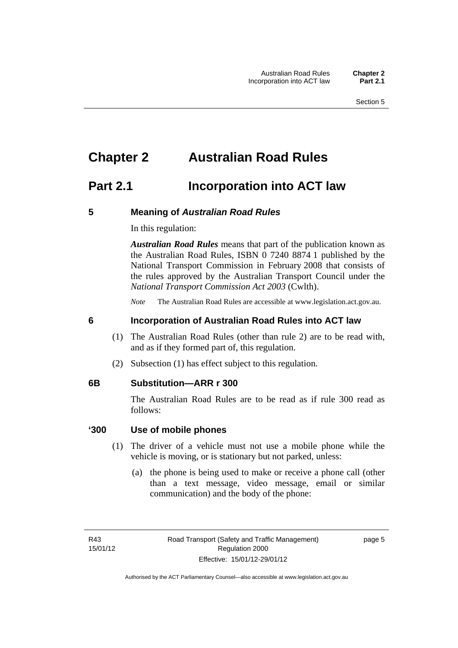# <span id="page-14-0"></span>**Chapter 2 Australian Road Rules**

## <span id="page-14-1"></span>**Part 2.1 Incorporation into ACT law**

### <span id="page-14-2"></span>**5 Meaning of** *Australian Road Rules*

In this regulation:

*Australian Road Rules* means that part of the publication known as the Australian Road Rules, ISBN 0 7240 8874 1 published by the National Transport Commission in February 2008 that consists of the rules approved by the Australian Transport Council under the *National Transport Commission Act 2003* (Cwlth).

*Note* The Australian Road Rules are accessible at www.legislation.act.gov.au.

### <span id="page-14-3"></span>**6 Incorporation of Australian Road Rules into ACT law**

- (1) The Australian Road Rules (other than rule 2) are to be read with, and as if they formed part of, this regulation.
- (2) Subsection (1) has effect subject to this regulation.

### <span id="page-14-4"></span>**6B Substitution—ARR r 300**

The Australian Road Rules are to be read as if rule 300 read as follows:

### **'300 Use of mobile phones**

- (1) The driver of a vehicle must not use a mobile phone while the vehicle is moving, or is stationary but not parked, unless:
	- (a) the phone is being used to make or receive a phone call (other than a text message, video message, email or similar communication) and the body of the phone:

page 5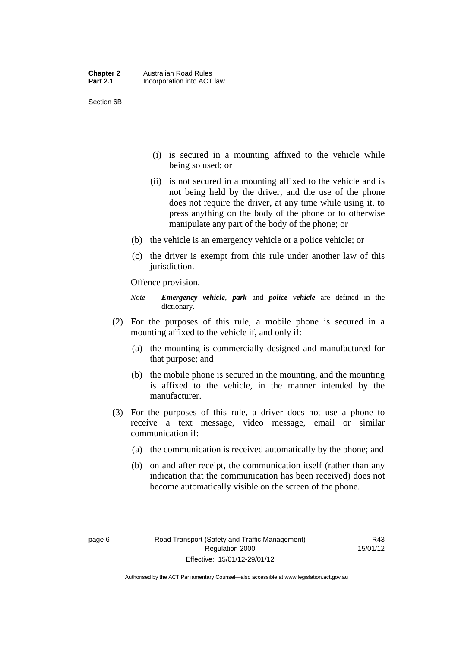| <b>Chapter 2</b> | <b>Australian Road Rules</b> |
|------------------|------------------------------|
| <b>Part 2.1</b>  | Incorporation into ACT law   |

Section 6B

- (i) is secured in a mounting affixed to the vehicle while being so used; or
- (ii) is not secured in a mounting affixed to the vehicle and is not being held by the driver, and the use of the phone does not require the driver, at any time while using it, to press anything on the body of the phone or to otherwise manipulate any part of the body of the phone; or
- (b) the vehicle is an emergency vehicle or a police vehicle; or
- (c) the driver is exempt from this rule under another law of this jurisdiction.

Offence provision.

*Note Emergency vehicle*, *park* and *police vehicle* are defined in the dictionary.

- (2) For the purposes of this rule, a mobile phone is secured in a mounting affixed to the vehicle if, and only if:
	- (a) the mounting is commercially designed and manufactured for that purpose; and
	- (b) the mobile phone is secured in the mounting, and the mounting is affixed to the vehicle, in the manner intended by the manufacturer.
- (3) For the purposes of this rule, a driver does not use a phone to receive a text message, video message, email or similar communication if:
	- (a) the communication is received automatically by the phone; and
	- (b) on and after receipt, the communication itself (rather than any indication that the communication has been received) does not become automatically visible on the screen of the phone.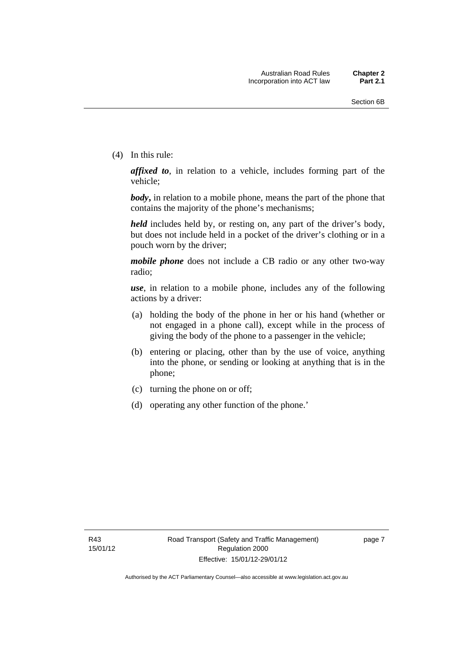(4) In this rule:

*affixed to*, in relation to a vehicle, includes forming part of the vehicle;

*body***,** in relation to a mobile phone, means the part of the phone that contains the majority of the phone's mechanisms;

*held* includes held by, or resting on, any part of the driver's body, but does not include held in a pocket of the driver's clothing or in a pouch worn by the driver;

*mobile phone* does not include a CB radio or any other two-way radio;

*use*, in relation to a mobile phone, includes any of the following actions by a driver:

- (a) holding the body of the phone in her or his hand (whether or not engaged in a phone call), except while in the process of giving the body of the phone to a passenger in the vehicle;
- (b) entering or placing, other than by the use of voice, anything into the phone, or sending or looking at anything that is in the phone;
- (c) turning the phone on or off;
- (d) operating any other function of the phone.'

page 7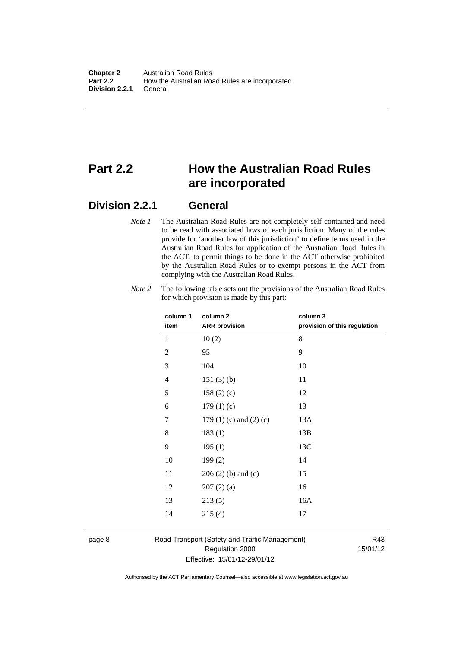## <span id="page-17-0"></span>**Part 2.2 How the Australian Road Rules are incorporated**

### <span id="page-17-1"></span>**Division 2.2.1 General**

*Note 1* The Australian Road Rules are not completely self-contained and need to be read with associated laws of each jurisdiction. Many of the rules provide for 'another law of this jurisdiction' to define terms used in the Australian Road Rules for application of the Australian Road Rules in the ACT, to permit things to be done in the ACT otherwise prohibited by the Australian Road Rules or to exempt persons in the ACT from complying with the Australian Road Rules.

| column 1<br>item | column <sub>2</sub><br><b>ARR</b> provision | column 3<br>provision of this regulation |
|------------------|---------------------------------------------|------------------------------------------|
| 1                | 10(2)                                       | 8                                        |
| $\mathfrak{2}$   | 95                                          | 9                                        |
| 3                | 104                                         | 10                                       |
| 4                | 151(3)(b)                                   | 11                                       |
| 5                | 158(2)(c)                                   | 12                                       |
| 6                | 179(1)(c)                                   | 13                                       |
| 7                | 179 $(1)$ $(c)$ and $(2)$ $(c)$             | 13A                                      |
| 8                | 183(1)                                      | 13B                                      |
| 9                | 195(1)                                      | 13C                                      |
| 10               | 199(2)                                      | 14                                       |
| 11               | $206(2)$ (b) and (c)                        | 15                                       |
| 12               | 207(2)(a)                                   | 16                                       |
| 13               | 213(5)                                      | 16A                                      |
| 14               | 215(4)                                      | 17                                       |
|                  |                                             |                                          |

*Note 2* The following table sets out the provisions of the Australian Road Rules for which provision is made by this part:

### page 8 Road Transport (Safety and Traffic Management) Regulation 2000 Effective: 15/01/12-29/01/12

R43 15/01/12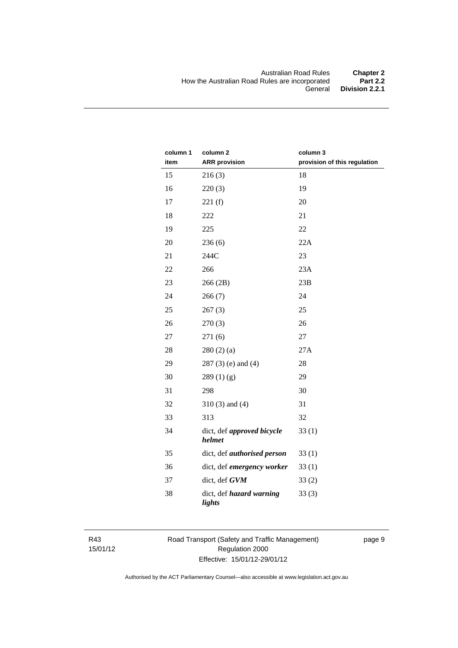| column 1 | column <sub>2</sub>                  | column 3                     |
|----------|--------------------------------------|------------------------------|
| item     | <b>ARR</b> provision                 | provision of this regulation |
| 15       | 216(3)                               | 18                           |
| 16       | 220(3)                               | 19                           |
| 17       | 221(f)                               | 20                           |
| 18       | 222                                  | 21                           |
| 19       | 225                                  | 22                           |
| 20       | 236(6)                               | 22A                          |
| 21       | 244C                                 | 23                           |
| 22       | 266                                  | 23A                          |
| 23       | 266 (2B)                             | 23B                          |
| 24       | 266(7)                               | 24                           |
| 25       | 267(3)                               | 25                           |
| 26       | 270(3)                               | 26                           |
| 27       | 271(6)                               | 27                           |
| 28       | 280(2)(a)                            | 27A                          |
| 29       | $287(3)$ (e) and (4)                 | 28                           |
| 30       | 289(1)(g)                            | 29                           |
| 31       | 298                                  | 30                           |
| 32       | $310(3)$ and $(4)$                   | 31                           |
| 33       | 313                                  | 32                           |
| 34       | dict, def approved bicycle<br>helmet | 33(1)                        |
| 35       | dict, def <i>authorised</i> person   | 33(1)                        |
| 36       | dict, def emergency worker           | 33(1)                        |
| 37       | dict, def GVM                        | 33(2)                        |
| 38       | dict, def hazard warning<br>lights   | 33(3)                        |

R43 15/01/12 Road Transport (Safety and Traffic Management) Regulation 2000 Effective: 15/01/12-29/01/12

page 9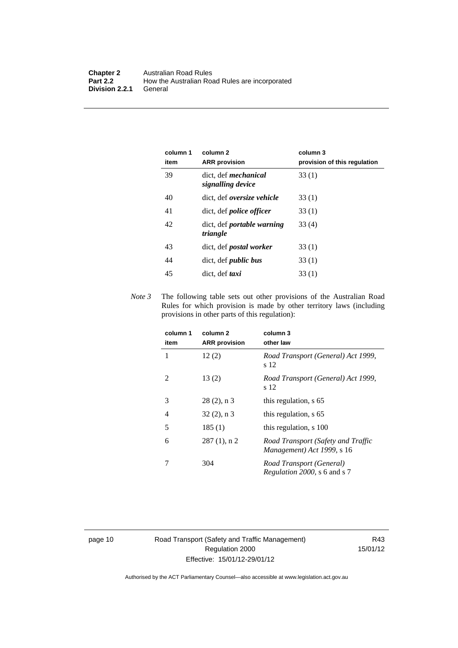| column 1<br>item | column 2<br><b>ARR</b> provision                 | column 3<br>provision of this regulation |
|------------------|--------------------------------------------------|------------------------------------------|
| 39               | dict. def <i>mechanical</i><br>signalling device | 33(1)                                    |
| 40               | dict, def <i>oversize</i> vehicle                | 33(1)                                    |
| 41               | dict, def <i>police officer</i>                  | 33(1)                                    |
| 42               | dict, def <i>portable</i> warning<br>triangle    | 33 (4)                                   |
| 43               | dict, def <i>postal</i> worker                   | 33(1)                                    |
| 44               | dict, def <i>public bus</i>                      | 33(1)                                    |
| 45               | dict. def <i>taxi</i>                            | 33(1)                                    |

*Note 3* The following table sets out other provisions of the Australian Road Rules for which provision is made by other territory laws (including provisions in other parts of this regulation):

| column 1<br>item | column 2<br><b>ARR</b> provision | column 3<br>other law                                            |
|------------------|----------------------------------|------------------------------------------------------------------|
| 1                | 12(2)                            | Road Transport (General) Act 1999,<br>s 12                       |
| $\mathfrak{D}$   | 13(2)                            | Road Transport (General) Act 1999,<br>s 12                       |
| 3                | $28(2)$ , n 3                    | this regulation, s 65                                            |
| 4                | $32(2)$ , n 3                    | this regulation, s 65                                            |
| 5                | 185(1)                           | this regulation, s 100                                           |
| 6                | $287(1)$ , n 2                   | Road Transport (Safety and Traffic<br>Management) Act 1999, s 16 |
|                  | 304                              | Road Transport (General)<br><i>Regulation 2000</i> , s 6 and s 7 |

page 10 Road Transport (Safety and Traffic Management) Regulation 2000 Effective: 15/01/12-29/01/12

R43 15/01/12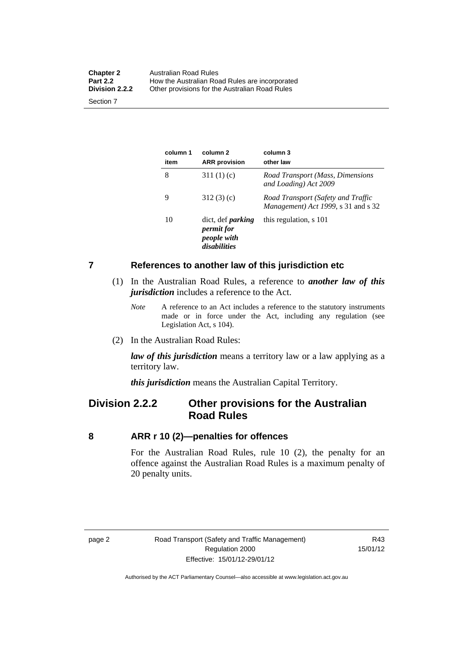| <b>Chapter 2</b><br><b>Part 2.2</b> | Australian Road Rules<br>How the Australian Road Rules are incorporated |
|-------------------------------------|-------------------------------------------------------------------------|
| Division 2.2.2                      | Other provisions for the Australian Road Rules                          |
| Section 7                           |                                                                         |

**column 1 item column 2 ARR provision column 3 other law**  8 311 (1) (c) *Road Transport (Mass, Dimensions and Loading) Act 2009*  9 312 (3) (c) *Road Transport (Safety and Traffic Management) Act 1999*, s 31 and s 32 10 dict, def *parking permit for people with disabilities* this regulation, s 101

### <span id="page-20-0"></span>**7 References to another law of this jurisdiction etc**

- (1) In the Australian Road Rules, a reference to *another law of this jurisdiction* includes a reference to the Act.
	- *Note* A reference to an Act includes a reference to the statutory instruments made or in force under the Act, including any regulation (see Legislation Act, s 104).
- (2) In the Australian Road Rules:

*law of this jurisdiction* means a territory law or a law applying as a territory law.

*this jurisdiction* means the Australian Capital Territory.

### <span id="page-20-1"></span>**Division 2.2.2 Other provisions for the Australian Road Rules**

### <span id="page-20-2"></span>**8 ARR r 10 (2)—penalties for offences**

For the Australian Road Rules, rule 10 (2), the penalty for an offence against the Australian Road Rules is a maximum penalty of 20 penalty units.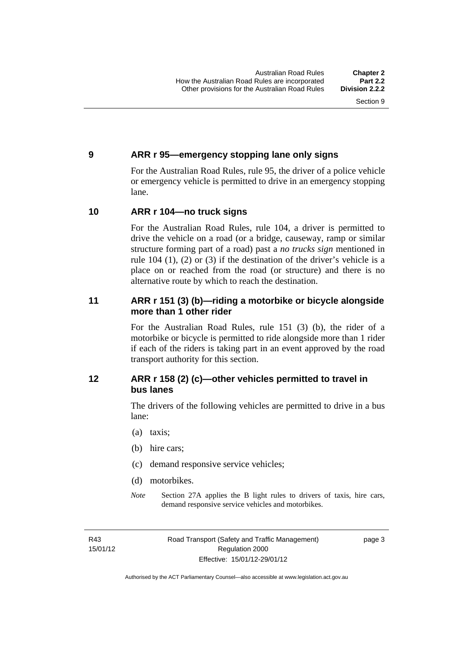### <span id="page-21-0"></span>**9 ARR r 95—emergency stopping lane only signs**

For the Australian Road Rules, rule 95, the driver of a police vehicle or emergency vehicle is permitted to drive in an emergency stopping lane.

### <span id="page-21-1"></span>**10 ARR r 104—no truck signs**

For the Australian Road Rules, rule 104, a driver is permitted to drive the vehicle on a road (or a bridge, causeway, ramp or similar structure forming part of a road) past a *no trucks sign* mentioned in rule 104 (1), (2) or (3) if the destination of the driver's vehicle is a place on or reached from the road (or structure) and there is no alternative route by which to reach the destination.

### <span id="page-21-2"></span>**11 ARR r 151 (3) (b)—riding a motorbike or bicycle alongside more than 1 other rider**

For the Australian Road Rules, rule 151 (3) (b), the rider of a motorbike or bicycle is permitted to ride alongside more than 1 rider if each of the riders is taking part in an event approved by the road transport authority for this section.

### <span id="page-21-3"></span>**12 ARR r 158 (2) (c)—other vehicles permitted to travel in bus lanes**

The drivers of the following vehicles are permitted to drive in a bus lane:

- (a) taxis;
- (b) hire cars;
- (c) demand responsive service vehicles;
- (d) motorbikes.
- *Note* Section 27A applies the B light rules to drivers of taxis, hire cars, demand responsive service vehicles and motorbikes.

R43 15/01/12 page 3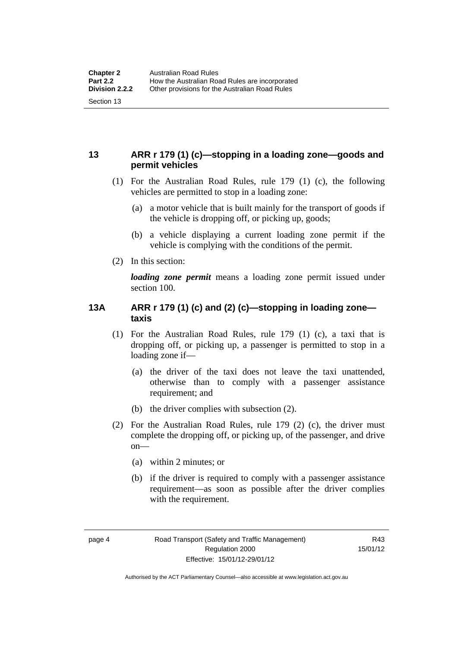### <span id="page-22-0"></span>**13 ARR r 179 (1) (c)—stopping in a loading zone—goods and permit vehicles**

- (1) For the Australian Road Rules, rule 179 (1) (c), the following vehicles are permitted to stop in a loading zone:
	- (a) a motor vehicle that is built mainly for the transport of goods if the vehicle is dropping off, or picking up, goods;
	- (b) a vehicle displaying a current loading zone permit if the vehicle is complying with the conditions of the permit.
- (2) In this section:

*loading zone permit* means a loading zone permit issued under section 100.

### <span id="page-22-1"></span>**13A ARR r 179 (1) (c) and (2) (c)—stopping in loading zone taxis**

- (1) For the Australian Road Rules, rule 179 (1) (c), a taxi that is dropping off, or picking up, a passenger is permitted to stop in a loading zone if—
	- (a) the driver of the taxi does not leave the taxi unattended, otherwise than to comply with a passenger assistance requirement; and
	- (b) the driver complies with subsection (2).
- (2) For the Australian Road Rules, rule 179 (2) (c), the driver must complete the dropping off, or picking up, of the passenger, and drive on—
	- (a) within 2 minutes; or
	- (b) if the driver is required to comply with a passenger assistance requirement—as soon as possible after the driver complies with the requirement.

Authorised by the ACT Parliamentary Counsel—also accessible at www.legislation.act.gov.au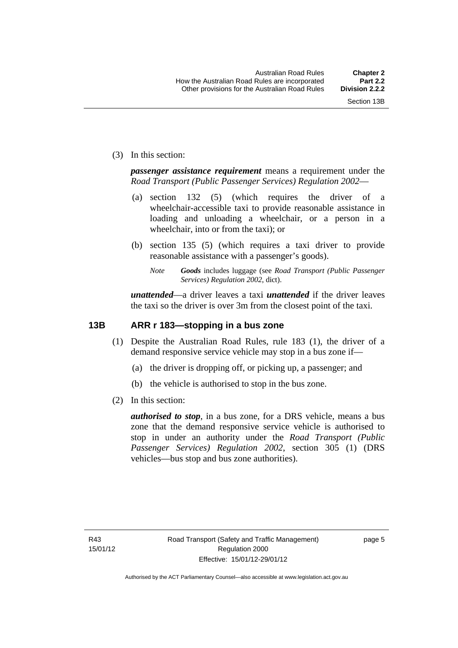(3) In this section:

*passenger assistance requirement* means a requirement under the *Road Transport (Public Passenger Services) Regulation 2002*—

- (a) section 132 (5) (which requires the driver of a wheelchair-accessible taxi to provide reasonable assistance in loading and unloading a wheelchair, or a person in a wheelchair, into or from the taxi); or
- (b) section 135 (5) (which requires a taxi driver to provide reasonable assistance with a passenger's goods).
	- *Note Goods* includes luggage (see *Road Transport (Public Passenger Services) Regulation 2002*, dict).

*unattended*—a driver leaves a taxi *unattended* if the driver leaves the taxi so the driver is over 3m from the closest point of the taxi.

### <span id="page-23-0"></span>**13B ARR r 183—stopping in a bus zone**

- (1) Despite the Australian Road Rules, rule 183 (1), the driver of a demand responsive service vehicle may stop in a bus zone if—
	- (a) the driver is dropping off, or picking up, a passenger; and
	- (b) the vehicle is authorised to stop in the bus zone.
- (2) In this section:

*authorised to stop*, in a bus zone, for a DRS vehicle, means a bus zone that the demand responsive service vehicle is authorised to stop in under an authority under the *Road Transport (Public Passenger Services) Regulation 2002*, section 305 (1) (DRS vehicles—bus stop and bus zone authorities).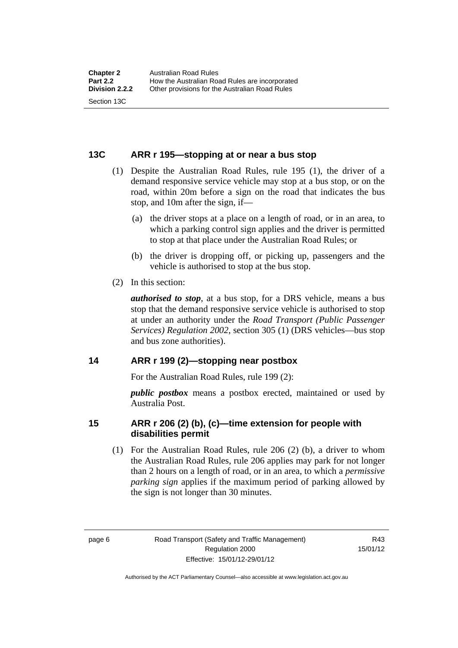### <span id="page-24-0"></span>**13C ARR r 195—stopping at or near a bus stop**

- (1) Despite the Australian Road Rules, rule 195 (1), the driver of a demand responsive service vehicle may stop at a bus stop, or on the road, within 20m before a sign on the road that indicates the bus stop, and 10m after the sign, if—
	- (a) the driver stops at a place on a length of road, or in an area, to which a parking control sign applies and the driver is permitted to stop at that place under the Australian Road Rules; or
	- (b) the driver is dropping off, or picking up, passengers and the vehicle is authorised to stop at the bus stop.
- (2) In this section:

*authorised to stop*, at a bus stop, for a DRS vehicle, means a bus stop that the demand responsive service vehicle is authorised to stop at under an authority under the *Road Transport (Public Passenger Services) Regulation 2002*, section 305 (1) (DRS vehicles—bus stop and bus zone authorities).

### <span id="page-24-1"></span>**14 ARR r 199 (2)—stopping near postbox**

For the Australian Road Rules, rule 199 (2):

*public postbox* means a postbox erected, maintained or used by Australia Post.

### <span id="page-24-2"></span>**15 ARR r 206 (2) (b), (c)—time extension for people with disabilities permit**

 (1) For the Australian Road Rules, rule 206 (2) (b), a driver to whom the Australian Road Rules, rule 206 applies may park for not longer than 2 hours on a length of road, or in an area, to which a *permissive parking sign* applies if the maximum period of parking allowed by the sign is not longer than 30 minutes.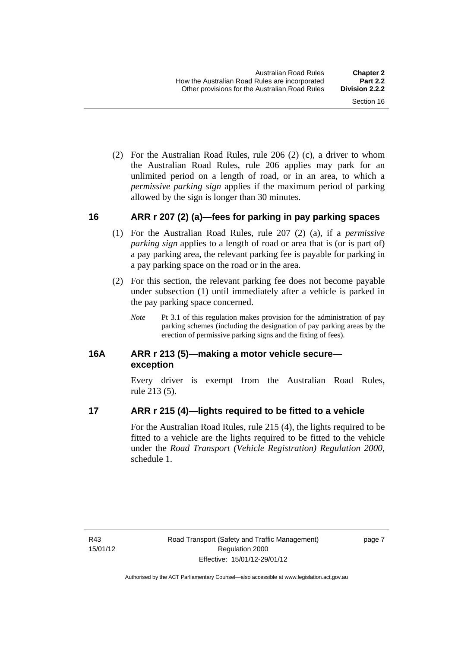(2) For the Australian Road Rules, rule 206 (2) (c), a driver to whom the Australian Road Rules, rule 206 applies may park for an unlimited period on a length of road, or in an area, to which a *permissive parking sign* applies if the maximum period of parking allowed by the sign is longer than 30 minutes.

### <span id="page-25-0"></span>**16 ARR r 207 (2) (a)—fees for parking in pay parking spaces**

- (1) For the Australian Road Rules, rule 207 (2) (a), if a *permissive parking sign* applies to a length of road or area that is (or is part of) a pay parking area, the relevant parking fee is payable for parking in a pay parking space on the road or in the area.
- (2) For this section, the relevant parking fee does not become payable under subsection (1) until immediately after a vehicle is parked in the pay parking space concerned.
	- *Note* Pt 3.1 of this regulation makes provision for the administration of pay parking schemes (including the designation of pay parking areas by the erection of permissive parking signs and the fixing of fees).

### <span id="page-25-1"></span>**16A ARR r 213 (5)—making a motor vehicle secure exception**

Every driver is exempt from the Australian Road Rules, rule 213 (5).

### <span id="page-25-2"></span>**17 ARR r 215 (4)—lights required to be fitted to a vehicle**

For the Australian Road Rules, rule 215 (4), the lights required to be fitted to a vehicle are the lights required to be fitted to the vehicle under the *Road Transport (Vehicle Registration) Regulation 2000,*  schedule 1.

page 7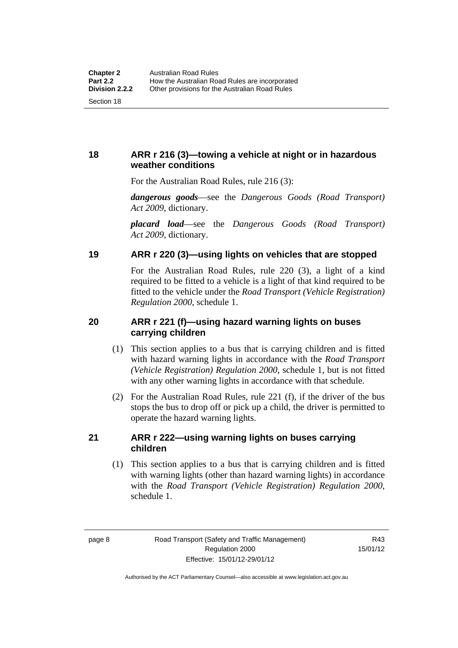### <span id="page-26-0"></span>**18 ARR r 216 (3)—towing a vehicle at night or in hazardous weather conditions**

For the Australian Road Rules, rule 216 (3):

*dangerous goods*—see the *Dangerous Goods (Road Transport) Act 2009*, dictionary.

*placard load*—see the *Dangerous Goods (Road Transport) Act 2009*, dictionary.

### <span id="page-26-1"></span>**19 ARR r 220 (3)—using lights on vehicles that are stopped**

For the Australian Road Rules, rule 220 (3), a light of a kind required to be fitted to a vehicle is a light of that kind required to be fitted to the vehicle under the *Road Transport (Vehicle Registration) Regulation 2000*, schedule 1.

### <span id="page-26-2"></span>**20 ARR r 221 (f)—using hazard warning lights on buses carrying children**

- (1) This section applies to a bus that is carrying children and is fitted with hazard warning lights in accordance with the *Road Transport (Vehicle Registration) Regulation 2000*, schedule 1, but is not fitted with any other warning lights in accordance with that schedule.
- (2) For the Australian Road Rules, rule 221 (f), if the driver of the bus stops the bus to drop off or pick up a child, the driver is permitted to operate the hazard warning lights.

### <span id="page-26-3"></span>**21 ARR r 222—using warning lights on buses carrying children**

(1) This section applies to a bus that is carrying children and is fitted with warning lights (other than hazard warning lights) in accordance with the *Road Transport (Vehicle Registration) Regulation 2000*, schedule 1.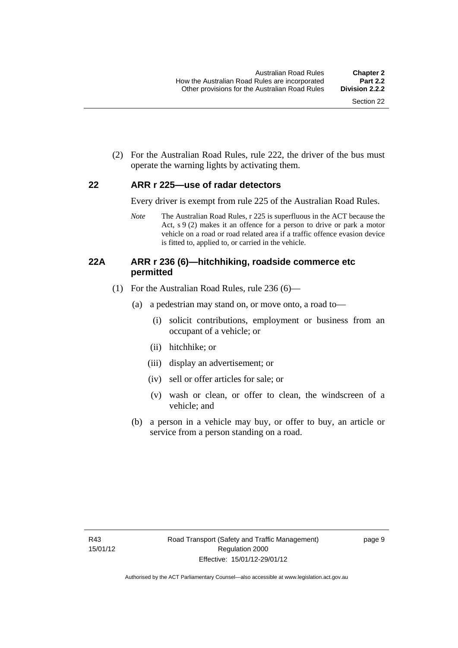(2) For the Australian Road Rules, rule 222, the driver of the bus must operate the warning lights by activating them.

### <span id="page-27-0"></span>**22 ARR r 225—use of radar detectors**

Every driver is exempt from rule 225 of the Australian Road Rules.

*Note* The Australian Road Rules, r 225 is superfluous in the ACT because the Act, s 9 (2) makes it an offence for a person to drive or park a motor vehicle on a road or road related area if a traffic offence evasion device is fitted to, applied to, or carried in the vehicle.

### <span id="page-27-1"></span>**22A ARR r 236 (6)—hitchhiking, roadside commerce etc permitted**

- (1) For the Australian Road Rules, rule 236 (6)—
	- (a) a pedestrian may stand on, or move onto, a road to—
		- (i) solicit contributions, employment or business from an occupant of a vehicle; or
		- (ii) hitchhike; or
		- (iii) display an advertisement; or
		- (iv) sell or offer articles for sale; or
		- (v) wash or clean, or offer to clean, the windscreen of a vehicle; and
	- (b) a person in a vehicle may buy, or offer to buy, an article or service from a person standing on a road.

page 9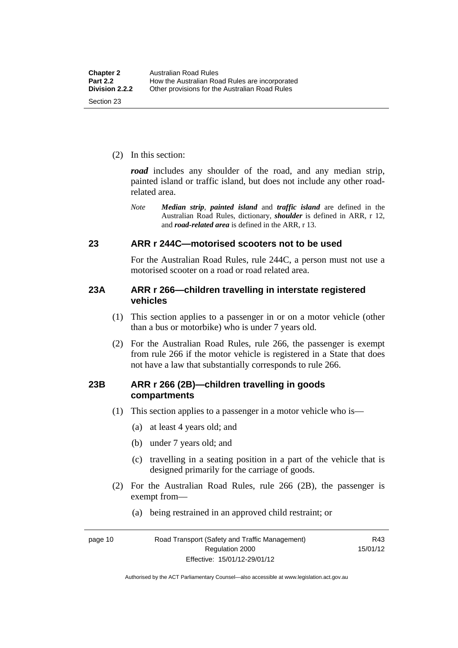(2) In this section:

*road* includes any shoulder of the road, and any median strip, painted island or traffic island, but does not include any other roadrelated area.

*Note Median strip*, *painted island* and *traffic island* are defined in the Australian Road Rules, dictionary, *shoulder* is defined in ARR, r 12, and *road-related area* is defined in the ARR, r 13.

### <span id="page-28-0"></span>**23 ARR r 244C—motorised scooters not to be used**

For the Australian Road Rules, rule 244C, a person must not use a motorised scooter on a road or road related area.

### <span id="page-28-1"></span>**23A ARR r 266—children travelling in interstate registered vehicles**

- (1) This section applies to a passenger in or on a motor vehicle (other than a bus or motorbike) who is under 7 years old.
- (2) For the Australian Road Rules, rule 266, the passenger is exempt from rule 266 if the motor vehicle is registered in a State that does not have a law that substantially corresponds to rule 266.

### <span id="page-28-2"></span>**23B ARR r 266 (2B)—children travelling in goods compartments**

- (1) This section applies to a passenger in a motor vehicle who is—
	- (a) at least 4 years old; and
	- (b) under 7 years old; and
	- (c) travelling in a seating position in a part of the vehicle that is designed primarily for the carriage of goods.
- (2) For the Australian Road Rules, rule 266 (2B), the passenger is exempt from—
	- (a) being restrained in an approved child restraint; or

R43 15/01/12

page 10 Road Transport (Safety and Traffic Management) Regulation 2000 Effective: 15/01/12-29/01/12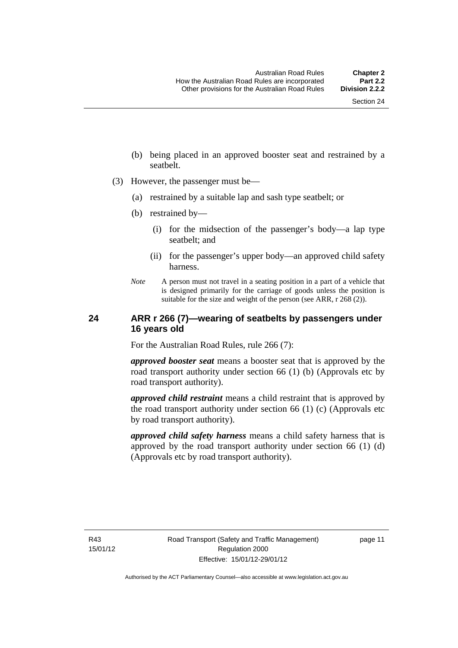- (b) being placed in an approved booster seat and restrained by a seatbelt.
- (3) However, the passenger must be—
	- (a) restrained by a suitable lap and sash type seatbelt; or
	- (b) restrained by—
		- (i) for the midsection of the passenger's body—a lap type seatbelt; and
		- (ii) for the passenger's upper body—an approved child safety harness.
	- *Note* A person must not travel in a seating position in a part of a vehicle that is designed primarily for the carriage of goods unless the position is suitable for the size and weight of the person (see ARR, r 268 (2)).

### <span id="page-29-0"></span>**24 ARR r 266 (7)—wearing of seatbelts by passengers under 16 years old**

For the Australian Road Rules, rule 266 (7):

*approved booster seat* means a booster seat that is approved by the road transport authority under section 66 (1) (b) (Approvals etc by road transport authority).

*approved child restraint* means a child restraint that is approved by the road transport authority under section 66 (1) (c) (Approvals etc by road transport authority).

*approved child safety harness* means a child safety harness that is approved by the road transport authority under section 66 (1) (d) (Approvals etc by road transport authority).

R43 15/01/12 page 11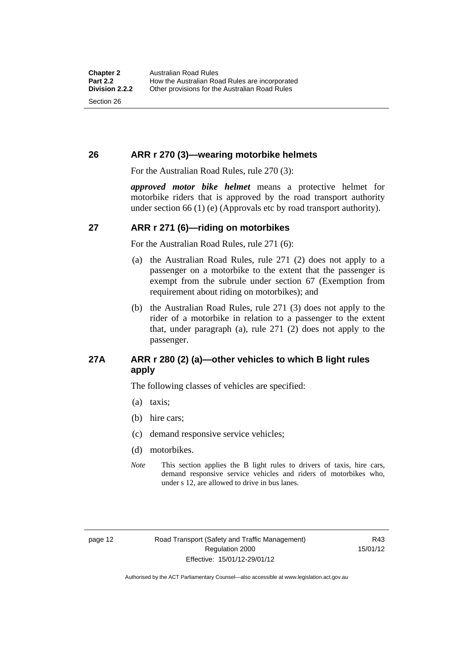### <span id="page-30-0"></span>**26 ARR r 270 (3)—wearing motorbike helmets**

For the Australian Road Rules, rule 270 (3):

*approved motor bike helmet* means a protective helmet for motorbike riders that is approved by the road transport authority under section 66 (1) (e) (Approvals etc by road transport authority).

### <span id="page-30-1"></span>**27 ARR r 271 (6)—riding on motorbikes**

For the Australian Road Rules, rule 271 (6):

- (a) the Australian Road Rules, rule 271 (2) does not apply to a passenger on a motorbike to the extent that the passenger is exempt from the subrule under section 67 (Exemption from requirement about riding on motorbikes); and
- (b) the Australian Road Rules, rule 271 (3) does not apply to the rider of a motorbike in relation to a passenger to the extent that, under paragraph (a), rule 271 (2) does not apply to the passenger.

### <span id="page-30-2"></span>**27A ARR r 280 (2) (a)—other vehicles to which B light rules apply**

The following classes of vehicles are specified:

- (a) taxis;
- (b) hire cars;
- (c) demand responsive service vehicles;
- (d) motorbikes.
- *Note* This section applies the B light rules to drivers of taxis, hire cars, demand responsive service vehicles and riders of motorbikes who, under s 12, are allowed to drive in bus lanes.

R43 15/01/12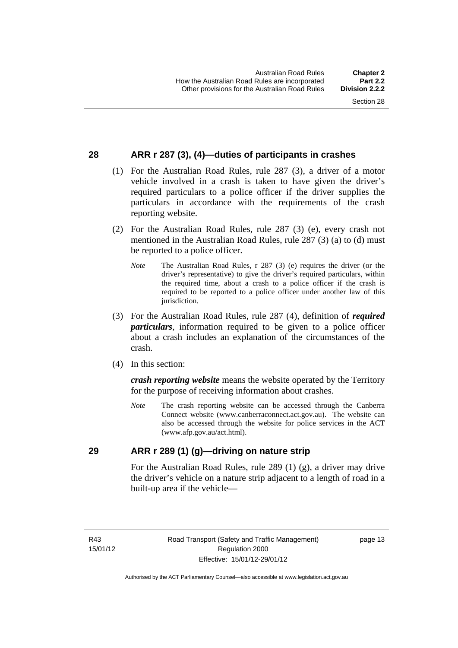### <span id="page-31-0"></span>**28 ARR r 287 (3), (4)—duties of participants in crashes**

- (1) For the Australian Road Rules, rule 287 (3), a driver of a motor vehicle involved in a crash is taken to have given the driver's required particulars to a police officer if the driver supplies the particulars in accordance with the requirements of the crash reporting website.
- (2) For the Australian Road Rules, rule 287 (3) (e), every crash not mentioned in the Australian Road Rules, rule 287 (3) (a) to (d) must be reported to a police officer.
	- *Note* The Australian Road Rules, r 287 (3) (e) requires the driver (or the driver's representative) to give the driver's required particulars, within the required time, about a crash to a police officer if the crash is required to be reported to a police officer under another law of this jurisdiction.
- (3) For the Australian Road Rules, rule 287 (4), definition of *required particulars*, information required to be given to a police officer about a crash includes an explanation of the circumstances of the crash.
- (4) In this section:

*crash reporting website* means the website operated by the Territory for the purpose of receiving information about crashes.

*Note* The crash reporting website can be accessed through the Canberra Connect website (www.canberraconnect.act.gov.au). The website can also be accessed through the website for police services in the ACT (www.afp.gov.au/act.html).

### <span id="page-31-1"></span>**29 ARR r 289 (1) (g)—driving on nature strip**

For the Australian Road Rules, rule 289 (1) (g), a driver may drive the driver's vehicle on a nature strip adjacent to a length of road in a built-up area if the vehicle—

R43 15/01/12 page 13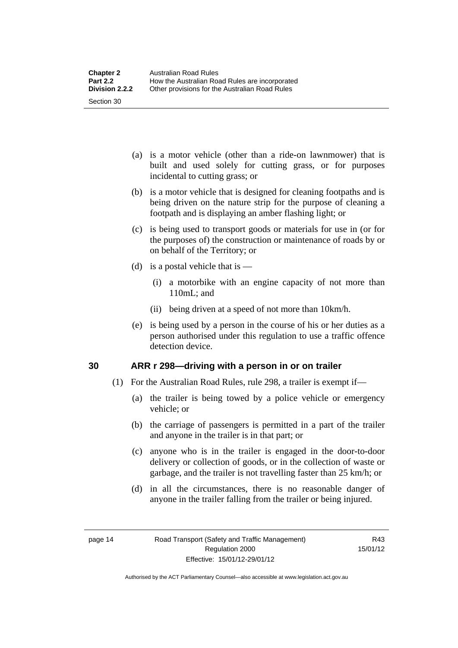- (a) is a motor vehicle (other than a ride-on lawnmower) that is built and used solely for cutting grass, or for purposes incidental to cutting grass; or
- (b) is a motor vehicle that is designed for cleaning footpaths and is being driven on the nature strip for the purpose of cleaning a footpath and is displaying an amber flashing light; or
- (c) is being used to transport goods or materials for use in (or for the purposes of) the construction or maintenance of roads by or on behalf of the Territory; or
- (d) is a postal vehicle that is  $-$ 
	- (i) a motorbike with an engine capacity of not more than 110mL; and
	- (ii) being driven at a speed of not more than 10km/h.
- (e) is being used by a person in the course of his or her duties as a person authorised under this regulation to use a traffic offence detection device.

### <span id="page-32-0"></span>**30 ARR r 298—driving with a person in or on trailer**

- (1) For the Australian Road Rules, rule 298, a trailer is exempt if—
	- (a) the trailer is being towed by a police vehicle or emergency vehicle; or
	- (b) the carriage of passengers is permitted in a part of the trailer and anyone in the trailer is in that part; or
	- (c) anyone who is in the trailer is engaged in the door-to-door delivery or collection of goods, or in the collection of waste or garbage, and the trailer is not travelling faster than 25 km/h; or
	- (d) in all the circumstances, there is no reasonable danger of anyone in the trailer falling from the trailer or being injured.

R43 15/01/12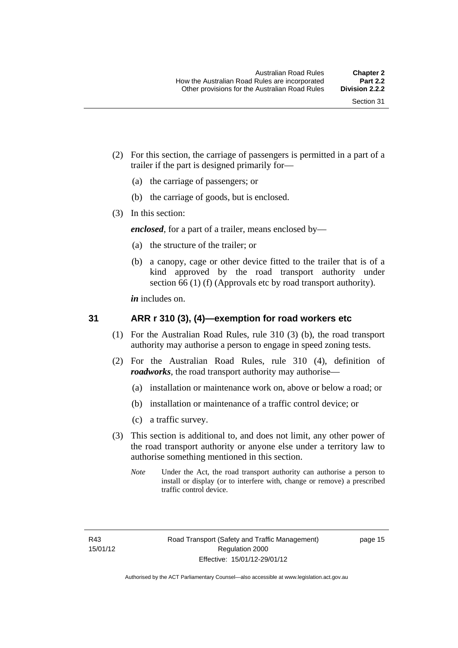- (2) For this section, the carriage of passengers is permitted in a part of a trailer if the part is designed primarily for—
	- (a) the carriage of passengers; or
	- (b) the carriage of goods, but is enclosed.
- (3) In this section:

*enclosed*, for a part of a trailer, means enclosed by—

- (a) the structure of the trailer; or
- (b) a canopy, cage or other device fitted to the trailer that is of a kind approved by the road transport authority under section 66 (1) (f) (Approvals etc by road transport authority).

*in* includes on.

### <span id="page-33-0"></span>**31 ARR r 310 (3), (4)—exemption for road workers etc**

- (1) For the Australian Road Rules, rule 310 (3) (b), the road transport authority may authorise a person to engage in speed zoning tests.
- (2) For the Australian Road Rules, rule 310 (4), definition of *roadworks*, the road transport authority may authorise—
	- (a) installation or maintenance work on, above or below a road; or
	- (b) installation or maintenance of a traffic control device; or
	- (c) a traffic survey.
- (3) This section is additional to, and does not limit, any other power of the road transport authority or anyone else under a territory law to authorise something mentioned in this section.
	- *Note* Under the Act, the road transport authority can authorise a person to install or display (or to interfere with, change or remove) a prescribed traffic control device.

page 15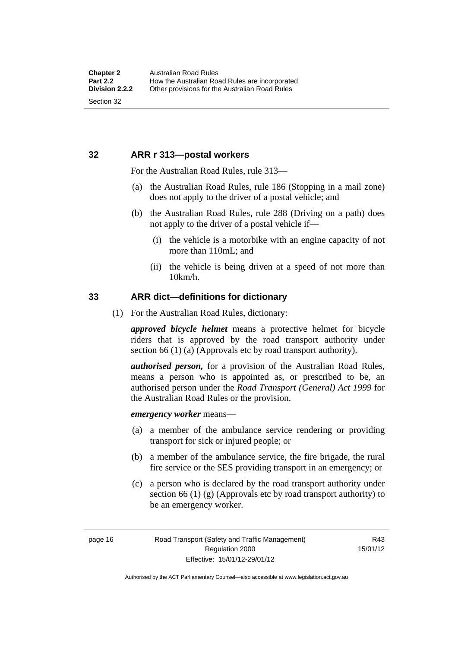### <span id="page-34-0"></span>**32 ARR r 313—postal workers**

For the Australian Road Rules, rule 313—

- (a) the Australian Road Rules, rule 186 (Stopping in a mail zone) does not apply to the driver of a postal vehicle; and
- (b) the Australian Road Rules, rule 288 (Driving on a path) does not apply to the driver of a postal vehicle if—
	- (i) the vehicle is a motorbike with an engine capacity of not more than 110mL; and
	- (ii) the vehicle is being driven at a speed of not more than 10km/h.

### <span id="page-34-1"></span>**33 ARR dict—definitions for dictionary**

(1) For the Australian Road Rules, dictionary:

*approved bicycle helmet* means a protective helmet for bicycle riders that is approved by the road transport authority under section 66 (1) (a) (Approvals etc by road transport authority).

*authorised person,* for a provision of the Australian Road Rules, means a person who is appointed as, or prescribed to be, an authorised person under the *Road Transport (General) Act 1999* for the Australian Road Rules or the provision.

*emergency worker* means—

- (a) a member of the ambulance service rendering or providing transport for sick or injured people; or
- (b) a member of the ambulance service, the fire brigade, the rural fire service or the SES providing transport in an emergency; or
- (c) a person who is declared by the road transport authority under section 66 (1) (g) (Approvals etc by road transport authority) to be an emergency worker.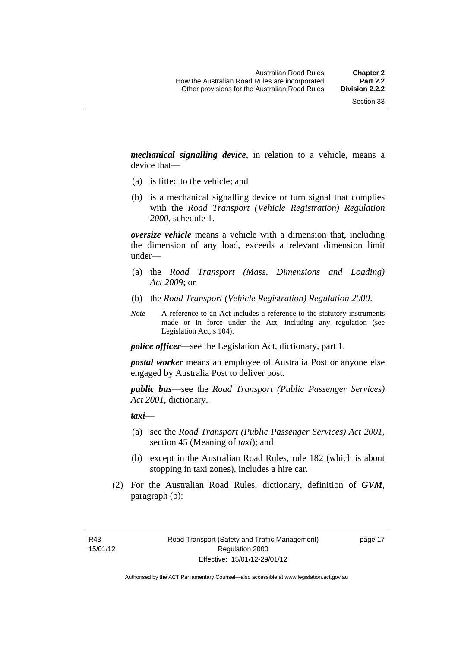*mechanical signalling device*, in relation to a vehicle, means a device that—

- (a) is fitted to the vehicle; and
- (b) is a mechanical signalling device or turn signal that complies with the *Road Transport (Vehicle Registration) Regulation 2000*, schedule 1.

*oversize vehicle* means a vehicle with a dimension that, including the dimension of any load, exceeds a relevant dimension limit under—

- (a) the *Road Transport (Mass, Dimensions and Loading) Act 2009*; or
- (b) the *Road Transport (Vehicle Registration) Regulation 2000*.
- *Note* A reference to an Act includes a reference to the statutory instruments made or in force under the Act, including any regulation (see Legislation Act, s 104).

*police officer*—see the Legislation Act, dictionary, part 1.

*postal worker* means an employee of Australia Post or anyone else engaged by Australia Post to deliver post.

*public bus*—see the *Road Transport (Public Passenger Services) Act 2001*, dictionary.

*taxi*—

- (a) see the *Road Transport (Public Passenger Services) Act 2001*, section 45 (Meaning of *taxi*); and
- (b) except in the Australian Road Rules, rule 182 (which is about stopping in taxi zones), includes a hire car.
- (2) For the Australian Road Rules, dictionary, definition of *GVM*, paragraph (b):

R43 15/01/12 page 17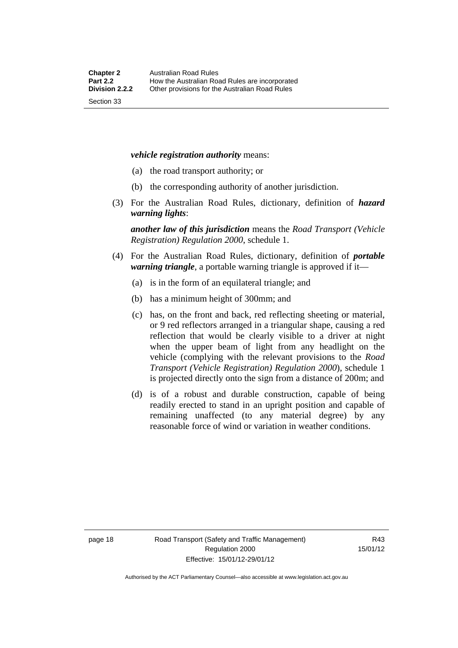#### *vehicle registration authority* means:

- (a) the road transport authority; or
- (b) the corresponding authority of another jurisdiction.
- (3) For the Australian Road Rules, dictionary, definition of *hazard warning lights*:

*another law of this jurisdiction* means the *Road Transport (Vehicle Registration) Regulation 2000*, schedule 1.

- (4) For the Australian Road Rules, dictionary, definition of *portable warning triangle*, a portable warning triangle is approved if it—
	- (a) is in the form of an equilateral triangle; and
	- (b) has a minimum height of 300mm; and
	- (c) has, on the front and back, red reflecting sheeting or material, or 9 red reflectors arranged in a triangular shape, causing a red reflection that would be clearly visible to a driver at night when the upper beam of light from any headlight on the vehicle (complying with the relevant provisions to the *Road Transport (Vehicle Registration) Regulation 2000*), schedule 1 is projected directly onto the sign from a distance of 200m; and
	- (d) is of a robust and durable construction, capable of being readily erected to stand in an upright position and capable of remaining unaffected (to any material degree) by any reasonable force of wind or variation in weather conditions.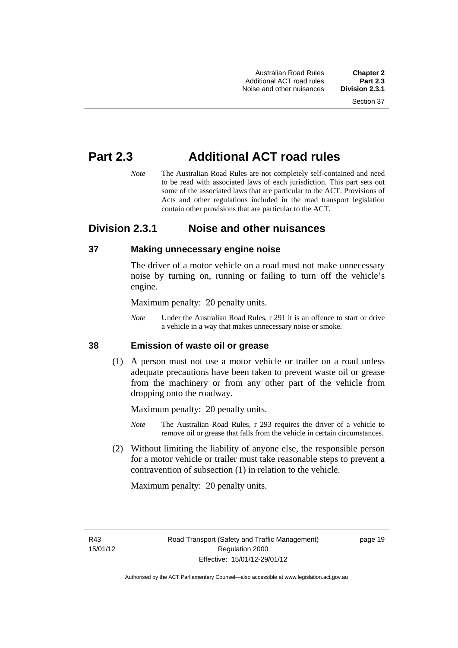Australian Road Rules **Chapter 2** Additional ACT road rules **Part 2.3** Noise and other nuisances

# **Part 2.3 Additional ACT road rules**

*Note* The Australian Road Rules are not completely self-contained and need to be read with associated laws of each jurisdiction. This part sets out some of the associated laws that are particular to the ACT. Provisions of Acts and other regulations included in the road transport legislation contain other provisions that are particular to the ACT.

# **Division 2.3.1 Noise and other nuisances**

### **37 Making unnecessary engine noise**

The driver of a motor vehicle on a road must not make unnecessary noise by turning on, running or failing to turn off the vehicle's engine.

Maximum penalty: 20 penalty units.

*Note* Under the Australian Road Rules, r 291 it is an offence to start or drive a vehicle in a way that makes unnecessary noise or smoke.

### **38 Emission of waste oil or grease**

 (1) A person must not use a motor vehicle or trailer on a road unless adequate precautions have been taken to prevent waste oil or grease from the machinery or from any other part of the vehicle from dropping onto the roadway.

Maximum penalty: 20 penalty units.

- *Note* The Australian Road Rules, r 293 requires the driver of a vehicle to remove oil or grease that falls from the vehicle in certain circumstances.
- (2) Without limiting the liability of anyone else, the responsible person for a motor vehicle or trailer must take reasonable steps to prevent a contravention of subsection (1) in relation to the vehicle.

Maximum penalty: 20 penalty units.

R43 15/01/12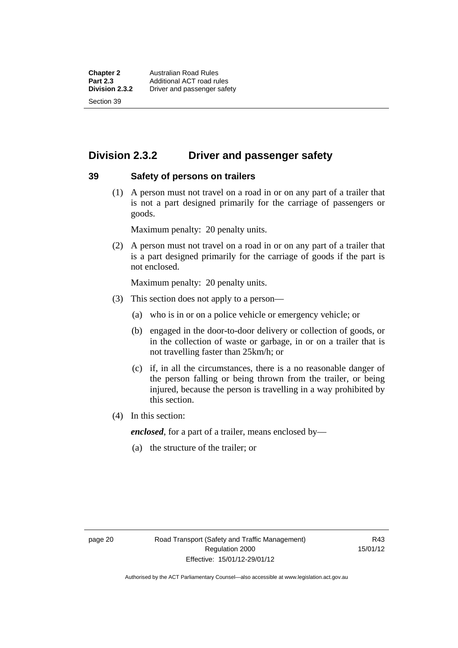**Chapter 2 Australian Road Rules**<br>**Part 2.3 Additional ACT road rules Part 2.3** Additional ACT road rules<br> **Division 2.3.2** Driver and passenger safe **Division 2.3.2** Driver and passenger safety Section 39

# **Division 2.3.2 Driver and passenger safety**

#### **39 Safety of persons on trailers**

 (1) A person must not travel on a road in or on any part of a trailer that is not a part designed primarily for the carriage of passengers or goods.

Maximum penalty: 20 penalty units.

 (2) A person must not travel on a road in or on any part of a trailer that is a part designed primarily for the carriage of goods if the part is not enclosed.

Maximum penalty: 20 penalty units.

- (3) This section does not apply to a person—
	- (a) who is in or on a police vehicle or emergency vehicle; or
	- (b) engaged in the door-to-door delivery or collection of goods, or in the collection of waste or garbage, in or on a trailer that is not travelling faster than 25km/h; or
	- (c) if, in all the circumstances, there is a no reasonable danger of the person falling or being thrown from the trailer, or being injured, because the person is travelling in a way prohibited by this section.
- (4) In this section:

*enclosed*, for a part of a trailer, means enclosed by—

(a) the structure of the trailer; or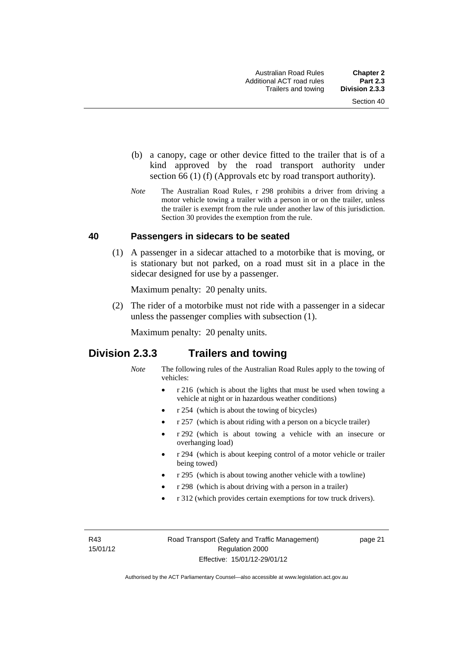- (b) a canopy, cage or other device fitted to the trailer that is of a kind approved by the road transport authority under section 66 (1) (f) (Approvals etc by road transport authority).
- *Note* The Australian Road Rules, r 298 prohibits a driver from driving a motor vehicle towing a trailer with a person in or on the trailer, unless the trailer is exempt from the rule under another law of this jurisdiction. Section 30 provides the exemption from the rule.

#### **40 Passengers in sidecars to be seated**

 (1) A passenger in a sidecar attached to a motorbike that is moving, or is stationary but not parked, on a road must sit in a place in the sidecar designed for use by a passenger.

Maximum penalty: 20 penalty units.

 (2) The rider of a motorbike must not ride with a passenger in a sidecar unless the passenger complies with subsection (1).

Maximum penalty: 20 penalty units.

# **Division 2.3.3 Trailers and towing**

- *Note* The following rules of the Australian Road Rules apply to the towing of vehicles:
	- r 216 (which is about the lights that must be used when towing a vehicle at night or in hazardous weather conditions)
	- r 254 (which is about the towing of bicycles)
	- r 257 (which is about riding with a person on a bicycle trailer)
	- r 292 (which is about towing a vehicle with an insecure or overhanging load)
	- r 294 (which is about keeping control of a motor vehicle or trailer being towed)
	- r 295 (which is about towing another vehicle with a towline)
	- r 298 (which is about driving with a person in a trailer)
	- r 312 (which provides certain exemptions for tow truck drivers).

R43 15/01/12 page 21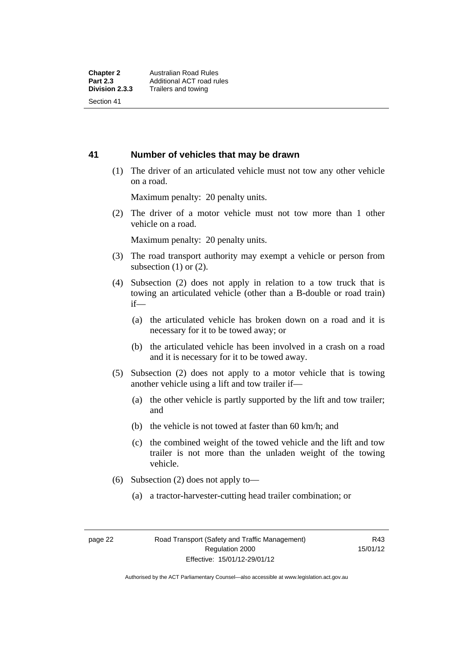#### **41 Number of vehicles that may be drawn**

 (1) The driver of an articulated vehicle must not tow any other vehicle on a road.

Maximum penalty: 20 penalty units.

 (2) The driver of a motor vehicle must not tow more than 1 other vehicle on a road.

Maximum penalty: 20 penalty units.

- (3) The road transport authority may exempt a vehicle or person from subsection  $(1)$  or  $(2)$ .
- (4) Subsection (2) does not apply in relation to a tow truck that is towing an articulated vehicle (other than a B-double or road train) if—
	- (a) the articulated vehicle has broken down on a road and it is necessary for it to be towed away; or
	- (b) the articulated vehicle has been involved in a crash on a road and it is necessary for it to be towed away.
- (5) Subsection (2) does not apply to a motor vehicle that is towing another vehicle using a lift and tow trailer if—
	- (a) the other vehicle is partly supported by the lift and tow trailer; and
	- (b) the vehicle is not towed at faster than 60 km/h; and
	- (c) the combined weight of the towed vehicle and the lift and tow trailer is not more than the unladen weight of the towing vehicle.
- (6) Subsection (2) does not apply to—
	- (a) a tractor-harvester-cutting head trailer combination; or

Authorised by the ACT Parliamentary Counsel—also accessible at www.legislation.act.gov.au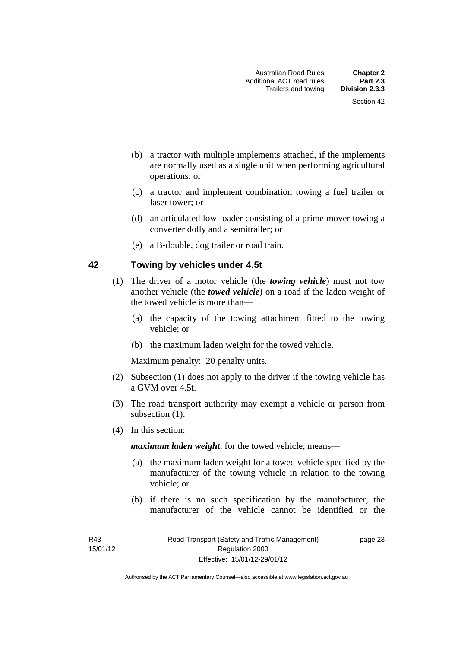- (b) a tractor with multiple implements attached, if the implements are normally used as a single unit when performing agricultural operations; or
- (c) a tractor and implement combination towing a fuel trailer or laser tower; or
- (d) an articulated low-loader consisting of a prime mover towing a converter dolly and a semitrailer; or
- (e) a B-double, dog trailer or road train.

### **42 Towing by vehicles under 4.5t**

- (1) The driver of a motor vehicle (the *towing vehicle*) must not tow another vehicle (the *towed vehicle*) on a road if the laden weight of the towed vehicle is more than—
	- (a) the capacity of the towing attachment fitted to the towing vehicle; or
	- (b) the maximum laden weight for the towed vehicle.

Maximum penalty: 20 penalty units.

- (2) Subsection (1) does not apply to the driver if the towing vehicle has a GVM over 4.5t.
- (3) The road transport authority may exempt a vehicle or person from subsection  $(1)$ .
- (4) In this section:

*maximum laden weight*, for the towed vehicle, means—

- (a) the maximum laden weight for a towed vehicle specified by the manufacturer of the towing vehicle in relation to the towing vehicle; or
- (b) if there is no such specification by the manufacturer, the manufacturer of the vehicle cannot be identified or the

page 23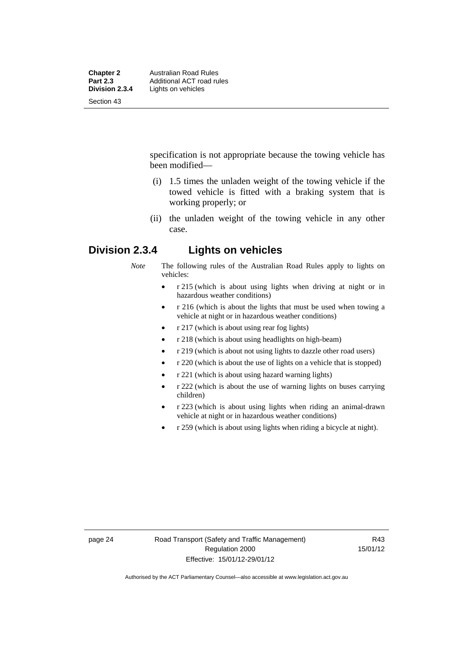| <b>Chapter 2</b><br><b>Part 2.3</b> | <b>Australian Road Rules</b><br>Additional ACT road rules |
|-------------------------------------|-----------------------------------------------------------|
|                                     |                                                           |
| Section 43                          |                                                           |

specification is not appropriate because the towing vehicle has been modified—

- (i) 1.5 times the unladen weight of the towing vehicle if the towed vehicle is fitted with a braking system that is working properly; or
- (ii) the unladen weight of the towing vehicle in any other case.

# **Division 2.3.4 Lights on vehicles**

*Note* The following rules of the Australian Road Rules apply to lights on vehicles:

- r 215 (which is about using lights when driving at night or in hazardous weather conditions)
- r 216 (which is about the lights that must be used when towing a vehicle at night or in hazardous weather conditions)
- r 217 (which is about using rear fog lights)
- r 218 (which is about using headlights on high-beam)
- r 219 (which is about not using lights to dazzle other road users)
- r 220 (which is about the use of lights on a vehicle that is stopped)
- r 221 (which is about using hazard warning lights)
- r 222 (which is about the use of warning lights on buses carrying children)
- r 223 (which is about using lights when riding an animal-drawn vehicle at night or in hazardous weather conditions)
- r 259 (which is about using lights when riding a bicycle at night).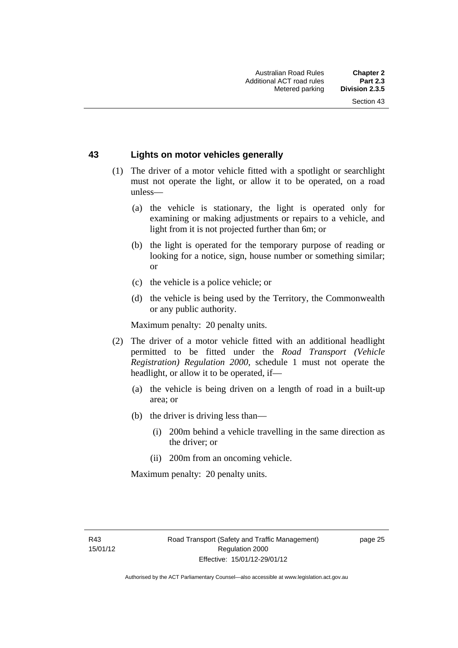## **43 Lights on motor vehicles generally**

- (1) The driver of a motor vehicle fitted with a spotlight or searchlight must not operate the light, or allow it to be operated, on a road unless—
	- (a) the vehicle is stationary, the light is operated only for examining or making adjustments or repairs to a vehicle, and light from it is not projected further than 6m; or
	- (b) the light is operated for the temporary purpose of reading or looking for a notice, sign, house number or something similar; or
	- (c) the vehicle is a police vehicle; or
	- (d) the vehicle is being used by the Territory, the Commonwealth or any public authority.

Maximum penalty: 20 penalty units.

- (2) The driver of a motor vehicle fitted with an additional headlight permitted to be fitted under the *Road Transport (Vehicle Registration) Regulation 2000*, schedule 1 must not operate the headlight, or allow it to be operated, if—
	- (a) the vehicle is being driven on a length of road in a built-up area; or
	- (b) the driver is driving less than—
		- (i) 200m behind a vehicle travelling in the same direction as the driver; or
		- (ii) 200m from an oncoming vehicle.

Maximum penalty: 20 penalty units.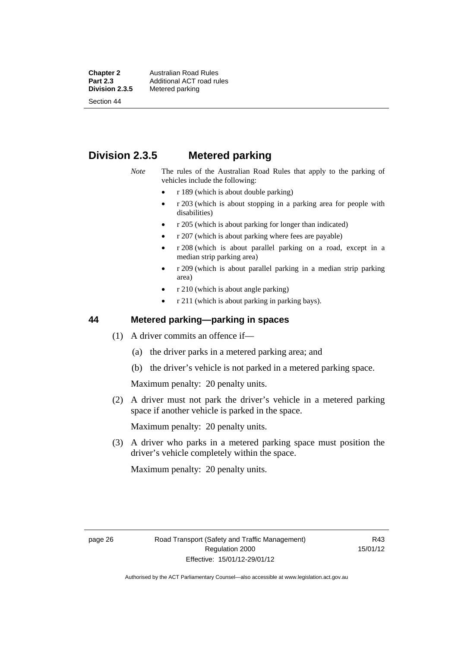**Chapter 2 Australian Road Rules**<br>**Part 2.3 Additional ACT road rules Part 2.3 Additional ACT road rules**<br>**Division 2.3.5** Metered parking **Metered parking** 

Section 44

# **Division 2.3.5 Metered parking**

*Note* The rules of the Australian Road Rules that apply to the parking of vehicles include the following:

- r 189 (which is about double parking)
- r 203 (which is about stopping in a parking area for people with disabilities)
- r 205 (which is about parking for longer than indicated)
- r 207 (which is about parking where fees are payable)
- r 208 (which is about parallel parking on a road, except in a median strip parking area)
- r 209 (which is about parallel parking in a median strip parking area)
- r 210 (which is about angle parking)
- r 211 (which is about parking in parking bays).

### **44 Metered parking—parking in spaces**

- (1) A driver commits an offence if—
	- (a) the driver parks in a metered parking area; and
	- (b) the driver's vehicle is not parked in a metered parking space.

Maximum penalty: 20 penalty units.

 (2) A driver must not park the driver's vehicle in a metered parking space if another vehicle is parked in the space.

Maximum penalty: 20 penalty units.

 (3) A driver who parks in a metered parking space must position the driver's vehicle completely within the space.

Maximum penalty: 20 penalty units.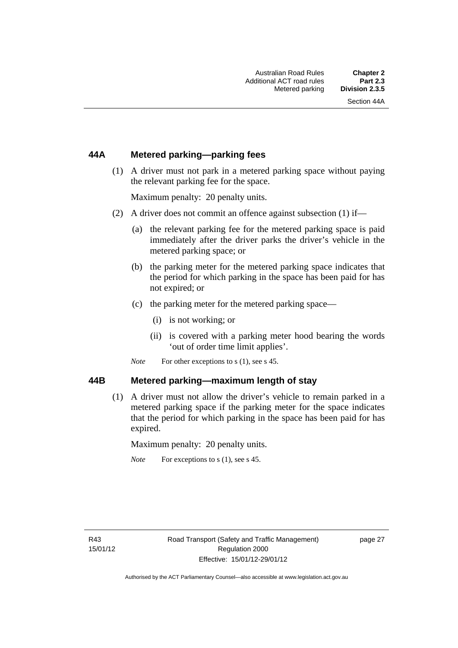## **44A Metered parking—parking fees**

 (1) A driver must not park in a metered parking space without paying the relevant parking fee for the space.

Maximum penalty: 20 penalty units.

- (2) A driver does not commit an offence against subsection (1) if—
	- (a) the relevant parking fee for the metered parking space is paid immediately after the driver parks the driver's vehicle in the metered parking space; or
	- (b) the parking meter for the metered parking space indicates that the period for which parking in the space has been paid for has not expired; or
	- (c) the parking meter for the metered parking space—
		- (i) is not working; or
		- (ii) is covered with a parking meter hood bearing the words 'out of order time limit applies'.
	- *Note* For other exceptions to s (1), see s 45.

#### **44B Metered parking—maximum length of stay**

 (1) A driver must not allow the driver's vehicle to remain parked in a metered parking space if the parking meter for the space indicates that the period for which parking in the space has been paid for has expired.

Maximum penalty: 20 penalty units.

*Note* For exceptions to s (1), see s 45.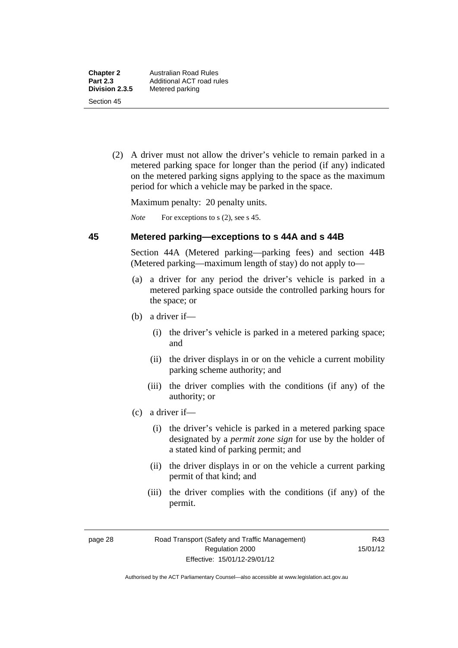(2) A driver must not allow the driver's vehicle to remain parked in a metered parking space for longer than the period (if any) indicated on the metered parking signs applying to the space as the maximum period for which a vehicle may be parked in the space.

Maximum penalty: 20 penalty units.

*Note* For exceptions to s (2), see s 45.

#### **45 Metered parking—exceptions to s 44A and s 44B**

Section 44A (Metered parking—parking fees) and section 44B (Metered parking—maximum length of stay) do not apply to—

- (a) a driver for any period the driver's vehicle is parked in a metered parking space outside the controlled parking hours for the space; or
- (b) a driver if—
	- (i) the driver's vehicle is parked in a metered parking space; and
	- (ii) the driver displays in or on the vehicle a current mobility parking scheme authority; and
	- (iii) the driver complies with the conditions (if any) of the authority; or
- (c) a driver if—
	- (i) the driver's vehicle is parked in a metered parking space designated by a *permit zone sign* for use by the holder of a stated kind of parking permit; and
	- (ii) the driver displays in or on the vehicle a current parking permit of that kind; and
	- (iii) the driver complies with the conditions (if any) of the permit.

R43 15/01/12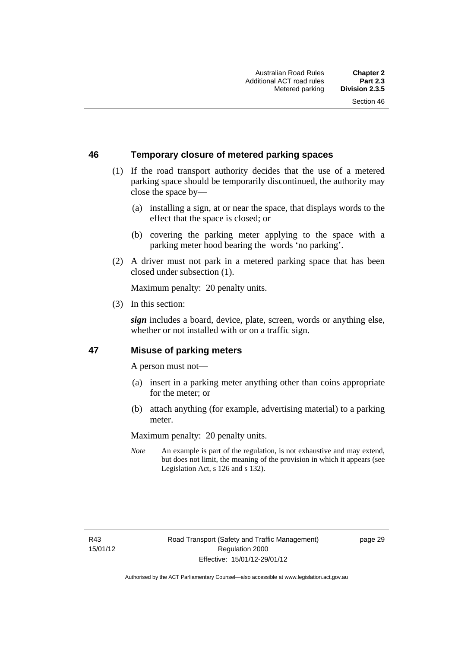# **46 Temporary closure of metered parking spaces**

- (1) If the road transport authority decides that the use of a metered parking space should be temporarily discontinued, the authority may close the space by—
	- (a) installing a sign, at or near the space, that displays words to the effect that the space is closed; or
	- (b) covering the parking meter applying to the space with a parking meter hood bearing the words 'no parking'.
- (2) A driver must not park in a metered parking space that has been closed under subsection (1).

Maximum penalty: 20 penalty units.

(3) In this section:

*sign* includes a board, device, plate, screen, words or anything else, whether or not installed with or on a traffic sign.

### **47 Misuse of parking meters**

A person must not—

- (a) insert in a parking meter anything other than coins appropriate for the meter; or
- (b) attach anything (for example, advertising material) to a parking meter.

Maximum penalty: 20 penalty units.

*Note* An example is part of the regulation, is not exhaustive and may extend, but does not limit, the meaning of the provision in which it appears (see Legislation Act, s 126 and s 132).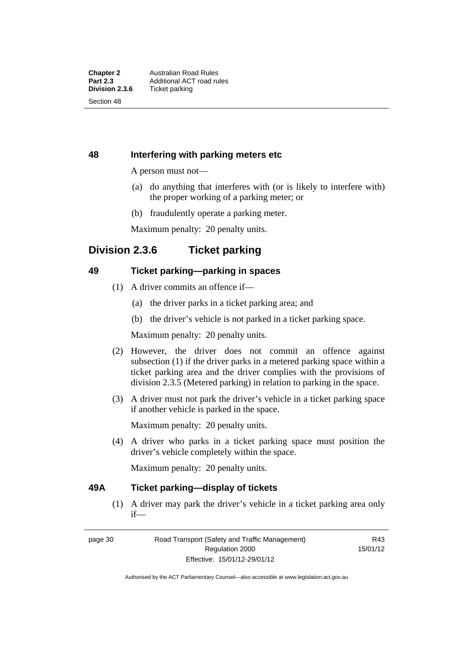## **48 Interfering with parking meters etc**

A person must not—

- (a) do anything that interferes with (or is likely to interfere with) the proper working of a parking meter; or
- (b) fraudulently operate a parking meter.

Maximum penalty: 20 penalty units.

# **Division 2.3.6 Ticket parking**

## **49 Ticket parking—parking in spaces**

- (1) A driver commits an offence if—
	- (a) the driver parks in a ticket parking area; and
	- (b) the driver's vehicle is not parked in a ticket parking space.

Maximum penalty: 20 penalty units.

- (2) However, the driver does not commit an offence against subsection (1) if the driver parks in a metered parking space within a ticket parking area and the driver complies with the provisions of division 2.3.5 (Metered parking) in relation to parking in the space.
- (3) A driver must not park the driver's vehicle in a ticket parking space if another vehicle is parked in the space.

Maximum penalty: 20 penalty units.

 (4) A driver who parks in a ticket parking space must position the driver's vehicle completely within the space.

Maximum penalty: 20 penalty units.

### **49A Ticket parking—display of tickets**

(1) A driver may park the driver's vehicle in a ticket parking area only if—

page 30 Road Transport (Safety and Traffic Management) Regulation 2000 Effective: 15/01/12-29/01/12

R43 15/01/12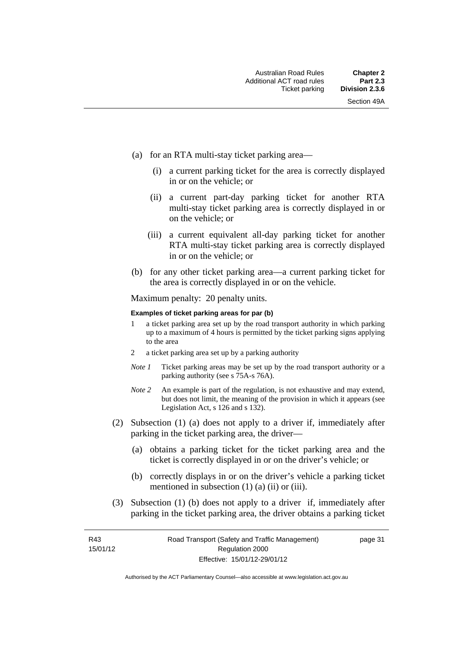- (a) for an RTA multi-stay ticket parking area—
	- (i) a current parking ticket for the area is correctly displayed in or on the vehicle; or
	- (ii) a current part-day parking ticket for another RTA multi-stay ticket parking area is correctly displayed in or on the vehicle; or
	- (iii) a current equivalent all-day parking ticket for another RTA multi-stay ticket parking area is correctly displayed in or on the vehicle; or
- (b) for any other ticket parking area—a current parking ticket for the area is correctly displayed in or on the vehicle.

Maximum penalty: 20 penalty units.

#### **Examples of ticket parking areas for par (b)**

- 1 a ticket parking area set up by the road transport authority in which parking up to a maximum of 4 hours is permitted by the ticket parking signs applying to the area
- 2 a ticket parking area set up by a parking authority
- *Note 1* Ticket parking areas may be set up by the road transport authority or a parking authority (see s 75A-s 76A).
- *Note 2* An example is part of the regulation, is not exhaustive and may extend, but does not limit, the meaning of the provision in which it appears (see Legislation Act, s 126 and s 132).
- (2) Subsection (1) (a) does not apply to a driver if, immediately after parking in the ticket parking area, the driver—
	- (a) obtains a parking ticket for the ticket parking area and the ticket is correctly displayed in or on the driver's vehicle; or
	- (b) correctly displays in or on the driver's vehicle a parking ticket mentioned in subsection  $(1)$   $(a)$   $(ii)$  or  $(iii)$ .
- (3) Subsection (1) (b) does not apply to a driver if, immediately after parking in the ticket parking area, the driver obtains a parking ticket

R43 15/01/12 page 31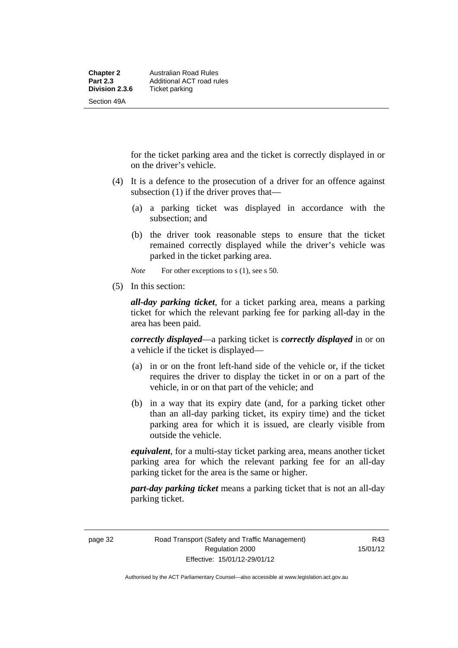for the ticket parking area and the ticket is correctly displayed in or on the driver's vehicle.

- (4) It is a defence to the prosecution of a driver for an offence against subsection (1) if the driver proves that—
	- (a) a parking ticket was displayed in accordance with the subsection; and
	- (b) the driver took reasonable steps to ensure that the ticket remained correctly displayed while the driver's vehicle was parked in the ticket parking area.
	- *Note* For other exceptions to s (1), see s 50.
- (5) In this section:

*all-day parking ticket*, for a ticket parking area, means a parking ticket for which the relevant parking fee for parking all-day in the area has been paid.

*correctly displayed*—a parking ticket is *correctly displayed* in or on a vehicle if the ticket is displayed—

- (a) in or on the front left-hand side of the vehicle or, if the ticket requires the driver to display the ticket in or on a part of the vehicle, in or on that part of the vehicle; and
- (b) in a way that its expiry date (and, for a parking ticket other than an all-day parking ticket, its expiry time) and the ticket parking area for which it is issued, are clearly visible from outside the vehicle.

*equivalent*, for a multi-stay ticket parking area, means another ticket parking area for which the relevant parking fee for an all-day parking ticket for the area is the same or higher.

*part-day parking ticket* means a parking ticket that is not an all-day parking ticket.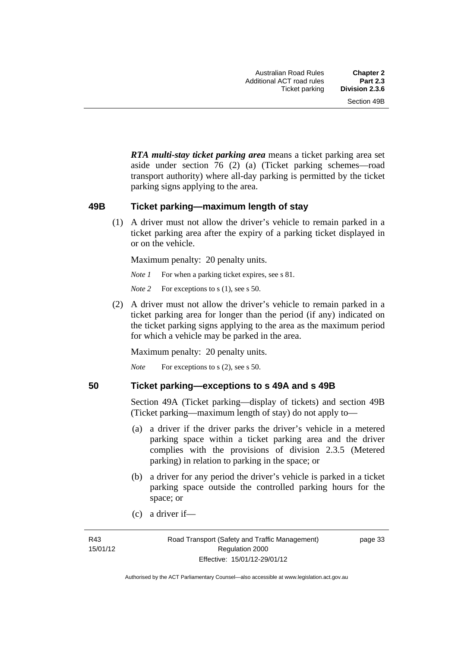*RTA multi-stay ticket parking area* means a ticket parking area set aside under section 76 (2) (a) (Ticket parking schemes—road transport authority) where all-day parking is permitted by the ticket parking signs applying to the area.

#### **49B Ticket parking—maximum length of stay**

(1) A driver must not allow the driver's vehicle to remain parked in a ticket parking area after the expiry of a parking ticket displayed in or on the vehicle.

Maximum penalty: 20 penalty units.

*Note 1* For when a parking ticket expires, see s 81.

*Note* 2 For exceptions to s (1), see s 50.

 (2) A driver must not allow the driver's vehicle to remain parked in a ticket parking area for longer than the period (if any) indicated on the ticket parking signs applying to the area as the maximum period for which a vehicle may be parked in the area.

Maximum penalty: 20 penalty units.

*Note* For exceptions to s (2), see s 50.

#### **50 Ticket parking—exceptions to s 49A and s 49B**

Section 49A (Ticket parking—display of tickets) and section 49B (Ticket parking—maximum length of stay) do not apply to—

- (a) a driver if the driver parks the driver's vehicle in a metered parking space within a ticket parking area and the driver complies with the provisions of division 2.3.5 (Metered parking) in relation to parking in the space; or
- (b) a driver for any period the driver's vehicle is parked in a ticket parking space outside the controlled parking hours for the space; or
- (c) a driver if—

page 33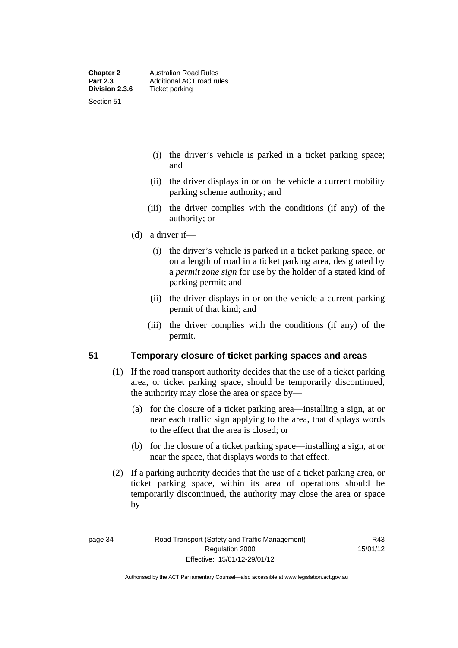- (i) the driver's vehicle is parked in a ticket parking space; and
- (ii) the driver displays in or on the vehicle a current mobility parking scheme authority; and
- (iii) the driver complies with the conditions (if any) of the authority; or
- (d) a driver if—
	- (i) the driver's vehicle is parked in a ticket parking space, or on a length of road in a ticket parking area, designated by a *permit zone sign* for use by the holder of a stated kind of parking permit; and
	- (ii) the driver displays in or on the vehicle a current parking permit of that kind; and
	- (iii) the driver complies with the conditions (if any) of the permit.

### **51 Temporary closure of ticket parking spaces and areas**

- (1) If the road transport authority decides that the use of a ticket parking area, or ticket parking space, should be temporarily discontinued, the authority may close the area or space by—
	- (a) for the closure of a ticket parking area—installing a sign, at or near each traffic sign applying to the area, that displays words to the effect that the area is closed; or
	- (b) for the closure of a ticket parking space—installing a sign, at or near the space, that displays words to that effect.
- (2) If a parking authority decides that the use of a ticket parking area, or ticket parking space, within its area of operations should be temporarily discontinued, the authority may close the area or space  $by-$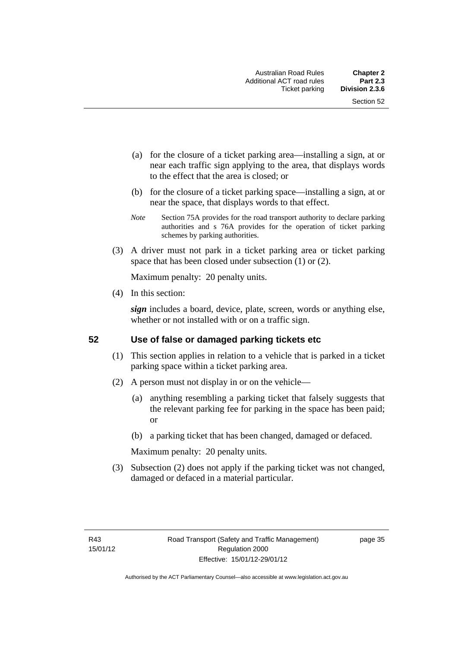- (a) for the closure of a ticket parking area—installing a sign, at or near each traffic sign applying to the area, that displays words to the effect that the area is closed; or
- (b) for the closure of a ticket parking space—installing a sign, at or near the space, that displays words to that effect.
- *Note* Section 75A provides for the road transport authority to declare parking authorities and s 76A provides for the operation of ticket parking schemes by parking authorities.
- (3) A driver must not park in a ticket parking area or ticket parking space that has been closed under subsection (1) or (2).

Maximum penalty: 20 penalty units.

(4) In this section:

*sign* includes a board, device, plate, screen, words or anything else, whether or not installed with or on a traffic sign.

#### **52 Use of false or damaged parking tickets etc**

- (1) This section applies in relation to a vehicle that is parked in a ticket parking space within a ticket parking area.
- (2) A person must not display in or on the vehicle—
	- (a) anything resembling a parking ticket that falsely suggests that the relevant parking fee for parking in the space has been paid; or
	- (b) a parking ticket that has been changed, damaged or defaced.

Maximum penalty: 20 penalty units.

 (3) Subsection (2) does not apply if the parking ticket was not changed, damaged or defaced in a material particular.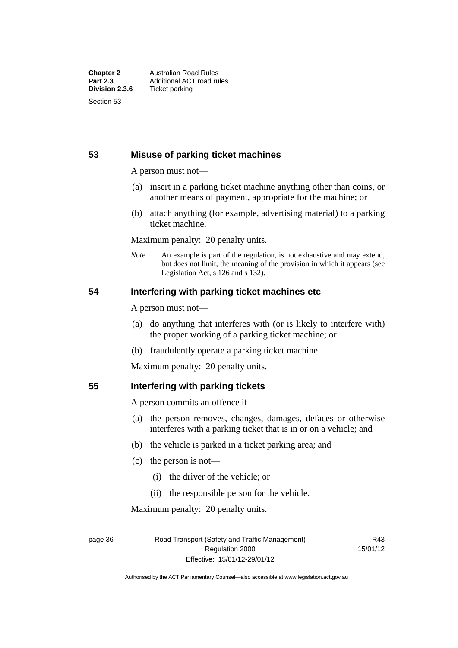### **53 Misuse of parking ticket machines**

A person must not—

- (a) insert in a parking ticket machine anything other than coins, or another means of payment, appropriate for the machine; or
- (b) attach anything (for example, advertising material) to a parking ticket machine.

Maximum penalty: 20 penalty units.

*Note* An example is part of the regulation, is not exhaustive and may extend, but does not limit, the meaning of the provision in which it appears (see Legislation Act, s 126 and s 132).

### **54 Interfering with parking ticket machines etc**

A person must not—

- (a) do anything that interferes with (or is likely to interfere with) the proper working of a parking ticket machine; or
- (b) fraudulently operate a parking ticket machine.

Maximum penalty: 20 penalty units.

#### **55 Interfering with parking tickets**

A person commits an offence if—

- (a) the person removes, changes, damages, defaces or otherwise interferes with a parking ticket that is in or on a vehicle; and
- (b) the vehicle is parked in a ticket parking area; and
- (c) the person is not—
	- (i) the driver of the vehicle; or
	- (ii) the responsible person for the vehicle.

Maximum penalty: 20 penalty units.

page 36 Road Transport (Safety and Traffic Management) Regulation 2000 Effective: 15/01/12-29/01/12

R43 15/01/12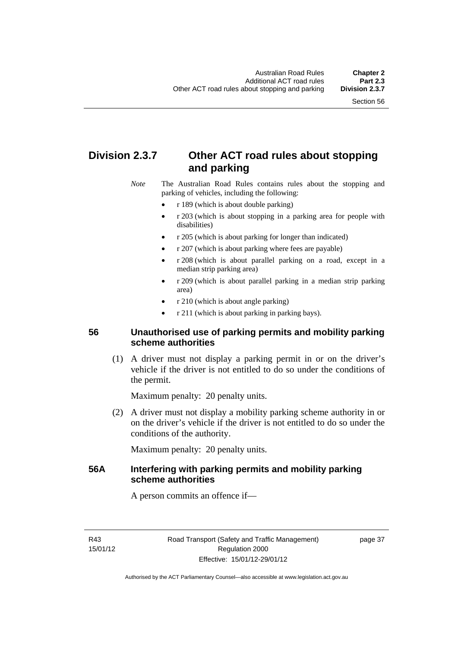# **Division 2.3.7 Other ACT road rules about stopping and parking**

*Note* The Australian Road Rules contains rules about the stopping and parking of vehicles, including the following:

- r 189 (which is about double parking)
- r 203 (which is about stopping in a parking area for people with disabilities)
- r 205 (which is about parking for longer than indicated)
- r 207 (which is about parking where fees are payable)
- r 208 (which is about parallel parking on a road, except in a median strip parking area)
- r 209 (which is about parallel parking in a median strip parking area)
- r 210 (which is about angle parking)
- r 211 (which is about parking in parking bays).

# **56 Unauthorised use of parking permits and mobility parking scheme authorities**

 (1) A driver must not display a parking permit in or on the driver's vehicle if the driver is not entitled to do so under the conditions of the permit.

Maximum penalty: 20 penalty units.

 (2) A driver must not display a mobility parking scheme authority in or on the driver's vehicle if the driver is not entitled to do so under the conditions of the authority.

Maximum penalty: 20 penalty units.

# **56A Interfering with parking permits and mobility parking scheme authorities**

A person commits an offence if—

R43 15/01/12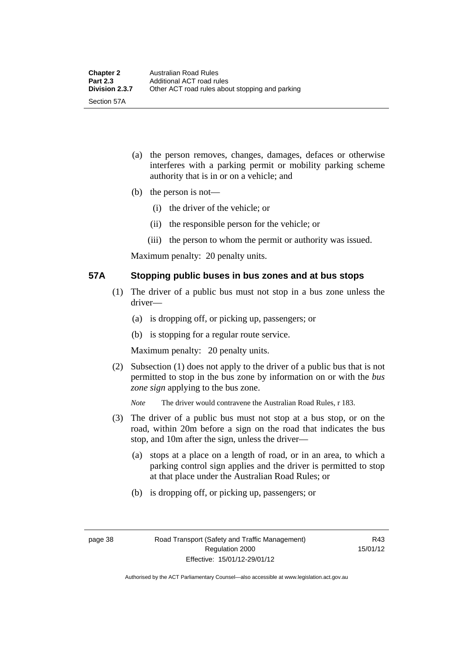- (a) the person removes, changes, damages, defaces or otherwise interferes with a parking permit or mobility parking scheme authority that is in or on a vehicle; and
- (b) the person is not—
	- (i) the driver of the vehicle; or
	- (ii) the responsible person for the vehicle; or
	- (iii) the person to whom the permit or authority was issued.

Maximum penalty: 20 penalty units.

### **57A Stopping public buses in bus zones and at bus stops**

- (1) The driver of a public bus must not stop in a bus zone unless the driver—
	- (a) is dropping off, or picking up, passengers; or
	- (b) is stopping for a regular route service.

Maximum penalty: 20 penalty units.

- (2) Subsection (1) does not apply to the driver of a public bus that is not permitted to stop in the bus zone by information on or with the *bus zone sign* applying to the bus zone.
	- *Note* The driver would contravene the Australian Road Rules, r 183.
- (3) The driver of a public bus must not stop at a bus stop, or on the road, within 20m before a sign on the road that indicates the bus stop, and 10m after the sign, unless the driver—
	- (a) stops at a place on a length of road, or in an area, to which a parking control sign applies and the driver is permitted to stop at that place under the Australian Road Rules; or
	- (b) is dropping off, or picking up, passengers; or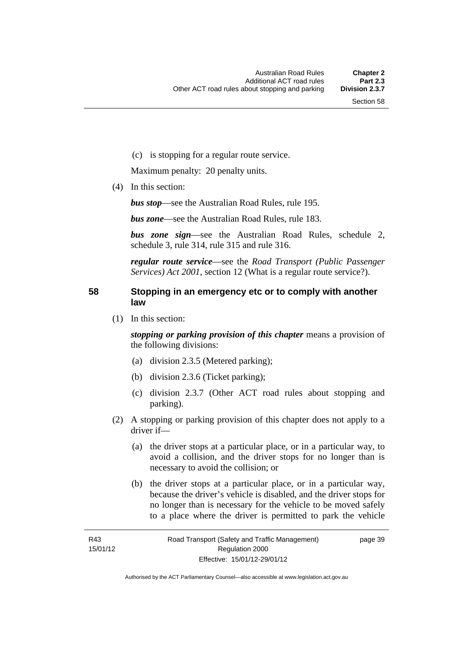page 39

(c) is stopping for a regular route service.

Maximum penalty: 20 penalty units.

(4) In this section:

*bus stop*—see the Australian Road Rules, rule 195.

*bus zone*—see the Australian Road Rules, rule 183.

*bus zone sign*—see the Australian Road Rules, schedule 2, schedule 3, rule 314, rule 315 and rule 316.

*regular route service*—see the *Road Transport (Public Passenger Services) Act 2001*, section 12 (What is a regular route service?).

## **58 Stopping in an emergency etc or to comply with another law**

(1) In this section:

*stopping or parking provision of this chapter* means a provision of the following divisions:

- (a) division 2.3.5 (Metered parking);
- (b) division 2.3.6 (Ticket parking);
- (c) division 2.3.7 (Other ACT road rules about stopping and parking).
- (2) A stopping or parking provision of this chapter does not apply to a driver if—
	- (a) the driver stops at a particular place, or in a particular way, to avoid a collision, and the driver stops for no longer than is necessary to avoid the collision; or
	- (b) the driver stops at a particular place, or in a particular way, because the driver's vehicle is disabled, and the driver stops for no longer than is necessary for the vehicle to be moved safely to a place where the driver is permitted to park the vehicle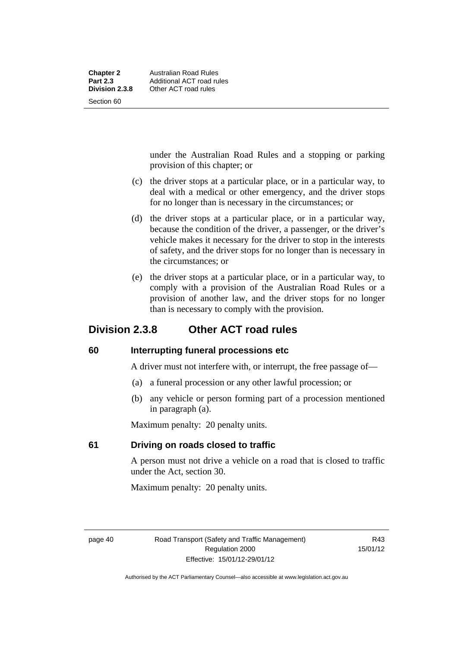| <b>Chapter 2</b> | Australian Road Rules     |
|------------------|---------------------------|
| <b>Part 2.3</b>  | Additional ACT road rules |
| Division 2.3.8   | Other ACT road rules      |
| Section 60       |                           |

under the Australian Road Rules and a stopping or parking provision of this chapter; or

- (c) the driver stops at a particular place, or in a particular way, to deal with a medical or other emergency, and the driver stops for no longer than is necessary in the circumstances; or
- (d) the driver stops at a particular place, or in a particular way, because the condition of the driver, a passenger, or the driver's vehicle makes it necessary for the driver to stop in the interests of safety, and the driver stops for no longer than is necessary in the circumstances; or
- (e) the driver stops at a particular place, or in a particular way, to comply with a provision of the Australian Road Rules or a provision of another law, and the driver stops for no longer than is necessary to comply with the provision.

# **Division 2.3.8 Other ACT road rules**

### **60 Interrupting funeral processions etc**

A driver must not interfere with, or interrupt, the free passage of—

- (a) a funeral procession or any other lawful procession; or
- (b) any vehicle or person forming part of a procession mentioned in paragraph (a).

Maximum penalty: 20 penalty units.

# **61 Driving on roads closed to traffic**

A person must not drive a vehicle on a road that is closed to traffic under the Act, section 30.

Maximum penalty: 20 penalty units.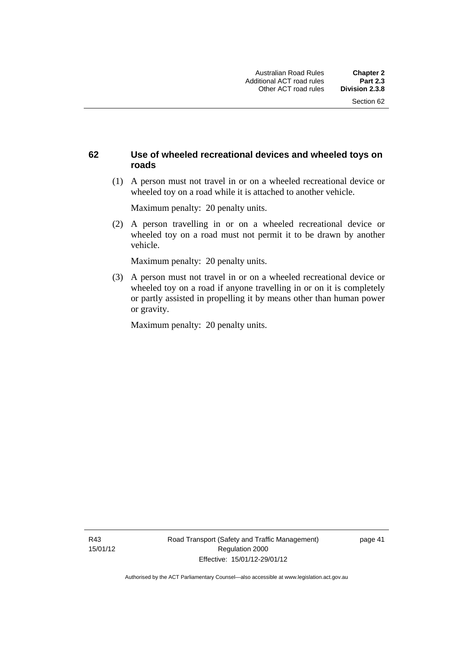# **62 Use of wheeled recreational devices and wheeled toys on roads**

 (1) A person must not travel in or on a wheeled recreational device or wheeled toy on a road while it is attached to another vehicle.

Maximum penalty: 20 penalty units.

 (2) A person travelling in or on a wheeled recreational device or wheeled toy on a road must not permit it to be drawn by another vehicle.

Maximum penalty: 20 penalty units.

 (3) A person must not travel in or on a wheeled recreational device or wheeled toy on a road if anyone travelling in or on it is completely or partly assisted in propelling it by means other than human power or gravity.

Maximum penalty: 20 penalty units.

R43 15/01/12 page 41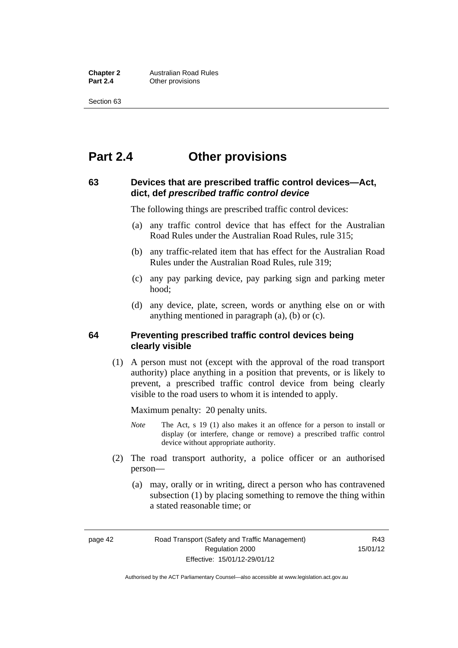**Chapter 2 Australian Road Rules**<br>**Part 2.4 Other provisions Other provisions** 

Section 63

# **Part 2.4 Other provisions**

### **63 Devices that are prescribed traffic control devices—Act, dict, def** *prescribed traffic control device*

The following things are prescribed traffic control devices:

- (a) any traffic control device that has effect for the Australian Road Rules under the Australian Road Rules, rule 315;
- (b) any traffic-related item that has effect for the Australian Road Rules under the Australian Road Rules, rule 319;
- (c) any pay parking device, pay parking sign and parking meter hood;
- (d) any device, plate, screen, words or anything else on or with anything mentioned in paragraph (a), (b) or (c).

#### **64 Preventing prescribed traffic control devices being clearly visible**

 (1) A person must not (except with the approval of the road transport authority) place anything in a position that prevents, or is likely to prevent, a prescribed traffic control device from being clearly visible to the road users to whom it is intended to apply.

Maximum penalty: 20 penalty units.

- *Note* The Act, s 19 (1) also makes it an offence for a person to install or display (or interfere, change or remove) a prescribed traffic control device without appropriate authority.
- (2) The road transport authority, a police officer or an authorised person—
	- (a) may, orally or in writing, direct a person who has contravened subsection (1) by placing something to remove the thing within a stated reasonable time; or

page 42 Road Transport (Safety and Traffic Management) Regulation 2000 Effective: 15/01/12-29/01/12

R43 15/01/12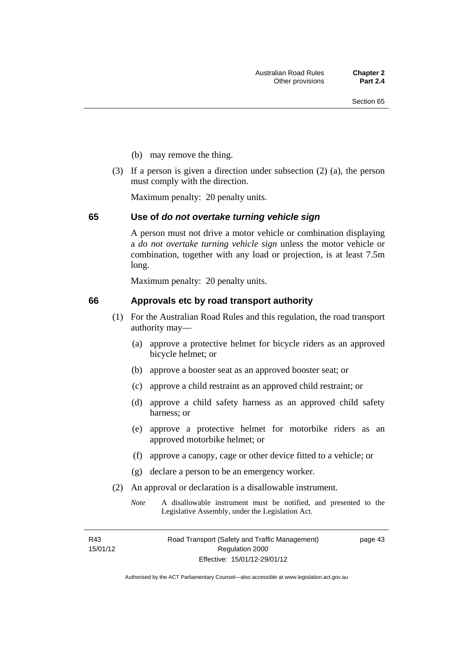- (b) may remove the thing.
- (3) If a person is given a direction under subsection (2) (a), the person must comply with the direction.

Maximum penalty: 20 penalty units.

#### **65 Use of** *do not overtake turning vehicle sign*

A person must not drive a motor vehicle or combination displaying a *do not overtake turning vehicle sign* unless the motor vehicle or combination, together with any load or projection, is at least 7.5m long.

Maximum penalty: 20 penalty units.

#### **66 Approvals etc by road transport authority**

- (1) For the Australian Road Rules and this regulation, the road transport authority may—
	- (a) approve a protective helmet for bicycle riders as an approved bicycle helmet; or
	- (b) approve a booster seat as an approved booster seat; or
	- (c) approve a child restraint as an approved child restraint; or
	- (d) approve a child safety harness as an approved child safety harness; or
	- (e) approve a protective helmet for motorbike riders as an approved motorbike helmet; or
	- (f) approve a canopy, cage or other device fitted to a vehicle; or
	- (g) declare a person to be an emergency worker.
- (2) An approval or declaration is a disallowable instrument.
	- *Note* A disallowable instrument must be notified, and presented to the Legislative Assembly, under the Legislation Act.

R43 15/01/12 page 43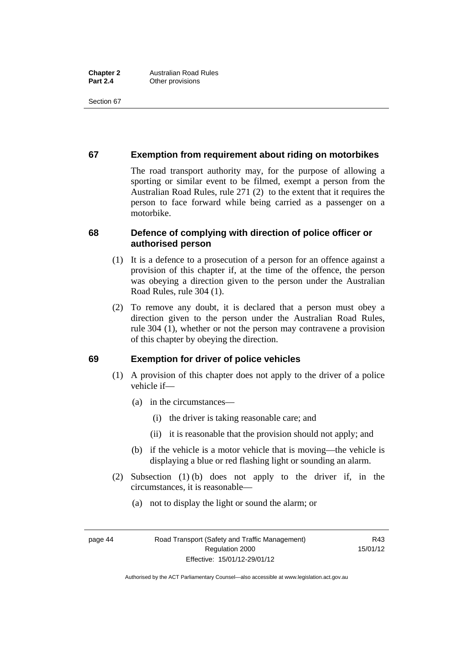Section 67

# **67 Exemption from requirement about riding on motorbikes**

The road transport authority may, for the purpose of allowing a sporting or similar event to be filmed, exempt a person from the Australian Road Rules, rule 271 (2) to the extent that it requires the person to face forward while being carried as a passenger on a motorbike.

# **68 Defence of complying with direction of police officer or authorised person**

- (1) It is a defence to a prosecution of a person for an offence against a provision of this chapter if, at the time of the offence, the person was obeying a direction given to the person under the Australian Road Rules, rule 304 (1).
- (2) To remove any doubt, it is declared that a person must obey a direction given to the person under the Australian Road Rules, rule 304 (1), whether or not the person may contravene a provision of this chapter by obeying the direction.

### **69 Exemption for driver of police vehicles**

- (1) A provision of this chapter does not apply to the driver of a police vehicle if—
	- (a) in the circumstances—
		- (i) the driver is taking reasonable care; and
		- (ii) it is reasonable that the provision should not apply; and
	- (b) if the vehicle is a motor vehicle that is moving—the vehicle is displaying a blue or red flashing light or sounding an alarm.
- (2) Subsection (1) (b) does not apply to the driver if, in the circumstances, it is reasonable—
	- (a) not to display the light or sound the alarm; or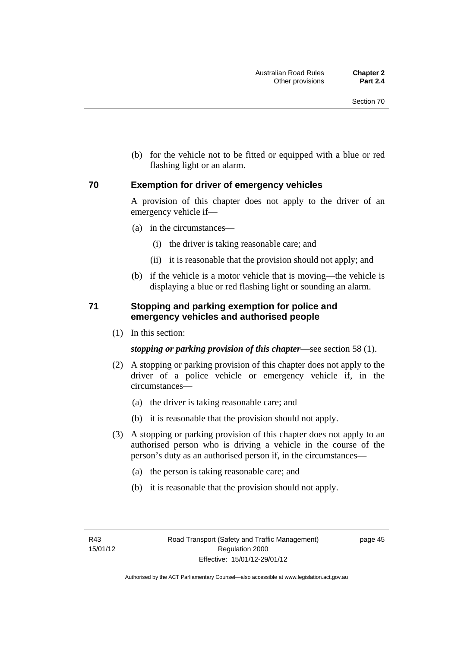(b) for the vehicle not to be fitted or equipped with a blue or red flashing light or an alarm.

#### **70 Exemption for driver of emergency vehicles**

A provision of this chapter does not apply to the driver of an emergency vehicle if—

- (a) in the circumstances—
	- (i) the driver is taking reasonable care; and
	- (ii) it is reasonable that the provision should not apply; and
- (b) if the vehicle is a motor vehicle that is moving—the vehicle is displaying a blue or red flashing light or sounding an alarm.

## **71 Stopping and parking exemption for police and emergency vehicles and authorised people**

(1) In this section:

*stopping or parking provision of this chapter*—see section 58 (1).

- (2) A stopping or parking provision of this chapter does not apply to the driver of a police vehicle or emergency vehicle if, in the circumstances—
	- (a) the driver is taking reasonable care; and
	- (b) it is reasonable that the provision should not apply.
- (3) A stopping or parking provision of this chapter does not apply to an authorised person who is driving a vehicle in the course of the person's duty as an authorised person if, in the circumstances—
	- (a) the person is taking reasonable care; and
	- (b) it is reasonable that the provision should not apply.

page 45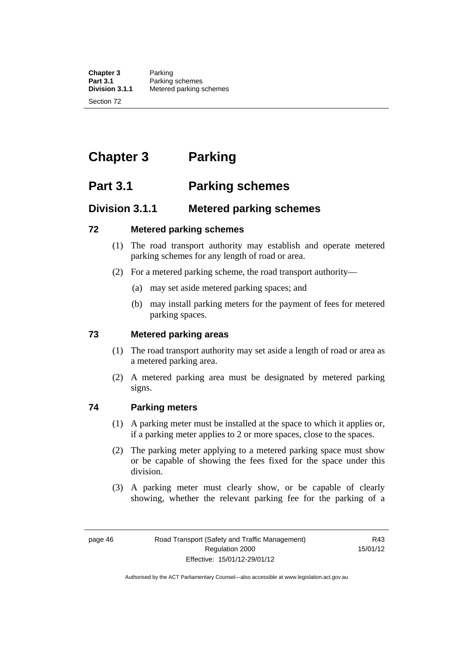**Chapter 3** Parking<br>**Part 3.1** Parking **Part 3.1** Parking schemes<br>**Division 3.1.1** Metered parking s **Division 3.1.1** Metered parking schemes

Section 72

# **Chapter 3 Parking**

# **Part 3.1 Parking schemes**

# **Division 3.1.1 Metered parking schemes**

## **72 Metered parking schemes**

- (1) The road transport authority may establish and operate metered parking schemes for any length of road or area.
- (2) For a metered parking scheme, the road transport authority—
	- (a) may set aside metered parking spaces; and
	- (b) may install parking meters for the payment of fees for metered parking spaces.

# **73 Metered parking areas**

- (1) The road transport authority may set aside a length of road or area as a metered parking area.
- (2) A metered parking area must be designated by metered parking signs.

# **74 Parking meters**

- (1) A parking meter must be installed at the space to which it applies or, if a parking meter applies to 2 or more spaces, close to the spaces.
- (2) The parking meter applying to a metered parking space must show or be capable of showing the fees fixed for the space under this division.
- (3) A parking meter must clearly show, or be capable of clearly showing, whether the relevant parking fee for the parking of a

R43 15/01/12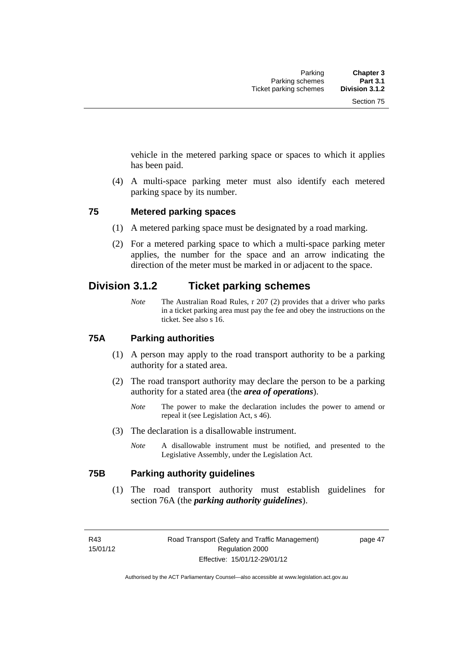vehicle in the metered parking space or spaces to which it applies has been paid.

 (4) A multi-space parking meter must also identify each metered parking space by its number.

#### **75 Metered parking spaces**

- (1) A metered parking space must be designated by a road marking.
- (2) For a metered parking space to which a multi-space parking meter applies, the number for the space and an arrow indicating the direction of the meter must be marked in or adjacent to the space.

# **Division 3.1.2 Ticket parking schemes**

*Note* The Australian Road Rules, r 207 (2) provides that a driver who parks in a ticket parking area must pay the fee and obey the instructions on the ticket. See also s 16.

### **75A Parking authorities**

- (1) A person may apply to the road transport authority to be a parking authority for a stated area.
- (2) The road transport authority may declare the person to be a parking authority for a stated area (the *area of operations*).
	- *Note* The power to make the declaration includes the power to amend or repeal it (see Legislation Act, s 46).
- (3) The declaration is a disallowable instrument.
	- *Note* A disallowable instrument must be notified, and presented to the Legislative Assembly, under the Legislation Act.

#### **75B Parking authority guidelines**

 (1) The road transport authority must establish guidelines for section 76A (the *parking authority guidelines*).

R43 15/01/12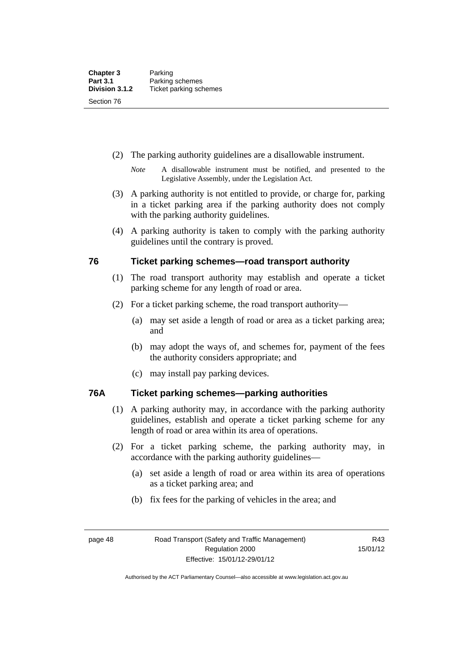- (2) The parking authority guidelines are a disallowable instrument.
	- *Note* A disallowable instrument must be notified, and presented to the Legislative Assembly, under the Legislation Act.
- (3) A parking authority is not entitled to provide, or charge for, parking in a ticket parking area if the parking authority does not comply with the parking authority guidelines.
- (4) A parking authority is taken to comply with the parking authority guidelines until the contrary is proved.

## **76 Ticket parking schemes—road transport authority**

- (1) The road transport authority may establish and operate a ticket parking scheme for any length of road or area.
- (2) For a ticket parking scheme, the road transport authority—
	- (a) may set aside a length of road or area as a ticket parking area; and
	- (b) may adopt the ways of, and schemes for, payment of the fees the authority considers appropriate; and
	- (c) may install pay parking devices.

### **76A Ticket parking schemes—parking authorities**

- (1) A parking authority may, in accordance with the parking authority guidelines, establish and operate a ticket parking scheme for any length of road or area within its area of operations.
- (2) For a ticket parking scheme, the parking authority may, in accordance with the parking authority guidelines—
	- (a) set aside a length of road or area within its area of operations as a ticket parking area; and
	- (b) fix fees for the parking of vehicles in the area; and

Authorised by the ACT Parliamentary Counsel—also accessible at www.legislation.act.gov.au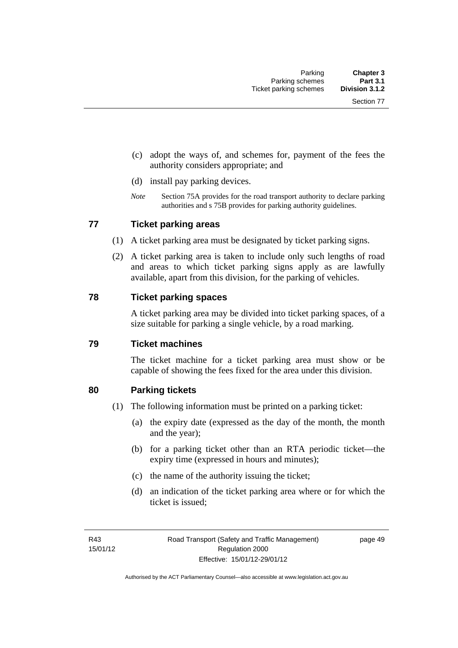- (c) adopt the ways of, and schemes for, payment of the fees the authority considers appropriate; and
- (d) install pay parking devices.
- *Note* Section 75A provides for the road transport authority to declare parking authorities and s 75B provides for parking authority guidelines.

### **77 Ticket parking areas**

- (1) A ticket parking area must be designated by ticket parking signs.
- (2) A ticket parking area is taken to include only such lengths of road and areas to which ticket parking signs apply as are lawfully available, apart from this division, for the parking of vehicles.

#### **78 Ticket parking spaces**

A ticket parking area may be divided into ticket parking spaces, of a size suitable for parking a single vehicle, by a road marking.

#### **79 Ticket machines**

The ticket machine for a ticket parking area must show or be capable of showing the fees fixed for the area under this division.

#### **80 Parking tickets**

- (1) The following information must be printed on a parking ticket:
	- (a) the expiry date (expressed as the day of the month, the month and the year);
	- (b) for a parking ticket other than an RTA periodic ticket—the expiry time (expressed in hours and minutes);
	- (c) the name of the authority issuing the ticket;
	- (d) an indication of the ticket parking area where or for which the ticket is issued;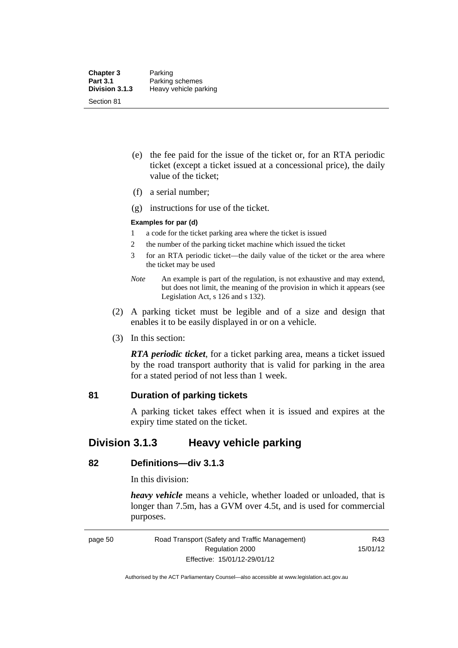- (e) the fee paid for the issue of the ticket or, for an RTA periodic ticket (except a ticket issued at a concessional price), the daily value of the ticket;
- (f) a serial number;
- (g) instructions for use of the ticket.

#### **Examples for par (d)**

- 1 a code for the ticket parking area where the ticket is issued
- 2 the number of the parking ticket machine which issued the ticket
- 3 for an RTA periodic ticket—the daily value of the ticket or the area where the ticket may be used
- *Note* An example is part of the regulation, is not exhaustive and may extend, but does not limit, the meaning of the provision in which it appears (see Legislation Act, s 126 and s 132).
- (2) A parking ticket must be legible and of a size and design that enables it to be easily displayed in or on a vehicle.
- (3) In this section:

*RTA periodic ticket*, for a ticket parking area, means a ticket issued by the road transport authority that is valid for parking in the area for a stated period of not less than 1 week.

### **81 Duration of parking tickets**

A parking ticket takes effect when it is issued and expires at the expiry time stated on the ticket.

# **Division 3.1.3 Heavy vehicle parking**

### **82 Definitions—div 3.1.3**

In this division:

*heavy vehicle* means a vehicle, whether loaded or unloaded, that is longer than 7.5m, has a GVM over 4.5t, and is used for commercial purposes.

page 50 Road Transport (Safety and Traffic Management) Regulation 2000 Effective: 15/01/12-29/01/12

R43 15/01/12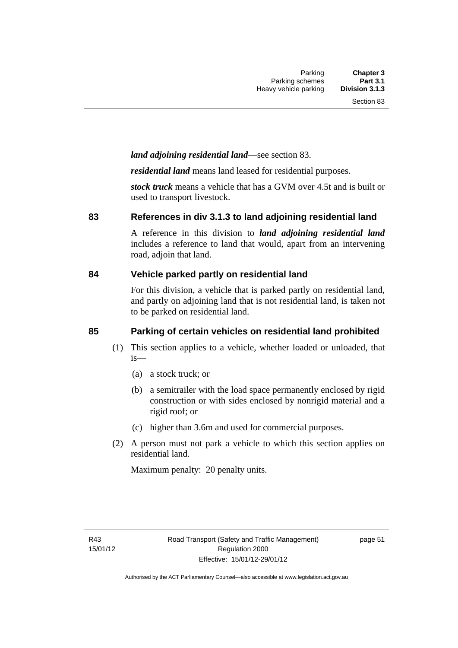# *land adjoining residential land*—see section 83.

*residential land* means land leased for residential purposes.

*stock truck* means a vehicle that has a GVM over 4.5t and is built or used to transport livestock.

#### **83 References in div 3.1.3 to land adjoining residential land**

A reference in this division to *land adjoining residential land* includes a reference to land that would, apart from an intervening road, adjoin that land.

### **84 Vehicle parked partly on residential land**

For this division, a vehicle that is parked partly on residential land, and partly on adjoining land that is not residential land, is taken not to be parked on residential land.

# **85 Parking of certain vehicles on residential land prohibited**

- (1) This section applies to a vehicle, whether loaded or unloaded, that is—
	- (a) a stock truck; or
	- (b) a semitrailer with the load space permanently enclosed by rigid construction or with sides enclosed by nonrigid material and a rigid roof; or
	- (c) higher than 3.6m and used for commercial purposes.
- (2) A person must not park a vehicle to which this section applies on residential land.

Maximum penalty: 20 penalty units.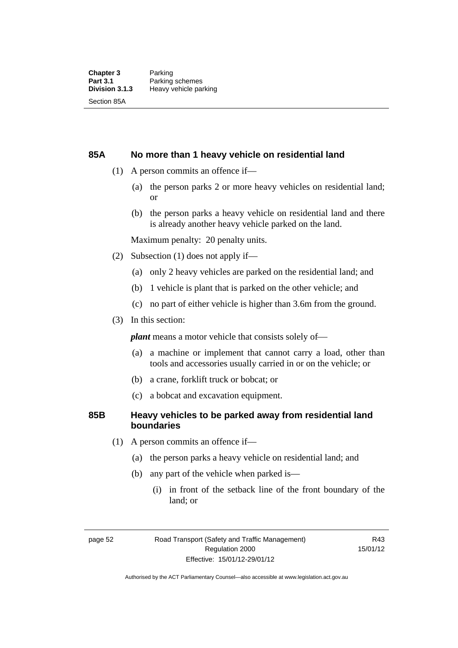#### **85A No more than 1 heavy vehicle on residential land**

- (1) A person commits an offence if—
	- (a) the person parks 2 or more heavy vehicles on residential land; or
	- (b) the person parks a heavy vehicle on residential land and there is already another heavy vehicle parked on the land.

Maximum penalty: 20 penalty units.

- (2) Subsection (1) does not apply if—
	- (a) only 2 heavy vehicles are parked on the residential land; and
	- (b) 1 vehicle is plant that is parked on the other vehicle; and
	- (c) no part of either vehicle is higher than 3.6m from the ground.
- (3) In this section:

*plant* means a motor vehicle that consists solely of—

- (a) a machine or implement that cannot carry a load, other than tools and accessories usually carried in or on the vehicle; or
- (b) a crane, forklift truck or bobcat; or
- (c) a bobcat and excavation equipment.

#### **85B Heavy vehicles to be parked away from residential land boundaries**

- (1) A person commits an offence if—
	- (a) the person parks a heavy vehicle on residential land; and
	- (b) any part of the vehicle when parked is—
		- (i) in front of the setback line of the front boundary of the land; or

R43 15/01/12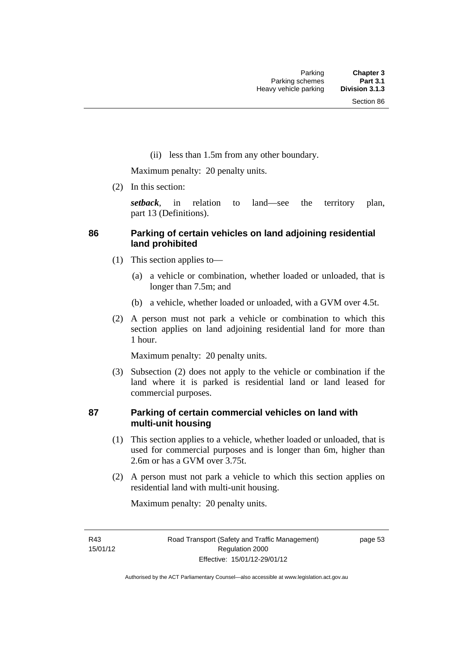(ii) less than 1.5m from any other boundary.

Maximum penalty: 20 penalty units.

(2) In this section:

*setback*, in relation to land—see the territory plan, part 13 (Definitions).

# **86 Parking of certain vehicles on land adjoining residential land prohibited**

- (1) This section applies to—
	- (a) a vehicle or combination, whether loaded or unloaded, that is longer than 7.5m; and
	- (b) a vehicle, whether loaded or unloaded, with a GVM over 4.5t.
- (2) A person must not park a vehicle or combination to which this section applies on land adjoining residential land for more than 1 hour.

Maximum penalty: 20 penalty units.

 (3) Subsection (2) does not apply to the vehicle or combination if the land where it is parked is residential land or land leased for commercial purposes.

## **87 Parking of certain commercial vehicles on land with multi-unit housing**

- (1) This section applies to a vehicle, whether loaded or unloaded, that is used for commercial purposes and is longer than 6m, higher than 2.6m or has a GVM over 3.75t.
- (2) A person must not park a vehicle to which this section applies on residential land with multi-unit housing.

Maximum penalty: 20 penalty units.

R43 15/01/12 page 53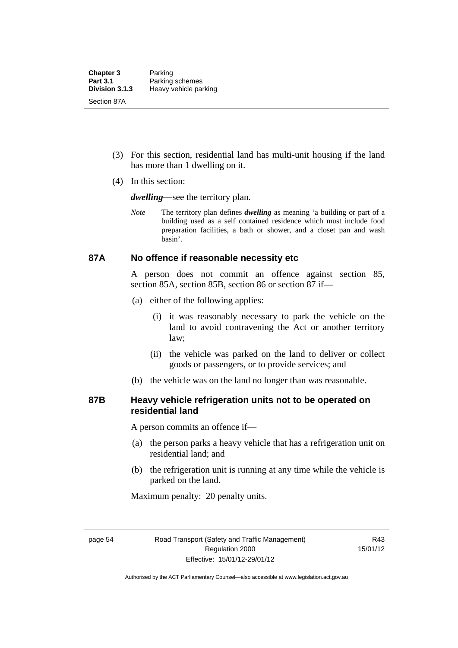- (3) For this section, residential land has multi-unit housing if the land has more than 1 dwelling on it.
- (4) In this section:

*dwelling—*see the territory plan.

*Note* The territory plan defines *dwelling* as meaning 'a building or part of a building used as a self contained residence which must include food preparation facilities, a bath or shower, and a closet pan and wash basin'.

#### **87A No offence if reasonable necessity etc**

A person does not commit an offence against section 85, section 85A, section 85B, section 86 or section 87 if—

- (a) either of the following applies:
	- (i) it was reasonably necessary to park the vehicle on the land to avoid contravening the Act or another territory law;
	- (ii) the vehicle was parked on the land to deliver or collect goods or passengers, or to provide services; and
- (b) the vehicle was on the land no longer than was reasonable.

### **87B Heavy vehicle refrigeration units not to be operated on residential land**

A person commits an offence if—

- (a) the person parks a heavy vehicle that has a refrigeration unit on residential land; and
- (b) the refrigeration unit is running at any time while the vehicle is parked on the land.

Maximum penalty: 20 penalty units.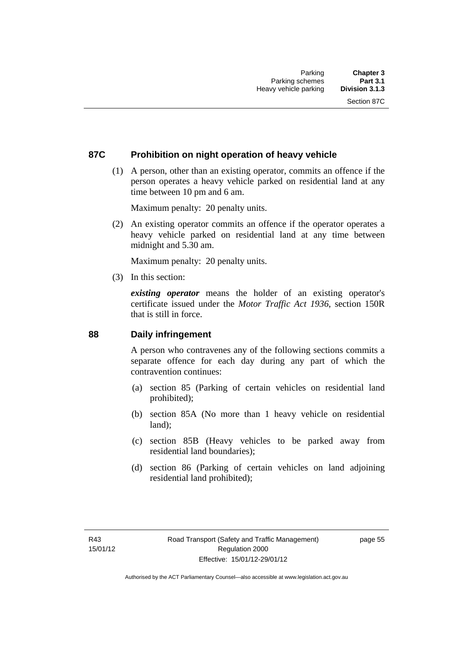## **87C Prohibition on night operation of heavy vehicle**

 (1) A person, other than an existing operator, commits an offence if the person operates a heavy vehicle parked on residential land at any time between 10 pm and 6 am.

Maximum penalty: 20 penalty units.

 (2) An existing operator commits an offence if the operator operates a heavy vehicle parked on residential land at any time between midnight and 5.30 am.

Maximum penalty: 20 penalty units.

(3) In this section:

*existing operator* means the holder of an existing operator's certificate issued under the *Motor Traffic Act 1936*, section 150R that is still in force.

#### **88 Daily infringement**

A person who contravenes any of the following sections commits a separate offence for each day during any part of which the contravention continues:

- (a) section 85 (Parking of certain vehicles on residential land prohibited);
- (b) section 85A (No more than 1 heavy vehicle on residential land);
- (c) section 85B (Heavy vehicles to be parked away from residential land boundaries);
- (d) section 86 (Parking of certain vehicles on land adjoining residential land prohibited);

page 55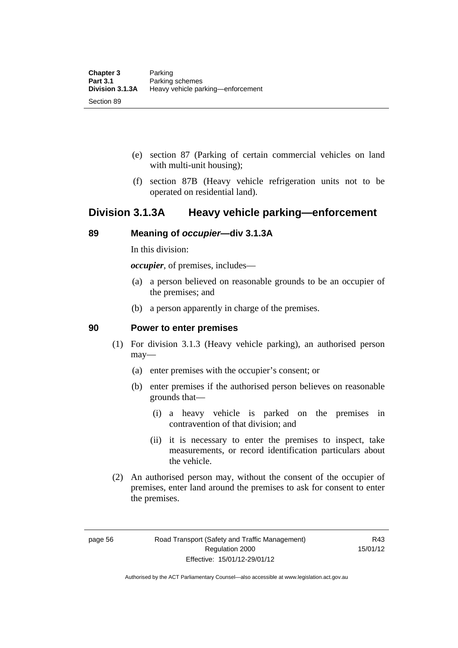- (e) section 87 (Parking of certain commercial vehicles on land with multi-unit housing);
- (f) section 87B (Heavy vehicle refrigeration units not to be operated on residential land).

## **Division 3.1.3A Heavy vehicle parking—enforcement**

## **89 Meaning of** *occupier***—div 3.1.3A**

In this division:

*occupier*, of premises, includes—

- (a) a person believed on reasonable grounds to be an occupier of the premises; and
- (b) a person apparently in charge of the premises.

#### **90 Power to enter premises**

- (1) For division 3.1.3 (Heavy vehicle parking), an authorised person may—
	- (a) enter premises with the occupier's consent; or
	- (b) enter premises if the authorised person believes on reasonable grounds that—
		- (i) a heavy vehicle is parked on the premises in contravention of that division; and
		- (ii) it is necessary to enter the premises to inspect, take measurements, or record identification particulars about the vehicle.
- (2) An authorised person may, without the consent of the occupier of premises, enter land around the premises to ask for consent to enter the premises.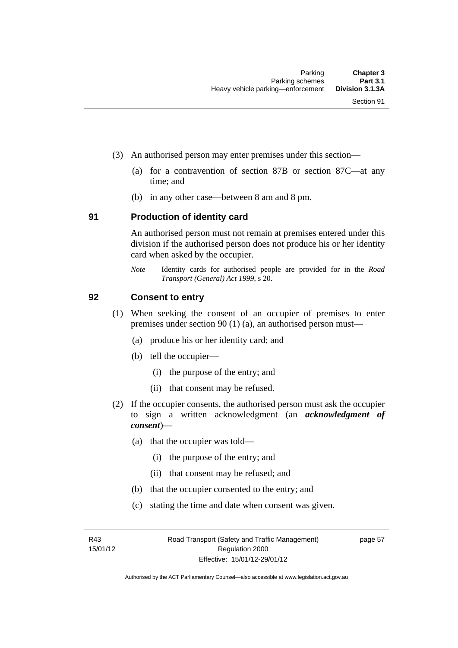- (3) An authorised person may enter premises under this section––
	- (a) for a contravention of section 87B or section 87C––at any time; and
	- (b) in any other case––between 8 am and 8 pm.

#### **91 Production of identity card**

An authorised person must not remain at premises entered under this division if the authorised person does not produce his or her identity card when asked by the occupier.

*Note* Identity cards for authorised people are provided for in the *Road Transport (General) Act 1999*, s 20.

#### **92 Consent to entry**

- (1) When seeking the consent of an occupier of premises to enter premises under section 90 (1) (a), an authorised person must—
	- (a) produce his or her identity card; and
	- (b) tell the occupier—
		- (i) the purpose of the entry; and
		- (ii) that consent may be refused.
- (2) If the occupier consents, the authorised person must ask the occupier to sign a written acknowledgment (an *acknowledgment of consent*)—
	- (a) that the occupier was told—
		- (i) the purpose of the entry; and
		- (ii) that consent may be refused; and
	- (b) that the occupier consented to the entry; and
	- (c) stating the time and date when consent was given.

R43 15/01/12 page 57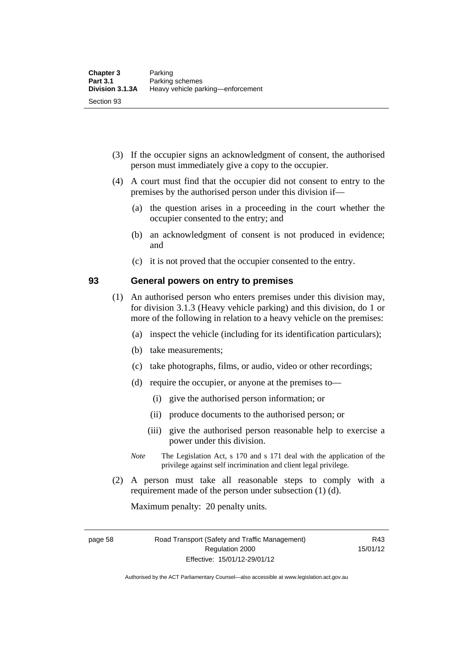- (3) If the occupier signs an acknowledgment of consent, the authorised person must immediately give a copy to the occupier.
- (4) A court must find that the occupier did not consent to entry to the premises by the authorised person under this division if—
	- (a) the question arises in a proceeding in the court whether the occupier consented to the entry; and
	- (b) an acknowledgment of consent is not produced in evidence; and
	- (c) it is not proved that the occupier consented to the entry.

#### **93 General powers on entry to premises**

- (1) An authorised person who enters premises under this division may, for division 3.1.3 (Heavy vehicle parking) and this division, do 1 or more of the following in relation to a heavy vehicle on the premises:
	- (a) inspect the vehicle (including for its identification particulars);
	- (b) take measurements;
	- (c) take photographs, films, or audio, video or other recordings;
	- (d) require the occupier, or anyone at the premises to—
		- (i) give the authorised person information; or
		- (ii) produce documents to the authorised person; or
		- (iii) give the authorised person reasonable help to exercise a power under this division.
	- *Note* The Legislation Act, s 170 and s 171 deal with the application of the privilege against self incrimination and client legal privilege.
- (2) A person must take all reasonable steps to comply with a requirement made of the person under subsection (1) (d).

Maximum penalty: 20 penalty units.

page 58 Road Transport (Safety and Traffic Management) Regulation 2000 Effective: 15/01/12-29/01/12

R43 15/01/12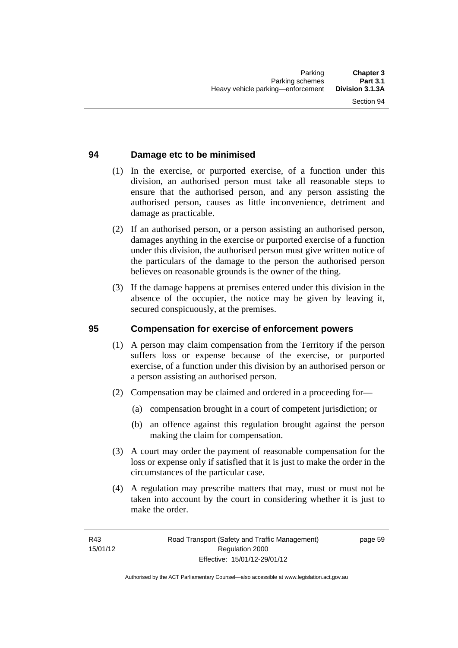## **94 Damage etc to be minimised**

- (1) In the exercise, or purported exercise, of a function under this division, an authorised person must take all reasonable steps to ensure that the authorised person, and any person assisting the authorised person, causes as little inconvenience, detriment and damage as practicable.
- (2) If an authorised person, or a person assisting an authorised person, damages anything in the exercise or purported exercise of a function under this division, the authorised person must give written notice of the particulars of the damage to the person the authorised person believes on reasonable grounds is the owner of the thing.
- (3) If the damage happens at premises entered under this division in the absence of the occupier, the notice may be given by leaving it, secured conspicuously, at the premises.

#### **95 Compensation for exercise of enforcement powers**

- (1) A person may claim compensation from the Territory if the person suffers loss or expense because of the exercise, or purported exercise, of a function under this division by an authorised person or a person assisting an authorised person.
- (2) Compensation may be claimed and ordered in a proceeding for—
	- (a) compensation brought in a court of competent jurisdiction; or
	- (b) an offence against this regulation brought against the person making the claim for compensation.
- (3) A court may order the payment of reasonable compensation for the loss or expense only if satisfied that it is just to make the order in the circumstances of the particular case.
- (4) A regulation may prescribe matters that may, must or must not be taken into account by the court in considering whether it is just to make the order.

page 59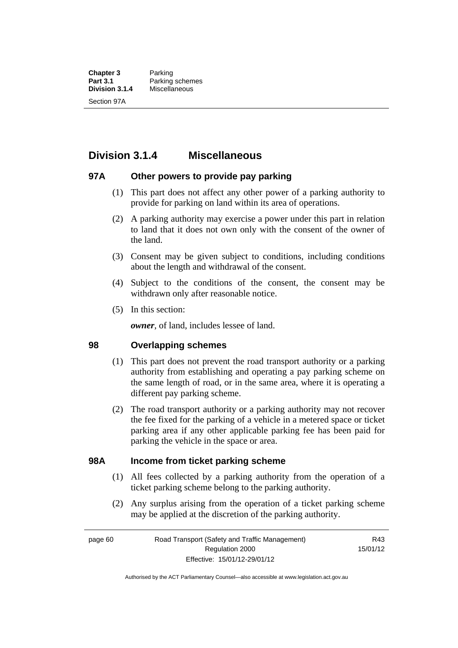**Chapter 3** Parking<br>**Part 3.1** Parking **Part 3.1** Parking schemes<br>Division 3.1.4 Miscellaneous **Division 3.1.4** Miscellaneous Section 97A

**Division 3.1.4 Miscellaneous** 

### **97A Other powers to provide pay parking**

- (1) This part does not affect any other power of a parking authority to provide for parking on land within its area of operations.
- (2) A parking authority may exercise a power under this part in relation to land that it does not own only with the consent of the owner of the land.
- (3) Consent may be given subject to conditions, including conditions about the length and withdrawal of the consent.
- (4) Subject to the conditions of the consent, the consent may be withdrawn only after reasonable notice.
- (5) In this section:

*owner*, of land, includes lessee of land.

#### **98 Overlapping schemes**

- (1) This part does not prevent the road transport authority or a parking authority from establishing and operating a pay parking scheme on the same length of road, or in the same area, where it is operating a different pay parking scheme.
- (2) The road transport authority or a parking authority may not recover the fee fixed for the parking of a vehicle in a metered space or ticket parking area if any other applicable parking fee has been paid for parking the vehicle in the space or area.

#### **98A Income from ticket parking scheme**

- (1) All fees collected by a parking authority from the operation of a ticket parking scheme belong to the parking authority.
- (2) Any surplus arising from the operation of a ticket parking scheme may be applied at the discretion of the parking authority.

page 60 Road Transport (Safety and Traffic Management) Regulation 2000 Effective: 15/01/12-29/01/12

R43 15/01/12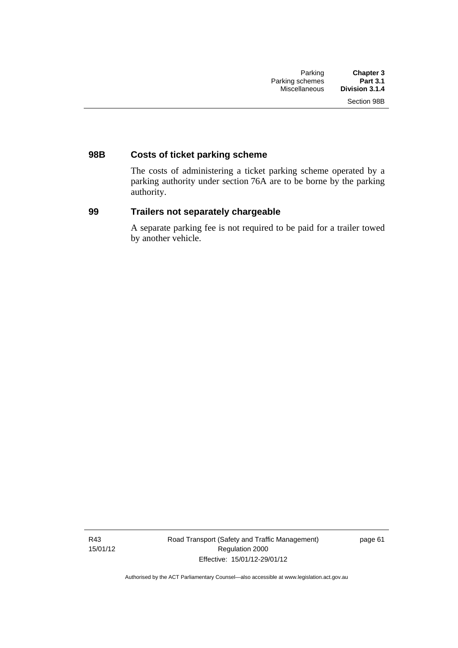## **98B Costs of ticket parking scheme**

The costs of administering a ticket parking scheme operated by a parking authority under section 76A are to be borne by the parking authority.

## **99 Trailers not separately chargeable**

A separate parking fee is not required to be paid for a trailer towed by another vehicle.

R43 15/01/12 Road Transport (Safety and Traffic Management) Regulation 2000 Effective: 15/01/12-29/01/12

page 61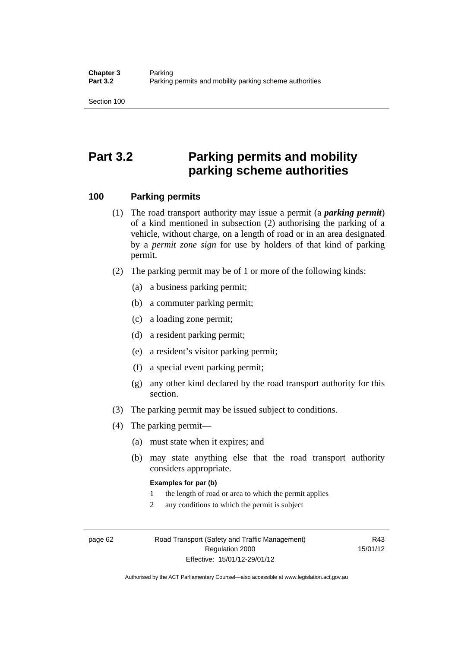Section 100

# **Part 3.2 Parking permits and mobility parking scheme authorities**

#### **100 Parking permits**

- (1) The road transport authority may issue a permit (a *parking permit*) of a kind mentioned in subsection (2) authorising the parking of a vehicle, without charge, on a length of road or in an area designated by a *permit zone sign* for use by holders of that kind of parking permit.
- (2) The parking permit may be of 1 or more of the following kinds:
	- (a) a business parking permit;
	- (b) a commuter parking permit;
	- (c) a loading zone permit;
	- (d) a resident parking permit;
	- (e) a resident's visitor parking permit;
	- (f) a special event parking permit;
	- (g) any other kind declared by the road transport authority for this section.
- (3) The parking permit may be issued subject to conditions.
- (4) The parking permit—
	- (a) must state when it expires; and
	- (b) may state anything else that the road transport authority considers appropriate.

#### **Examples for par (b)**

- 1 the length of road or area to which the permit applies
- 2 any conditions to which the permit is subject

page 62 Road Transport (Safety and Traffic Management) Regulation 2000 Effective: 15/01/12-29/01/12

R43 15/01/12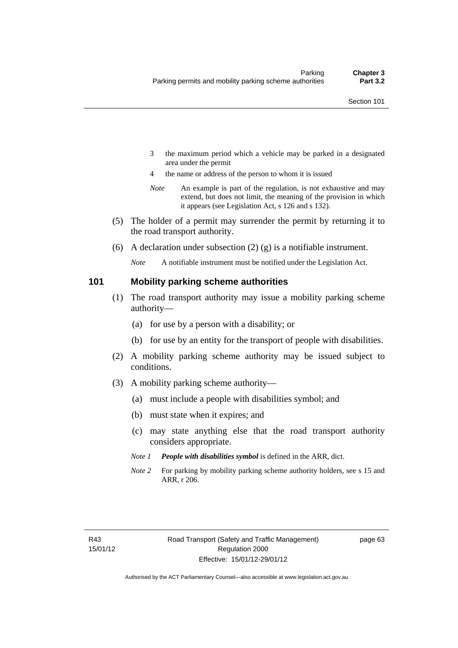- 3 the maximum period which a vehicle may be parked in a designated area under the permit
- 4 the name or address of the person to whom it is issued
- *Note* An example is part of the regulation, is not exhaustive and may extend, but does not limit, the meaning of the provision in which it appears (see Legislation Act, s 126 and s 132).
- (5) The holder of a permit may surrender the permit by returning it to the road transport authority.
- (6) A declaration under subsection  $(2)$  (g) is a notifiable instrument.

*Note* A notifiable instrument must be notified under the Legislation Act.

#### **101 Mobility parking scheme authorities**

- (1) The road transport authority may issue a mobility parking scheme authority—
	- (a) for use by a person with a disability; or
	- (b) for use by an entity for the transport of people with disabilities.
- (2) A mobility parking scheme authority may be issued subject to conditions.
- (3) A mobility parking scheme authority—
	- (a) must include a people with disabilities symbol; and
	- (b) must state when it expires; and
	- (c) may state anything else that the road transport authority considers appropriate.
	- *Note 1 People with disabilities symbol* is defined in the ARR, dict.
	- *Note 2* For parking by mobility parking scheme authority holders, see s 15 and ARR, r 206.

page 63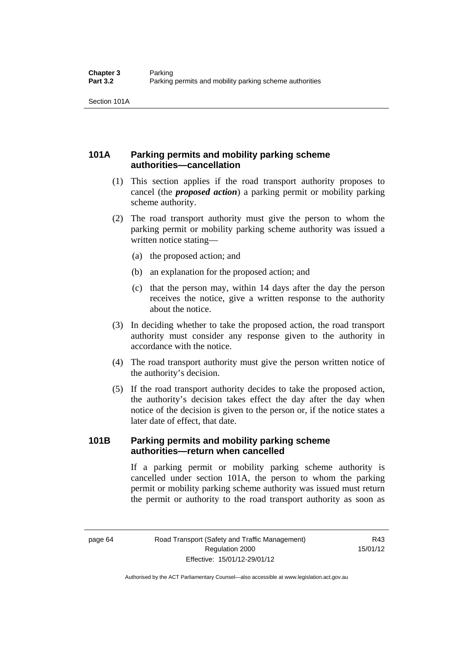Section 101A

## **101A Parking permits and mobility parking scheme authorities—cancellation**

- (1) This section applies if the road transport authority proposes to cancel (the *proposed action*) a parking permit or mobility parking scheme authority.
- (2) The road transport authority must give the person to whom the parking permit or mobility parking scheme authority was issued a written notice stating—
	- (a) the proposed action; and
	- (b) an explanation for the proposed action; and
	- (c) that the person may, within 14 days after the day the person receives the notice, give a written response to the authority about the notice.
- (3) In deciding whether to take the proposed action, the road transport authority must consider any response given to the authority in accordance with the notice.
- (4) The road transport authority must give the person written notice of the authority's decision.
- (5) If the road transport authority decides to take the proposed action, the authority's decision takes effect the day after the day when notice of the decision is given to the person or, if the notice states a later date of effect, that date.

## **101B Parking permits and mobility parking scheme authorities—return when cancelled**

If a parking permit or mobility parking scheme authority is cancelled under section 101A, the person to whom the parking permit or mobility parking scheme authority was issued must return the permit or authority to the road transport authority as soon as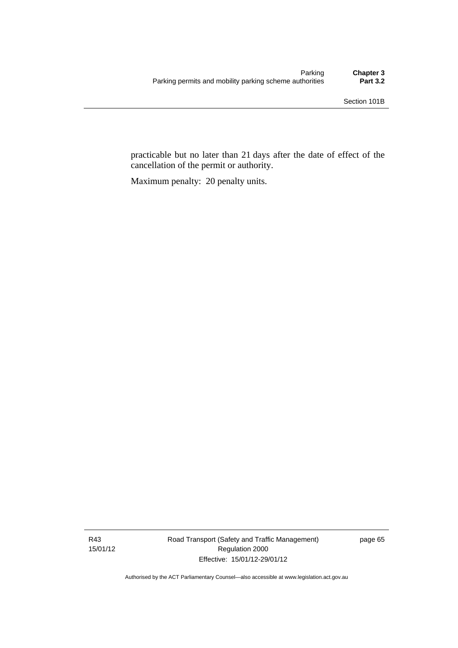practicable but no later than 21 days after the date of effect of the cancellation of the permit or authority.

Maximum penalty: 20 penalty units.

R43 15/01/12 Road Transport (Safety and Traffic Management) Regulation 2000 Effective: 15/01/12-29/01/12

page 65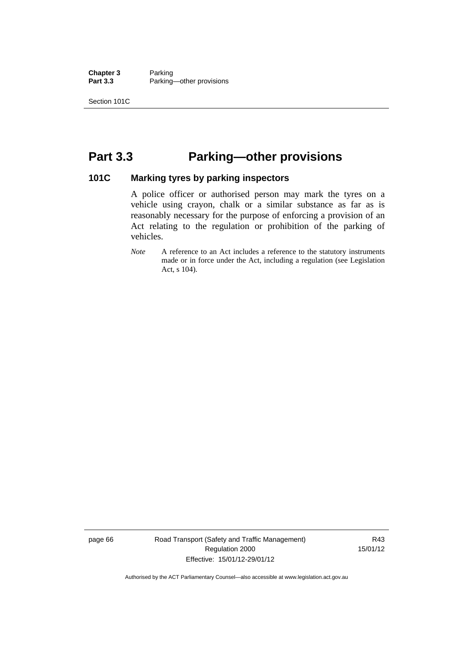**Chapter 3** Parking<br>**Part 3.3** Parking Parking—other provisions

Section 101C

# **Part 3.3 Parking—other provisions**

#### **101C Marking tyres by parking inspectors**

A police officer or authorised person may mark the tyres on a vehicle using crayon, chalk or a similar substance as far as is reasonably necessary for the purpose of enforcing a provision of an Act relating to the regulation or prohibition of the parking of vehicles.

*Note* A reference to an Act includes a reference to the statutory instruments made or in force under the Act, including a regulation (see Legislation Act, s 104).

page 66 Road Transport (Safety and Traffic Management) Regulation 2000 Effective: 15/01/12-29/01/12

R43 15/01/12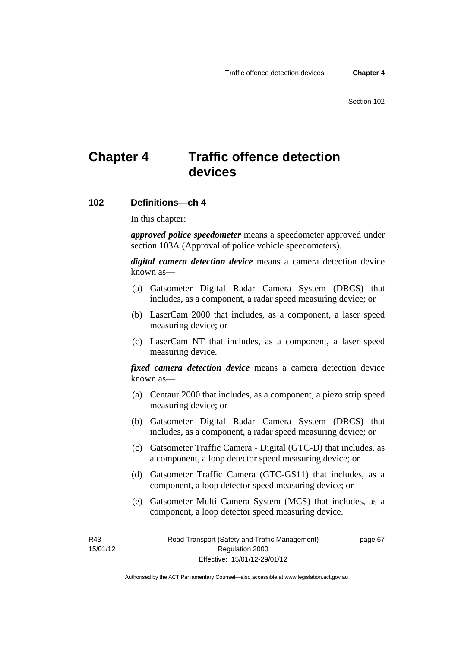# **Chapter 4 Traffic offence detection devices**

#### **102 Definitions—ch 4**

In this chapter:

*approved police speedometer* means a speedometer approved under section 103A (Approval of police vehicle speedometers).

*digital camera detection device* means a camera detection device known as—

- (a) Gatsometer Digital Radar Camera System (DRCS) that includes, as a component, a radar speed measuring device; or
- (b) LaserCam 2000 that includes, as a component, a laser speed measuring device; or
- (c) LaserCam NT that includes, as a component, a laser speed measuring device.

*fixed camera detection device* means a camera detection device known as—

- (a) Centaur 2000 that includes, as a component, a piezo strip speed measuring device; or
- (b) Gatsometer Digital Radar Camera System (DRCS) that includes, as a component, a radar speed measuring device; or
- (c) Gatsometer Traffic Camera Digital (GTC-D) that includes, as a component, a loop detector speed measuring device; or
- (d) Gatsometer Traffic Camera (GTC-GS11) that includes, as a component, a loop detector speed measuring device; or
- (e) Gatsometer Multi Camera System (MCS) that includes, as a component, a loop detector speed measuring device.

R43 15/01/12 page 67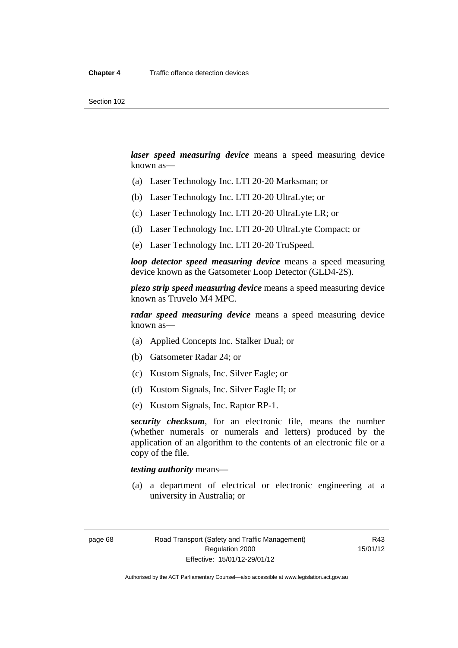*laser speed measuring device* means a speed measuring device known as—

- (a) Laser Technology Inc. LTI 20-20 Marksman; or
- (b) Laser Technology Inc. LTI 20-20 UltraLyte; or
- (c) Laser Technology Inc. LTI 20-20 UltraLyte LR; or
- (d) Laser Technology Inc. LTI 20-20 UltraLyte Compact; or
- (e) Laser Technology Inc. LTI 20-20 TruSpeed.

*loop detector speed measuring device* means a speed measuring device known as the Gatsometer Loop Detector (GLD4-2S).

*piezo strip speed measuring device* means a speed measuring device known as Truvelo M4 MPC.

*radar speed measuring device* means a speed measuring device known as—

- (a) Applied Concepts Inc. Stalker Dual; or
- (b) Gatsometer Radar 24; or
- (c) Kustom Signals, Inc. Silver Eagle; or
- (d) Kustom Signals, Inc. Silver Eagle II; or
- (e) Kustom Signals, Inc. Raptor RP-1.

*security checksum*, for an electronic file, means the number (whether numerals or numerals and letters) produced by the application of an algorithm to the contents of an electronic file or a copy of the file.

#### *testing authority* means—

 (a) a department of electrical or electronic engineering at a university in Australia; or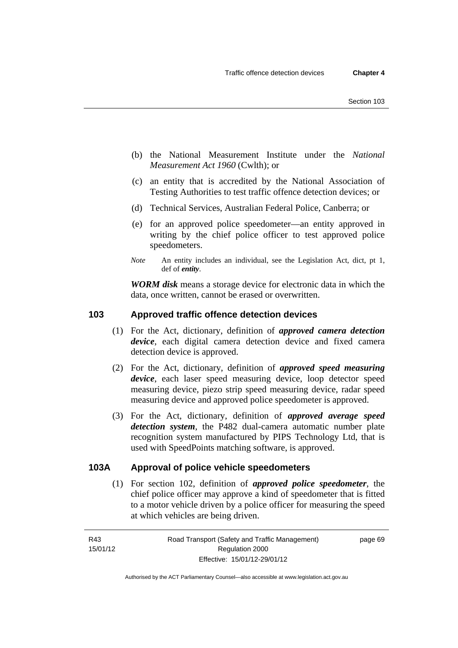- (b) the National Measurement Institute under the *National Measurement Act 1960* (Cwlth); or
- (c) an entity that is accredited by the National Association of Testing Authorities to test traffic offence detection devices; or
- (d) Technical Services, Australian Federal Police, Canberra; or
- (e) for an approved police speedometer—an entity approved in writing by the chief police officer to test approved police speedometers.
- *Note* An entity includes an individual, see the Legislation Act, dict, pt 1, def of *entity*.

*WORM disk* means a storage device for electronic data in which the data, once written, cannot be erased or overwritten.

#### **103 Approved traffic offence detection devices**

- (1) For the Act, dictionary, definition of *approved camera detection device*, each digital camera detection device and fixed camera detection device is approved.
- (2) For the Act, dictionary, definition of *approved speed measuring device*, each laser speed measuring device, loop detector speed measuring device, piezo strip speed measuring device, radar speed measuring device and approved police speedometer is approved.
- (3) For the Act, dictionary, definition of *approved average speed detection system*, the P482 dual-camera automatic number plate recognition system manufactured by PIPS Technology Ltd, that is used with SpeedPoints matching software, is approved.

#### **103A Approval of police vehicle speedometers**

(1) For section 102, definition of *approved police speedometer*, the chief police officer may approve a kind of speedometer that is fitted to a motor vehicle driven by a police officer for measuring the speed at which vehicles are being driven.

page 69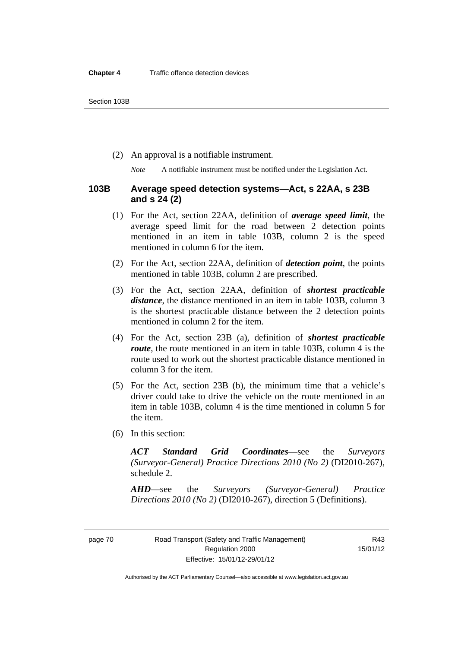(2) An approval is a notifiable instrument.

*Note* A notifiable instrument must be notified under the Legislation Act.

#### **103B Average speed detection systems—Act, s 22AA, s 23B and s 24 (2)**

- (1) For the Act, section 22AA, definition of *average speed limit*, the average speed limit for the road between 2 detection points mentioned in an item in table 103B, column 2 is the speed mentioned in column 6 for the item.
- (2) For the Act, section 22AA, definition of *detection point*, the points mentioned in table 103B, column 2 are prescribed.
- (3) For the Act, section 22AA, definition of *shortest practicable distance*, the distance mentioned in an item in table 103B, column 3 is the shortest practicable distance between the 2 detection points mentioned in column 2 for the item.
- (4) For the Act, section 23B (a), definition of *shortest practicable route*, the route mentioned in an item in table 103B, column 4 is the route used to work out the shortest practicable distance mentioned in column 3 for the item.
- (5) For the Act, section 23B (b), the minimum time that a vehicle's driver could take to drive the vehicle on the route mentioned in an item in table 103B, column 4 is the time mentioned in column 5 for the item.
- (6) In this section:

*ACT Standard Grid Coordinates*—see the *Surveyors (Surveyor-General) Practice Directions 2010 (No 2)* (DI2010-267), schedule 2.

*AHD*—see the *Surveyors (Surveyor-General) Practice Directions 2010 (No 2)* (DI2010-267), direction 5 (Definitions).

Authorised by the ACT Parliamentary Counsel—also accessible at www.legislation.act.gov.au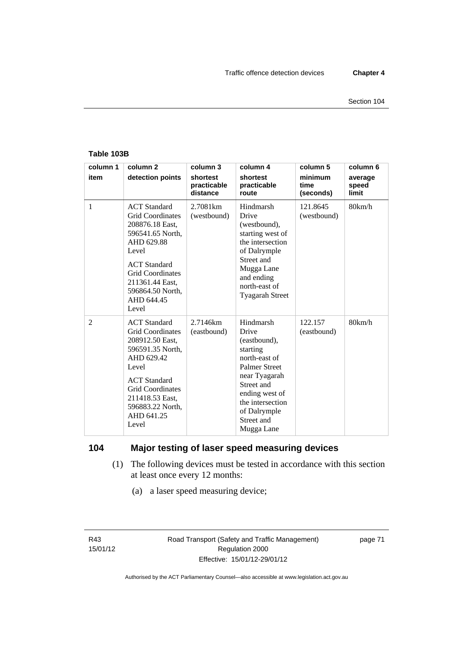#### **Table 103B**

| column 1       | column <sub>2</sub>                                                                                                                                                                                                          | column 3                            | column 4                                                                                                                                                                                                 | column 5                     | column 6                  |
|----------------|------------------------------------------------------------------------------------------------------------------------------------------------------------------------------------------------------------------------------|-------------------------------------|----------------------------------------------------------------------------------------------------------------------------------------------------------------------------------------------------------|------------------------------|---------------------------|
| item           | detection points                                                                                                                                                                                                             | shortest<br>practicable<br>distance | shortest<br>practicable<br>route                                                                                                                                                                         | minimum<br>time<br>(seconds) | average<br>speed<br>limit |
| 1              | <b>ACT</b> Standard<br><b>Grid Coordinates</b><br>208876.18 East,<br>596541.65 North,<br>AHD 629.88<br>Level<br><b>ACT</b> Standard<br><b>Grid Coordinates</b><br>211361.44 East,<br>596864.50 North,<br>AHD 644.45<br>Level | 2.7081 <sub>km</sub><br>(westbound) | Hindmarsh<br>Drive<br>(westbound),<br>starting west of<br>the intersection<br>of Dalrymple<br>Street and<br>Mugga Lane<br>and ending<br>north-east of<br><b>Tyagarah Street</b>                          | 121.8645<br>(westbound)      | 80km/h                    |
| $\overline{2}$ | <b>ACT</b> Standard<br><b>Grid Coordinates</b><br>208912.50 East,<br>596591.35 North,<br>AHD 629.42<br>Level<br><b>ACT</b> Standard<br><b>Grid Coordinates</b><br>211418.53 East,<br>596883.22 North,<br>AHD 641.25<br>Level | 2.7146km<br>(eastbound)             | Hindmarsh<br>Drive<br>(eastbound),<br>starting<br>north-east of<br><b>Palmer Street</b><br>near Tyagarah<br>Street and<br>ending west of<br>the intersection<br>of Dalrymple<br>Street and<br>Mugga Lane | 122.157<br>(eastbound)       | 80km/h                    |

## **104 Major testing of laser speed measuring devices**

- (1) The following devices must be tested in accordance with this section at least once every 12 months:
	- (a) a laser speed measuring device;

R43 15/01/12 page 71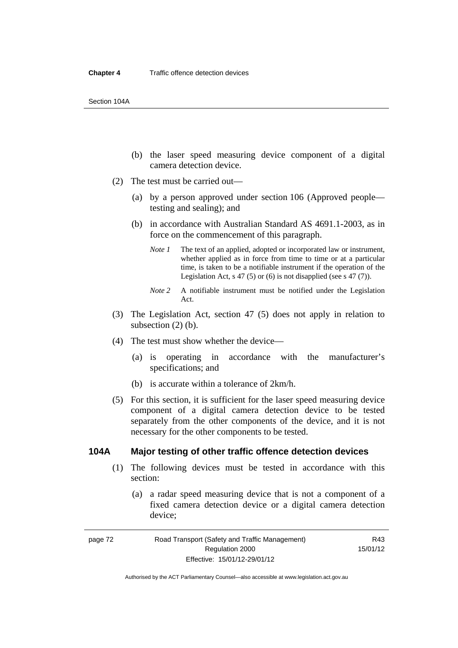- (b) the laser speed measuring device component of a digital camera detection device.
- (2) The test must be carried out—
	- (a) by a person approved under section 106 (Approved people testing and sealing); and
	- (b) in accordance with Australian Standard AS 4691.1-2003, as in force on the commencement of this paragraph.
		- *Note 1* The text of an applied, adopted or incorporated law or instrument, whether applied as in force from time to time or at a particular time, is taken to be a notifiable instrument if the operation of the Legislation Act,  $s$  47 (5) or (6) is not disapplied (see  $s$  47 (7)).
		- *Note 2* A notifiable instrument must be notified under the Legislation Act.
- (3) The Legislation Act, section 47 (5) does not apply in relation to subsection  $(2)$  (b).
- (4) The test must show whether the device—
	- (a) is operating in accordance with the manufacturer's specifications; and
	- (b) is accurate within a tolerance of 2km/h.
- (5) For this section, it is sufficient for the laser speed measuring device component of a digital camera detection device to be tested separately from the other components of the device, and it is not necessary for the other components to be tested.

#### **104A Major testing of other traffic offence detection devices**

- (1) The following devices must be tested in accordance with this section:
	- (a) a radar speed measuring device that is not a component of a fixed camera detection device or a digital camera detection device;

page 72 Road Transport (Safety and Traffic Management) Regulation 2000 Effective: 15/01/12-29/01/12

R43 15/01/12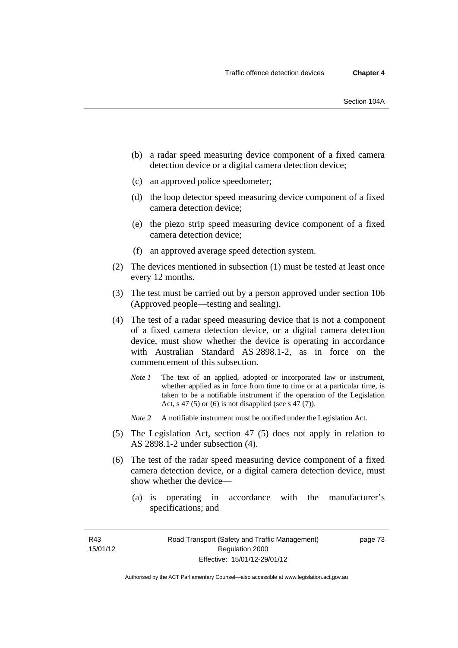- (b) a radar speed measuring device component of a fixed camera detection device or a digital camera detection device;
- (c) an approved police speedometer;
- (d) the loop detector speed measuring device component of a fixed camera detection device;
- (e) the piezo strip speed measuring device component of a fixed camera detection device;
- (f) an approved average speed detection system.
- (2) The devices mentioned in subsection (1) must be tested at least once every 12 months.
- (3) The test must be carried out by a person approved under section 106 (Approved people—testing and sealing).
- (4) The test of a radar speed measuring device that is not a component of a fixed camera detection device, or a digital camera detection device, must show whether the device is operating in accordance with Australian Standard AS 2898.1-2, as in force on the commencement of this subsection.
	- *Note 1* The text of an applied, adopted or incorporated law or instrument, whether applied as in force from time to time or at a particular time, is taken to be a notifiable instrument if the operation of the Legislation Act, s 47 (5) or (6) is not disapplied (see s 47 (7)).
	- *Note 2* A notifiable instrument must be notified under the Legislation Act.
- (5) The Legislation Act, section 47 (5) does not apply in relation to AS 2898.1-2 under subsection (4).
- (6) The test of the radar speed measuring device component of a fixed camera detection device, or a digital camera detection device, must show whether the device—
	- (a) is operating in accordance with the manufacturer's specifications; and

R43 15/01/12 page 73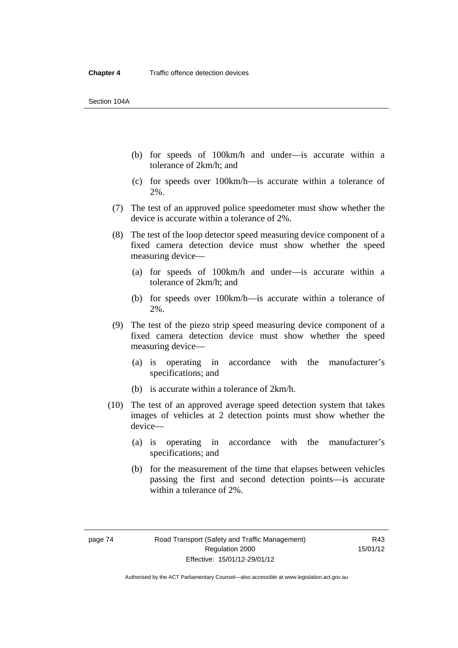Section 104A

- (b) for speeds of 100km/h and under—is accurate within a tolerance of 2km/h; and
- (c) for speeds over 100km/h—is accurate within a tolerance of 2%.
- (7) The test of an approved police speedometer must show whether the device is accurate within a tolerance of 2%.
- (8) The test of the loop detector speed measuring device component of a fixed camera detection device must show whether the speed measuring device—
	- (a) for speeds of 100km/h and under—is accurate within a tolerance of 2km/h; and
	- (b) for speeds over 100km/h—is accurate within a tolerance of 2%.
- (9) The test of the piezo strip speed measuring device component of a fixed camera detection device must show whether the speed measuring device—
	- (a) is operating in accordance with the manufacturer's specifications; and
	- (b) is accurate within a tolerance of 2km/h.
- (10) The test of an approved average speed detection system that takes images of vehicles at 2 detection points must show whether the device—
	- (a) is operating in accordance with the manufacturer's specifications; and
	- (b) for the measurement of the time that elapses between vehicles passing the first and second detection points—is accurate within a tolerance of 2%.

Authorised by the ACT Parliamentary Counsel—also accessible at www.legislation.act.gov.au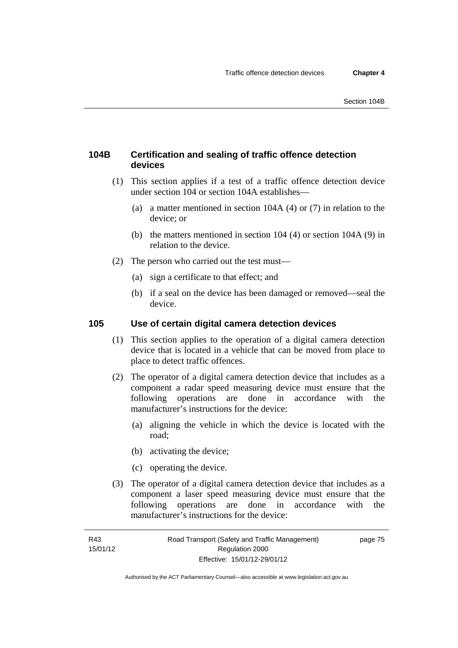## **104B Certification and sealing of traffic offence detection devices**

- (1) This section applies if a test of a traffic offence detection device under section 104 or section 104A establishes—
	- (a) a matter mentioned in section 104A (4) or (7) in relation to the device; or
	- (b) the matters mentioned in section 104 (4) or section 104A (9) in relation to the device.
- (2) The person who carried out the test must—
	- (a) sign a certificate to that effect; and
	- (b) if a seal on the device has been damaged or removed—seal the device.

## **105 Use of certain digital camera detection devices**

- (1) This section applies to the operation of a digital camera detection device that is located in a vehicle that can be moved from place to place to detect traffic offences.
- (2) The operator of a digital camera detection device that includes as a component a radar speed measuring device must ensure that the following operations are done in accordance with the manufacturer's instructions for the device:
	- (a) aligning the vehicle in which the device is located with the road;
	- (b) activating the device;
	- (c) operating the device.
- (3) The operator of a digital camera detection device that includes as a component a laser speed measuring device must ensure that the following operations are done in accordance with the manufacturer's instructions for the device:

page 75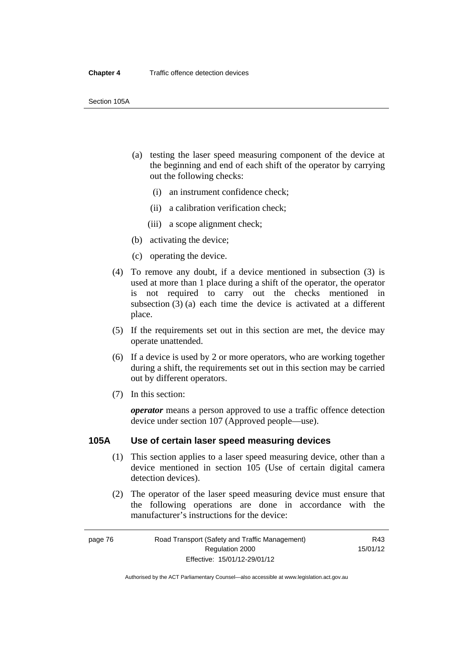Section 105A

- (a) testing the laser speed measuring component of the device at the beginning and end of each shift of the operator by carrying out the following checks:
	- (i) an instrument confidence check;
	- (ii) a calibration verification check;
	- (iii) a scope alignment check;
- (b) activating the device;
- (c) operating the device.
- (4) To remove any doubt, if a device mentioned in subsection (3) is used at more than 1 place during a shift of the operator, the operator is not required to carry out the checks mentioned in subsection (3) (a) each time the device is activated at a different place.
- (5) If the requirements set out in this section are met, the device may operate unattended.
- (6) If a device is used by 2 or more operators, who are working together during a shift, the requirements set out in this section may be carried out by different operators.
- (7) In this section:

*operator* means a person approved to use a traffic offence detection device under section 107 (Approved people—use).

#### **105A Use of certain laser speed measuring devices**

- (1) This section applies to a laser speed measuring device, other than a device mentioned in section 105 (Use of certain digital camera detection devices).
- (2) The operator of the laser speed measuring device must ensure that the following operations are done in accordance with the manufacturer's instructions for the device: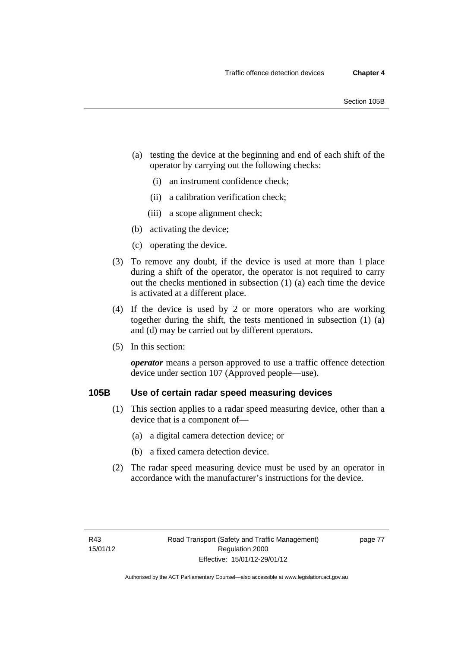- (a) testing the device at the beginning and end of each shift of the operator by carrying out the following checks:
	- (i) an instrument confidence check;
	- (ii) a calibration verification check;
	- (iii) a scope alignment check;
- (b) activating the device;
- (c) operating the device.
- (3) To remove any doubt, if the device is used at more than 1 place during a shift of the operator, the operator is not required to carry out the checks mentioned in subsection (1) (a) each time the device is activated at a different place.
- (4) If the device is used by 2 or more operators who are working together during the shift, the tests mentioned in subsection (1) (a) and (d) may be carried out by different operators.
- (5) In this section:

*operator* means a person approved to use a traffic offence detection device under section 107 (Approved people—use).

## **105B Use of certain radar speed measuring devices**

- (1) This section applies to a radar speed measuring device, other than a device that is a component of—
	- (a) a digital camera detection device; or
	- (b) a fixed camera detection device.
- (2) The radar speed measuring device must be used by an operator in accordance with the manufacturer's instructions for the device.

page 77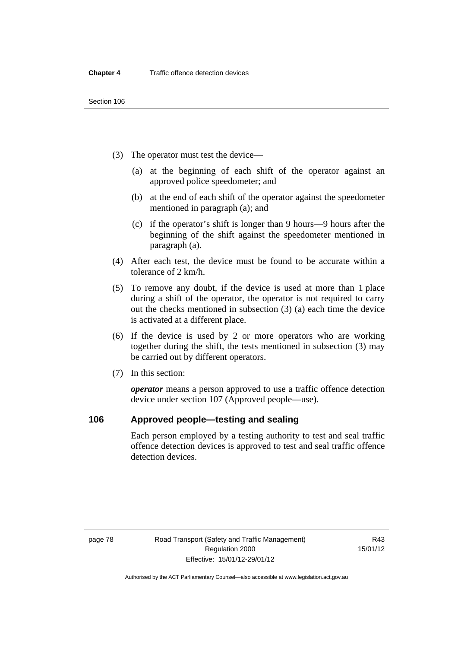- (3) The operator must test the device—
	- (a) at the beginning of each shift of the operator against an approved police speedometer; and
	- (b) at the end of each shift of the operator against the speedometer mentioned in paragraph (a); and
	- (c) if the operator's shift is longer than 9 hours—9 hours after the beginning of the shift against the speedometer mentioned in paragraph (a).
- (4) After each test, the device must be found to be accurate within a tolerance of 2 km/h.
- (5) To remove any doubt, if the device is used at more than 1 place during a shift of the operator, the operator is not required to carry out the checks mentioned in subsection (3) (a) each time the device is activated at a different place.
- (6) If the device is used by 2 or more operators who are working together during the shift, the tests mentioned in subsection (3) may be carried out by different operators.
- (7) In this section:

*operator* means a person approved to use a traffic offence detection device under section 107 (Approved people—use).

#### **106 Approved people—testing and sealing**

Each person employed by a testing authority to test and seal traffic offence detection devices is approved to test and seal traffic offence detection devices.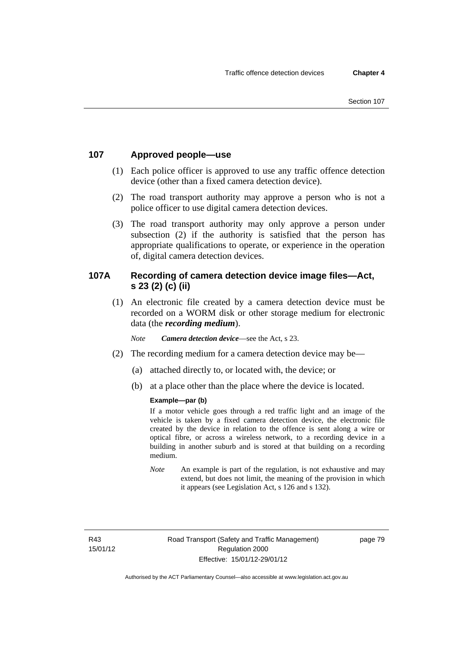## **107 Approved people—use**

- (1) Each police officer is approved to use any traffic offence detection device (other than a fixed camera detection device).
- (2) The road transport authority may approve a person who is not a police officer to use digital camera detection devices.
- (3) The road transport authority may only approve a person under subsection (2) if the authority is satisfied that the person has appropriate qualifications to operate, or experience in the operation of, digital camera detection devices.

## **107A Recording of camera detection device image files—Act, s 23 (2) (c) (ii)**

(1) An electronic file created by a camera detection device must be recorded on a WORM disk or other storage medium for electronic data (the *recording medium*).

*Note Camera detection device*—see the Act, s 23.

- (2) The recording medium for a camera detection device may be—
	- (a) attached directly to, or located with, the device; or
	- (b) at a place other than the place where the device is located.

#### **Example—par (b)**

If a motor vehicle goes through a red traffic light and an image of the vehicle is taken by a fixed camera detection device, the electronic file created by the device in relation to the offence is sent along a wire or optical fibre, or across a wireless network, to a recording device in a building in another suburb and is stored at that building on a recording medium.

*Note* An example is part of the regulation, is not exhaustive and may extend, but does not limit, the meaning of the provision in which it appears (see Legislation Act, s 126 and s 132).

R43 15/01/12 page 79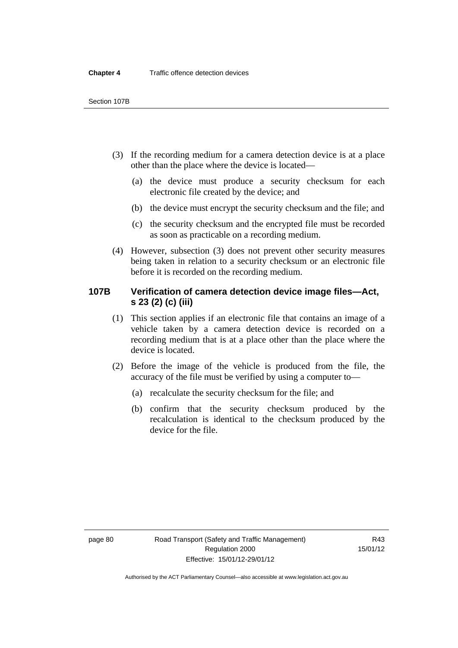- (3) If the recording medium for a camera detection device is at a place other than the place where the device is located—
	- (a) the device must produce a security checksum for each electronic file created by the device; and
	- (b) the device must encrypt the security checksum and the file; and
	- (c) the security checksum and the encrypted file must be recorded as soon as practicable on a recording medium.
- (4) However, subsection (3) does not prevent other security measures being taken in relation to a security checksum or an electronic file before it is recorded on the recording medium.

## **107B Verification of camera detection device image files—Act, s 23 (2) (c) (iii)**

- (1) This section applies if an electronic file that contains an image of a vehicle taken by a camera detection device is recorded on a recording medium that is at a place other than the place where the device is located.
- (2) Before the image of the vehicle is produced from the file, the accuracy of the file must be verified by using a computer to—
	- (a) recalculate the security checksum for the file; and
	- (b) confirm that the security checksum produced by the recalculation is identical to the checksum produced by the device for the file.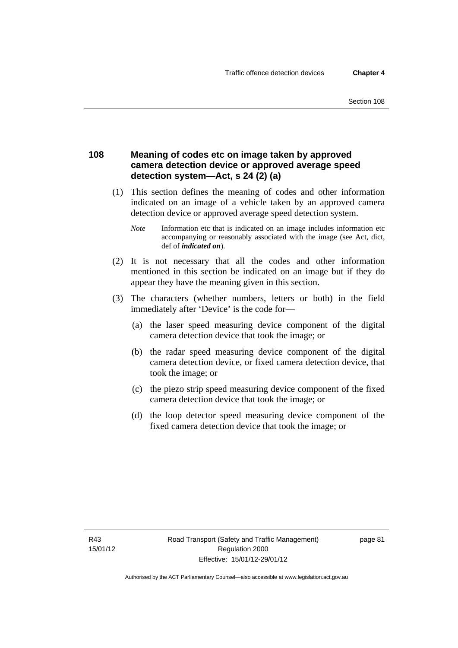### **108 Meaning of codes etc on image taken by approved camera detection device or approved average speed detection system—Act, s 24 (2) (a)**

- (1) This section defines the meaning of codes and other information indicated on an image of a vehicle taken by an approved camera detection device or approved average speed detection system.
	- *Note* Information etc that is indicated on an image includes information etc accompanying or reasonably associated with the image (see Act, dict, def of *indicated on*).
- (2) It is not necessary that all the codes and other information mentioned in this section be indicated on an image but if they do appear they have the meaning given in this section.
- (3) The characters (whether numbers, letters or both) in the field immediately after 'Device' is the code for—
	- (a) the laser speed measuring device component of the digital camera detection device that took the image; or
	- (b) the radar speed measuring device component of the digital camera detection device, or fixed camera detection device, that took the image; or
	- (c) the piezo strip speed measuring device component of the fixed camera detection device that took the image; or
	- (d) the loop detector speed measuring device component of the fixed camera detection device that took the image; or

R43 15/01/12 page 81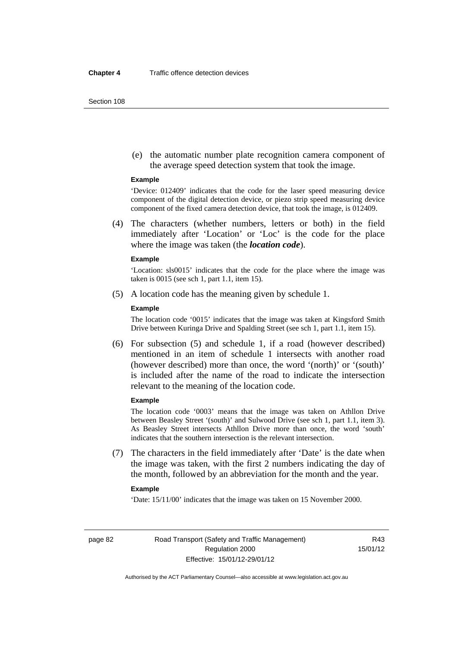Section 108

 (e) the automatic number plate recognition camera component of the average speed detection system that took the image.

#### **Example**

'Device: 012409' indicates that the code for the laser speed measuring device component of the digital detection device, or piezo strip speed measuring device component of the fixed camera detection device, that took the image, is 012409.

 (4) The characters (whether numbers, letters or both) in the field immediately after 'Location' or 'Loc' is the code for the place where the image was taken (the *location code*).

#### **Example**

'Location: sls0015' indicates that the code for the place where the image was taken is 0015 (see sch 1, part 1.1, item 15).

(5) A location code has the meaning given by schedule 1.

#### **Example**

The location code '0015' indicates that the image was taken at Kingsford Smith Drive between Kuringa Drive and Spalding Street (see sch 1, part 1.1, item 15).

 (6) For subsection (5) and schedule 1, if a road (however described) mentioned in an item of schedule 1 intersects with another road (however described) more than once, the word '(north)' or '(south)' is included after the name of the road to indicate the intersection relevant to the meaning of the location code.

#### **Example**

The location code '0003' means that the image was taken on Athllon Drive between Beasley Street '(south)' and Sulwood Drive (see sch 1, part 1.1, item 3). As Beasley Street intersects Athllon Drive more than once, the word 'south' indicates that the southern intersection is the relevant intersection.

 (7) The characters in the field immediately after 'Date' is the date when the image was taken, with the first 2 numbers indicating the day of the month, followed by an abbreviation for the month and the year.

#### **Example**

'Date: 15/11/00' indicates that the image was taken on 15 November 2000.

R43 15/01/12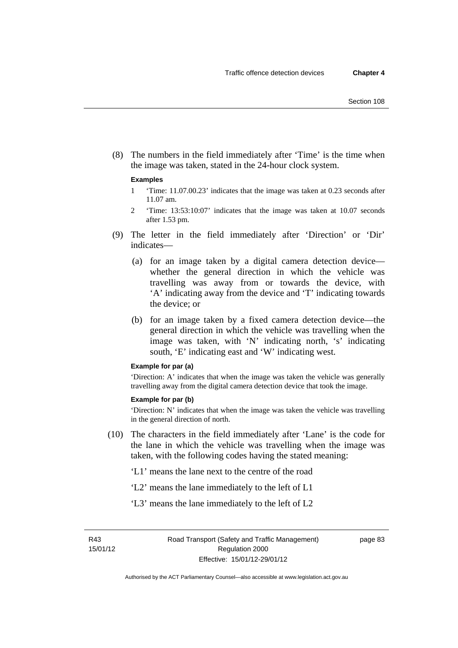(8) The numbers in the field immediately after 'Time' is the time when the image was taken, stated in the 24-hour clock system.

#### **Examples**

- 1 'Time: 11.07.00.23' indicates that the image was taken at 0.23 seconds after 11.07 am.
- 2 'Time: 13:53:10:07' indicates that the image was taken at 10.07 seconds after 1.53 pm.
- (9) The letter in the field immediately after 'Direction' or 'Dir' indicates—
	- (a) for an image taken by a digital camera detection device whether the general direction in which the vehicle was travelling was away from or towards the device, with 'A' indicating away from the device and 'T' indicating towards the device; or
	- (b) for an image taken by a fixed camera detection device—the general direction in which the vehicle was travelling when the image was taken, with 'N' indicating north, 's' indicating south, 'E' indicating east and 'W' indicating west.

#### **Example for par (a)**

'Direction: A' indicates that when the image was taken the vehicle was generally travelling away from the digital camera detection device that took the image.

#### **Example for par (b)**

'Direction: N' indicates that when the image was taken the vehicle was travelling in the general direction of north.

 (10) The characters in the field immediately after 'Lane' is the code for the lane in which the vehicle was travelling when the image was taken, with the following codes having the stated meaning:

'L1' means the lane next to the centre of the road

- 'L2' means the lane immediately to the left of L1
- 'L3' means the lane immediately to the left of L2

page 83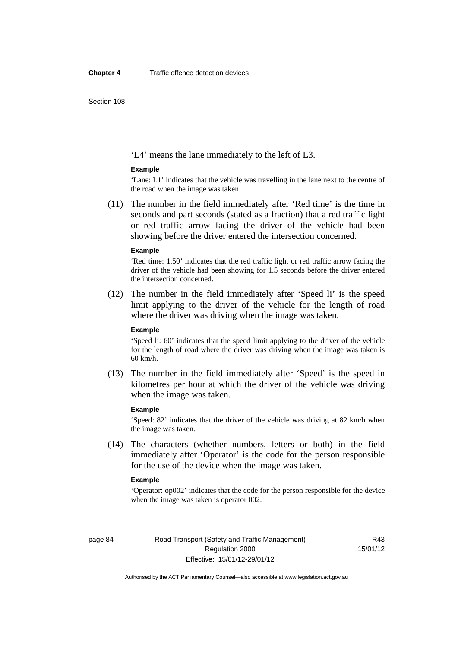Section 108

'L4' means the lane immediately to the left of L3.

#### **Example**

'Lane: L1' indicates that the vehicle was travelling in the lane next to the centre of the road when the image was taken.

 (11) The number in the field immediately after 'Red time' is the time in seconds and part seconds (stated as a fraction) that a red traffic light or red traffic arrow facing the driver of the vehicle had been showing before the driver entered the intersection concerned.

#### **Example**

'Red time: 1.50' indicates that the red traffic light or red traffic arrow facing the driver of the vehicle had been showing for 1.5 seconds before the driver entered the intersection concerned.

 (12) The number in the field immediately after 'Speed li' is the speed limit applying to the driver of the vehicle for the length of road where the driver was driving when the image was taken.

#### **Example**

'Speed li: 60' indicates that the speed limit applying to the driver of the vehicle for the length of road where the driver was driving when the image was taken is 60 km/h.

 (13) The number in the field immediately after 'Speed' is the speed in kilometres per hour at which the driver of the vehicle was driving when the image was taken.

#### **Example**

'Speed: 82' indicates that the driver of the vehicle was driving at 82 km/h when the image was taken.

 (14) The characters (whether numbers, letters or both) in the field immediately after 'Operator' is the code for the person responsible for the use of the device when the image was taken.

#### **Example**

'Operator: op002' indicates that the code for the person responsible for the device when the image was taken is operator 002.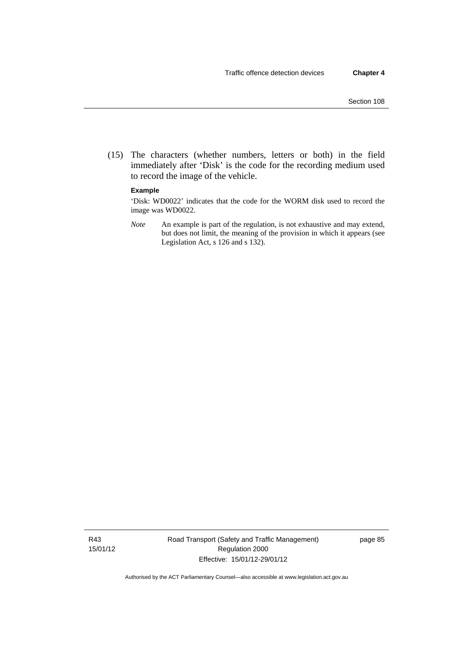(15) The characters (whether numbers, letters or both) in the field immediately after 'Disk' is the code for the recording medium used to record the image of the vehicle.

#### **Example**

'Disk: WD0022' indicates that the code for the WORM disk used to record the image was WD0022.

*Note* An example is part of the regulation, is not exhaustive and may extend, but does not limit, the meaning of the provision in which it appears (see Legislation Act, s 126 and s 132).

R43 15/01/12 Road Transport (Safety and Traffic Management) Regulation 2000 Effective: 15/01/12-29/01/12

page 85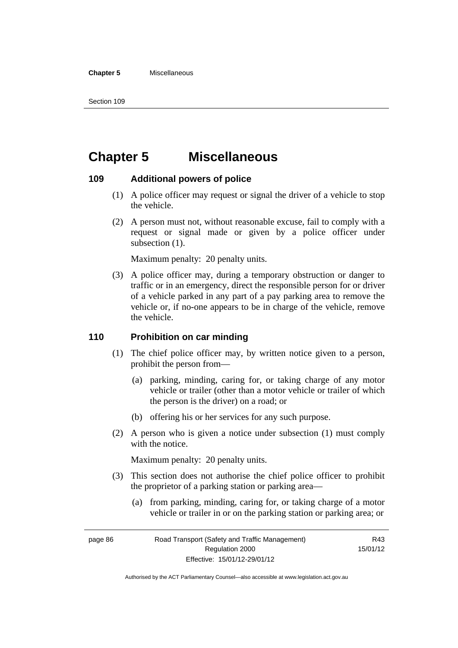#### **Chapter 5** Miscellaneous

Section 109

# **Chapter 5 Miscellaneous**

#### **109 Additional powers of police**

- (1) A police officer may request or signal the driver of a vehicle to stop the vehicle.
- (2) A person must not, without reasonable excuse, fail to comply with a request or signal made or given by a police officer under subsection  $(1)$ .

Maximum penalty: 20 penalty units.

 (3) A police officer may, during a temporary obstruction or danger to traffic or in an emergency, direct the responsible person for or driver of a vehicle parked in any part of a pay parking area to remove the vehicle or, if no-one appears to be in charge of the vehicle, remove the vehicle.

#### **110 Prohibition on car minding**

- (1) The chief police officer may, by written notice given to a person, prohibit the person from—
	- (a) parking, minding, caring for, or taking charge of any motor vehicle or trailer (other than a motor vehicle or trailer of which the person is the driver) on a road; or
	- (b) offering his or her services for any such purpose.
- (2) A person who is given a notice under subsection (1) must comply with the notice.

Maximum penalty: 20 penalty units.

- (3) This section does not authorise the chief police officer to prohibit the proprietor of a parking station or parking area—
	- (a) from parking, minding, caring for, or taking charge of a motor vehicle or trailer in or on the parking station or parking area; or

R43 15/01/12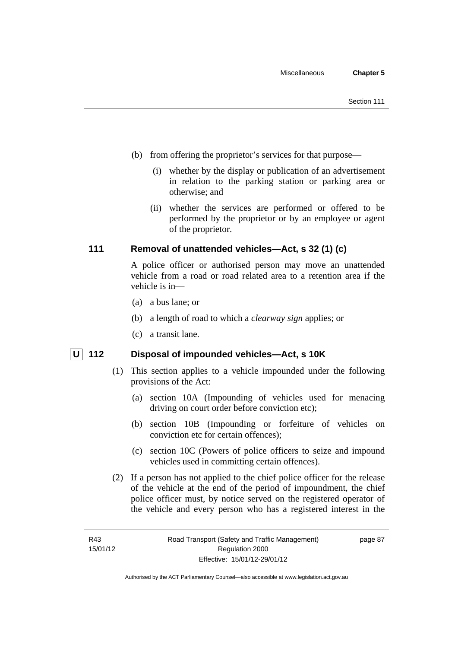- (b) from offering the proprietor's services for that purpose—
	- (i) whether by the display or publication of an advertisement in relation to the parking station or parking area or otherwise; and
	- (ii) whether the services are performed or offered to be performed by the proprietor or by an employee or agent of the proprietor.

## **111 Removal of unattended vehicles—Act, s 32 (1) (c)**

A police officer or authorised person may move an unattended vehicle from a road or road related area to a retention area if the vehicle is in—

- (a) a bus lane; or
- (b) a length of road to which a *clearway sign* applies; or
- (c) a transit lane.

## **U** 112 Disposal of impounded vehicles—Act, s 10K

- (1) This section applies to a vehicle impounded under the following provisions of the Act:
	- (a) section 10A (Impounding of vehicles used for menacing driving on court order before conviction etc);
	- (b) section 10B (Impounding or forfeiture of vehicles on conviction etc for certain offences);
	- (c) section 10C (Powers of police officers to seize and impound vehicles used in committing certain offences).
- (2) If a person has not applied to the chief police officer for the release of the vehicle at the end of the period of impoundment, the chief police officer must, by notice served on the registered operator of the vehicle and every person who has a registered interest in the

page 87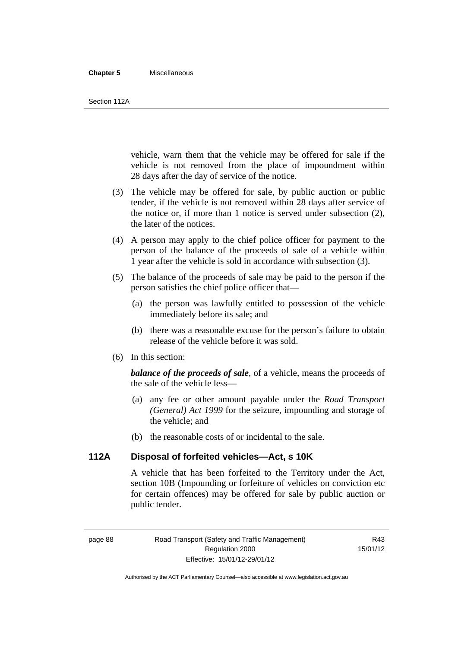#### **Chapter 5** Miscellaneous

vehicle, warn them that the vehicle may be offered for sale if the vehicle is not removed from the place of impoundment within 28 days after the day of service of the notice.

- (3) The vehicle may be offered for sale, by public auction or public tender, if the vehicle is not removed within 28 days after service of the notice or, if more than 1 notice is served under subsection (2), the later of the notices.
- (4) A person may apply to the chief police officer for payment to the person of the balance of the proceeds of sale of a vehicle within 1 year after the vehicle is sold in accordance with subsection (3).
- (5) The balance of the proceeds of sale may be paid to the person if the person satisfies the chief police officer that—
	- (a) the person was lawfully entitled to possession of the vehicle immediately before its sale; and
	- (b) there was a reasonable excuse for the person's failure to obtain release of the vehicle before it was sold.
- (6) In this section:

*balance of the proceeds of sale*, of a vehicle, means the proceeds of the sale of the vehicle less—

- (a) any fee or other amount payable under the *Road Transport (General) Act 1999* for the seizure, impounding and storage of the vehicle; and
- (b) the reasonable costs of or incidental to the sale.

#### **112A Disposal of forfeited vehicles—Act, s 10K**

A vehicle that has been forfeited to the Territory under the Act, section 10B (Impounding or forfeiture of vehicles on conviction etc for certain offences) may be offered for sale by public auction or public tender.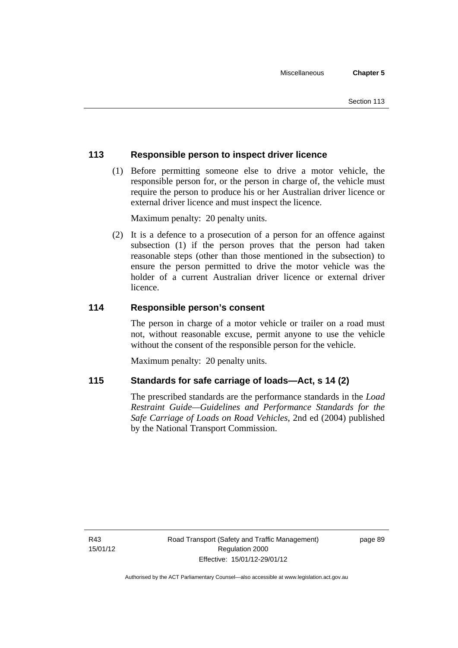## **113 Responsible person to inspect driver licence**

 (1) Before permitting someone else to drive a motor vehicle, the responsible person for, or the person in charge of, the vehicle must require the person to produce his or her Australian driver licence or external driver licence and must inspect the licence.

Maximum penalty: 20 penalty units.

 (2) It is a defence to a prosecution of a person for an offence against subsection (1) if the person proves that the person had taken reasonable steps (other than those mentioned in the subsection) to ensure the person permitted to drive the motor vehicle was the holder of a current Australian driver licence or external driver licence.

## **114 Responsible person's consent**

The person in charge of a motor vehicle or trailer on a road must not, without reasonable excuse, permit anyone to use the vehicle without the consent of the responsible person for the vehicle.

Maximum penalty: 20 penalty units.

## **115 Standards for safe carriage of loads—Act, s 14 (2)**

The prescribed standards are the performance standards in the *Load Restraint Guide—Guidelines and Performance Standards for the Safe Carriage of Loads on Road Vehicles*, 2nd ed (2004) published by the National Transport Commission.

R43 15/01/12 page 89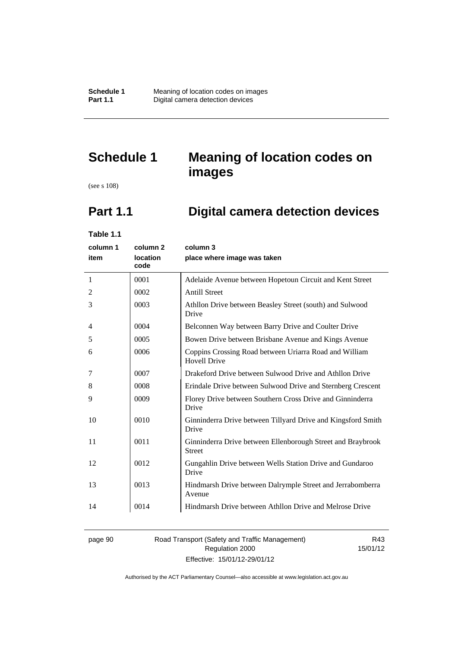# **Schedule 1 Meaning of location codes on images**

(see s 108)

# **Part 1.1 Digital camera detection devices**

**Table 1.1** 

| column 1 | column <sub>2</sub>     | column 3                                                                      |
|----------|-------------------------|-------------------------------------------------------------------------------|
| item     | <b>location</b><br>code | place where image was taken                                                   |
| 1        | 0001                    | Adelaide Avenue between Hopetoun Circuit and Kent Street                      |
| 2        | 0002                    | <b>Antill Street</b>                                                          |
| 3        | 0003                    | Athllon Drive between Beasley Street (south) and Sulwood<br>Drive             |
| 4        | 0004                    | Belconnen Way between Barry Drive and Coulter Drive                           |
| 5        | 0005                    | Bowen Drive between Brisbane Avenue and Kings Avenue                          |
| 6        | 0006                    | Coppins Crossing Road between Uriarra Road and William<br><b>Hovell Drive</b> |
| 7        | 0007                    | Drakeford Drive between Sulwood Drive and Athllon Drive                       |
| 8        | 0008                    | Erindale Drive between Sulwood Drive and Sternberg Crescent                   |
| 9        | 0009                    | Florey Drive between Southern Cross Drive and Ginninderra<br>Drive            |
| 10       | 0010                    | Ginninderra Drive between Tillyard Drive and Kingsford Smith<br>Drive         |
| 11       | 0011                    | Ginninderra Drive between Ellenborough Street and Braybrook<br><b>Street</b>  |
| 12       | 0012                    | Gungahlin Drive between Wells Station Drive and Gundaroo<br>Drive             |
| 13       | 0013                    | Hindmarsh Drive between Dalrymple Street and Jerrabomberra<br>Avenue          |
| 14       | 0014                    | Hindmarsh Drive between Athllon Drive and Melrose Drive                       |

# page 90 Road Transport (Safety and Traffic Management) Regulation 2000 Effective: 15/01/12-29/01/12

R43 15/01/12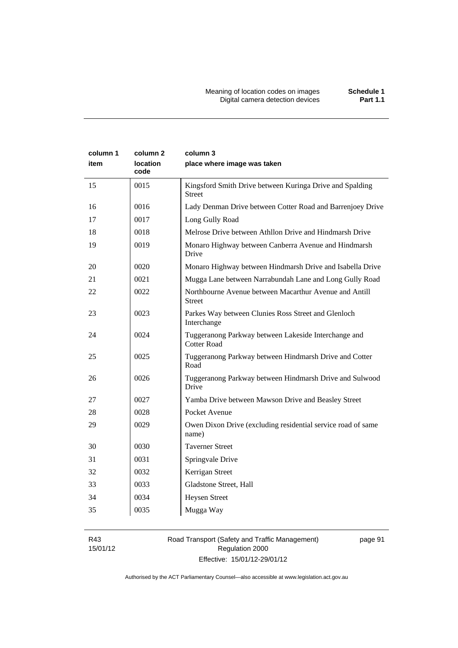| column 1<br>item | column 2<br><b>location</b><br>code | column 3<br>place where image was taken                                    |
|------------------|-------------------------------------|----------------------------------------------------------------------------|
| 15               | 0015                                | Kingsford Smith Drive between Kuringa Drive and Spalding<br><b>Street</b>  |
| 16               | 0016                                | Lady Denman Drive between Cotter Road and Barrenjoey Drive                 |
| 17               | 0017                                | Long Gully Road                                                            |
| 18               | 0018                                | Melrose Drive between Athllon Drive and Hindmarsh Drive                    |
| 19               | 0019                                | Monaro Highway between Canberra Avenue and Hindmarsh<br>Drive              |
| 20               | 0020                                | Monaro Highway between Hindmarsh Drive and Isabella Drive                  |
| 21               | 0021                                | Mugga Lane between Narrabundah Lane and Long Gully Road                    |
| 22               | 0022                                | Northbourne Avenue between Macarthur Avenue and Antill<br><b>Street</b>    |
| 23               | 0023                                | Parkes Way between Clunies Ross Street and Glenloch<br>Interchange         |
| 24               | 0024                                | Tuggeranong Parkway between Lakeside Interchange and<br><b>Cotter Road</b> |
| 25               | 0025                                | Tuggeranong Parkway between Hindmarsh Drive and Cotter<br>Road             |
| 26               | 0026                                | Tuggeranong Parkway between Hindmarsh Drive and Sulwood<br>Drive           |
| 27               | 0027                                | Yamba Drive between Mawson Drive and Beasley Street                        |
| 28               | 0028                                | Pocket Avenue                                                              |
| 29               | 0029                                | Owen Dixon Drive (excluding residential service road of same<br>name)      |
| 30               | 0030                                | <b>Taverner Street</b>                                                     |
| 31               | 0031                                | Springvale Drive                                                           |
| 32               | 0032                                | Kerrigan Street                                                            |
| 33               | 0033                                | Gladstone Street, Hall                                                     |
| 34               | 0034                                | <b>Heysen Street</b>                                                       |
| 35               | 0035                                | Mugga Way                                                                  |

R43 15/01/12

# Road Transport (Safety and Traffic Management) Regulation 2000 Effective: 15/01/12-29/01/12

page 91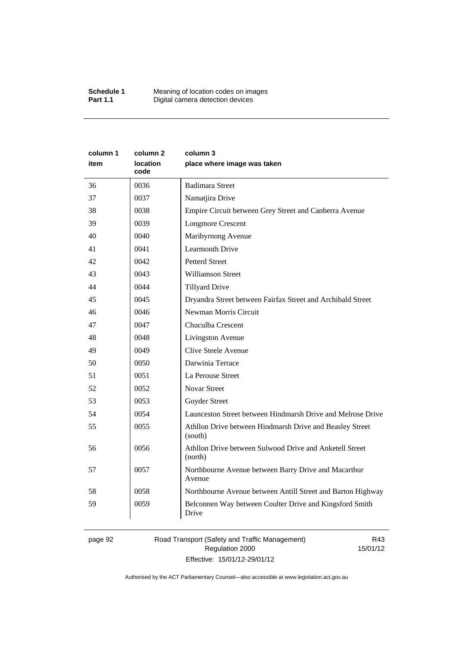| column 1<br>item | column 2<br>location<br>code | column 3<br>place where image was taken                             |
|------------------|------------------------------|---------------------------------------------------------------------|
| 36               | 0036                         | <b>Badimara Street</b>                                              |
| 37               | 0037                         | Namatjira Drive                                                     |
| 38               | 0038                         | Empire Circuit between Grey Street and Canberra Avenue              |
| 39               | 0039                         | <b>Longmore Crescent</b>                                            |
| 40               | 0040                         | Maribyrnong Avenue                                                  |
| 41               | 0041                         | <b>Learmonth Drive</b>                                              |
| 42               | 0042                         | <b>Petterd Street</b>                                               |
| 43               | 0043                         | <b>Williamson Street</b>                                            |
| 44               | 0044                         | <b>Tillyard Drive</b>                                               |
| 45               | 0045                         | Dryandra Street between Fairfax Street and Archibald Street         |
| 46               | 0046                         | Newman Morris Circuit                                               |
| 47               | 0047                         | Chuculba Crescent                                                   |
| 48               | 0048                         | Livingston Avenue                                                   |
| 49               | 0049                         | Clive Steele Avenue                                                 |
| 50               | 0050                         | Darwinia Terrace                                                    |
| 51               | 0051                         | La Perouse Street                                                   |
| 52               | 0052                         | <b>Novar Street</b>                                                 |
| 53               | 0053                         | Goyder Street                                                       |
| 54               | 0054                         | Launceston Street between Hindmarsh Drive and Melrose Drive         |
| 55               | 0055                         | Athllon Drive between Hindmarsh Drive and Beasley Street<br>(south) |
| 56               | 0056                         | Athllon Drive between Sulwood Drive and Anketell Street<br>(north)  |
| 57               | 0057                         | Northbourne Avenue between Barry Drive and Macarthur<br>Avenue      |
| 58               | 0058                         | Northbourne Avenue between Antill Street and Barton Highway         |
| 59               | 0059                         | Belconnen Way between Coulter Drive and Kingsford Smith<br>Drive    |

page 92 Road Transport (Safety and Traffic Management) Regulation 2000 Effective: 15/01/12-29/01/12

R43 15/01/12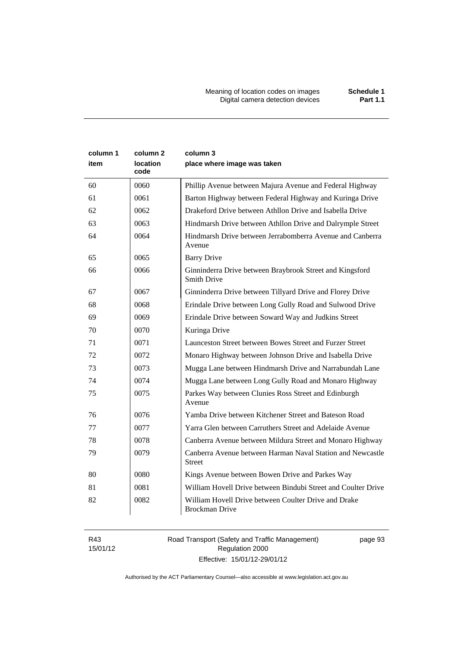Meaning of location codes on images **Schedule 1** Digital camera detection devices **Part 1.1** 

| column 1<br>item | column 2<br>location<br>code | column 3<br>place where image was taken                                        |
|------------------|------------------------------|--------------------------------------------------------------------------------|
| 60               | 0060                         | Phillip Avenue between Majura Avenue and Federal Highway                       |
| 61               | 0061                         | Barton Highway between Federal Highway and Kuringa Drive                       |
| 62               | 0062                         | Drakeford Drive between Athllon Drive and Isabella Drive                       |
| 63               | 0063                         | Hindmarsh Drive between Athllon Drive and Dalrymple Street                     |
| 64               | 0064                         | Hindmarsh Drive between Jerrabomberra Avenue and Canberra<br>Avenue            |
| 65               | 0065                         | <b>Barry Drive</b>                                                             |
| 66               | 0066                         | Ginninderra Drive between Braybrook Street and Kingsford<br><b>Smith Drive</b> |
| 67               | 0067                         | Ginninderra Drive between Tillyard Drive and Florey Drive                      |
| 68               | 0068                         | Erindale Drive between Long Gully Road and Sulwood Drive                       |
| 69               | 0069                         | Erindale Drive between Soward Way and Judkins Street                           |
| 70               | 0070                         | Kuringa Drive                                                                  |
| 71               | 0071                         | Launceston Street between Bowes Street and Furzer Street                       |
| 72               | 0072                         | Monaro Highway between Johnson Drive and Isabella Drive                        |
| 73               | 0073                         | Mugga Lane between Hindmarsh Drive and Narrabundah Lane                        |
| 74               | 0074                         | Mugga Lane between Long Gully Road and Monaro Highway                          |
| 75               | 0075                         | Parkes Way between Clunies Ross Street and Edinburgh<br>Avenue                 |
| 76               | 0076                         | Yamba Drive between Kitchener Street and Bateson Road                          |
| 77               | 0077                         | Yarra Glen between Carruthers Street and Adelaide Avenue                       |
| 78               | 0078                         | Canberra Avenue between Mildura Street and Monaro Highway                      |
| 79               | 0079                         | Canberra Avenue between Harman Naval Station and Newcastle<br><b>Street</b>    |
| 80               | 0080                         | Kings Avenue between Bowen Drive and Parkes Way                                |
| 81               | 0081                         | William Hovell Drive between Bindubi Street and Coulter Drive                  |
| 82               | 0082                         | William Hovell Drive between Coulter Drive and Drake<br><b>Brockman Drive</b>  |

R43 15/01/12 Road Transport (Safety and Traffic Management) Regulation 2000 Effective: 15/01/12-29/01/12

page 93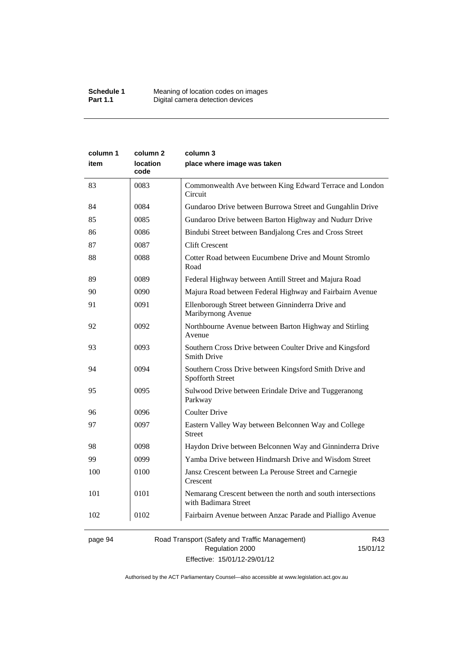| column 1<br>item | column <sub>2</sub><br>location | column 3<br>place where image was taken                                             |
|------------------|---------------------------------|-------------------------------------------------------------------------------------|
|                  | code                            |                                                                                     |
| 83               | 0083                            | Commonwealth Ave between King Edward Terrace and London<br>Circuit                  |
| 84               | 0084                            | Gundaroo Drive between Burrowa Street and Gungahlin Drive                           |
| 85               | 0085                            | Gundaroo Drive between Barton Highway and Nudurr Drive                              |
| 86               | 0086                            | Bindubi Street between Bandjalong Cres and Cross Street                             |
| 87               | 0087                            | <b>Clift Crescent</b>                                                               |
| 88               | 0088                            | Cotter Road between Eucumbene Drive and Mount Stromlo<br>Road                       |
| 89               | 0089                            | Federal Highway between Antill Street and Majura Road                               |
| 90               | 0090                            | Majura Road between Federal Highway and Fairbairn Avenue                            |
| 91               | 0091                            | Ellenborough Street between Ginninderra Drive and<br>Maribyrnong Avenue             |
| 92               | 0092                            | Northbourne Avenue between Barton Highway and Stirling<br>Avenue                    |
| 93               | 0093                            | Southern Cross Drive between Coulter Drive and Kingsford<br><b>Smith Drive</b>      |
| 94               | 0094                            | Southern Cross Drive between Kingsford Smith Drive and<br>Spofforth Street          |
| 95               | 0095                            | Sulwood Drive between Erindale Drive and Tuggeranong<br>Parkway                     |
| 96               | 0096                            | <b>Coulter Drive</b>                                                                |
| 97               | 0097                            | Eastern Valley Way between Belconnen Way and College<br><b>Street</b>               |
| 98               | 0098                            | Haydon Drive between Belconnen Way and Ginninderra Drive                            |
| 99               | 0099                            | Yamba Drive between Hindmarsh Drive and Wisdom Street                               |
| 100              | 0100                            | Jansz Crescent between La Perouse Street and Carnegie<br>Crescent                   |
| 101              | 0101                            | Nemarang Crescent between the north and south intersections<br>with Badimara Street |
| 102              | 0102                            | Fairbairn Avenue between Anzac Parade and Pialligo Avenue                           |

page 94 Road Transport (Safety and Traffic Management) Regulation 2000 Effective: 15/01/12-29/01/12

R43 15/01/12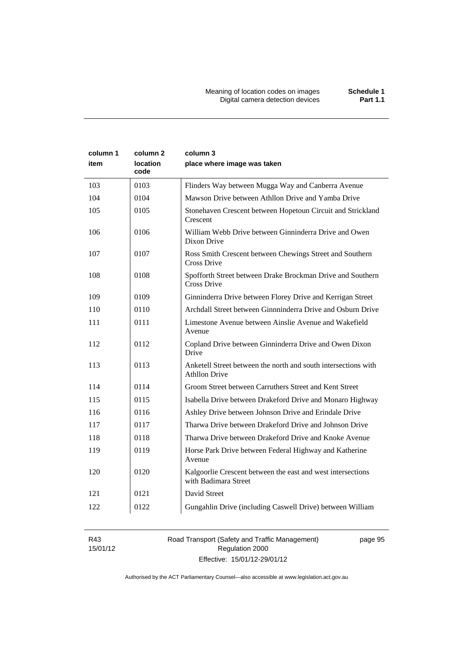| column 1<br>item | column 2<br>location<br>code | column 3<br>place where image was taken                                                |
|------------------|------------------------------|----------------------------------------------------------------------------------------|
| 103              | 0103                         | Flinders Way between Mugga Way and Canberra Avenue                                     |
| 104              | 0104                         | Mawson Drive between Athllon Drive and Yamba Drive                                     |
| 105              | 0105                         | Stonehaven Crescent between Hopetoun Circuit and Strickland<br>Crescent                |
| 106              | 0106                         | William Webb Drive between Ginninderra Drive and Owen<br>Dixon Drive                   |
| 107              | 0107                         | Ross Smith Crescent between Chewings Street and Southern<br>Cross Drive                |
| 108              | 0108                         | Spofforth Street between Drake Brockman Drive and Southern<br>Cross Drive              |
| 109              | 0109                         | Ginninderra Drive between Florey Drive and Kerrigan Street                             |
| 110              | 0110                         | Archdall Street between Ginnninderra Drive and Osburn Drive                            |
| 111              | 0111                         | Limestone Avenue between Ainslie Avenue and Wakefield<br>Avenue                        |
| 112              | 0112                         | Copland Drive between Ginninderra Drive and Owen Dixon<br>Drive                        |
| 113              | 0113                         | Anketell Street between the north and south intersections with<br><b>Athllon Drive</b> |
| 114              | 0114                         | Groom Street between Carruthers Street and Kent Street                                 |
| 115              | 0115                         | Isabella Drive between Drakeford Drive and Monaro Highway                              |
| 116              | 0116                         | Ashley Drive between Johnson Drive and Erindale Drive                                  |
| 117              | 0117                         | Tharwa Drive between Drakeford Drive and Johnson Drive                                 |
| 118              | 0118                         | Tharwa Drive between Drakeford Drive and Knoke Avenue                                  |
| 119              | 0119                         | Horse Park Drive between Federal Highway and Katherine<br>Avenue                       |
| 120              | 0120                         | Kalgoorlie Crescent between the east and west intersections<br>with Badimara Street    |
| 121              | 0121                         | David Street                                                                           |
| 122              | 0122                         | Gungahlin Drive (including Caswell Drive) between William                              |

R43 15/01/12 Road Transport (Safety and Traffic Management) Regulation 2000 Effective: 15/01/12-29/01/12

page 95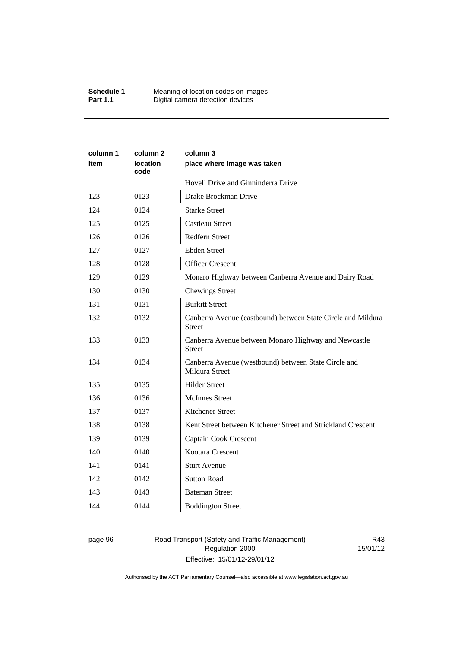| column 1<br>item | column 2<br><b>location</b><br>code | column 3<br>place where image was taken                                       |
|------------------|-------------------------------------|-------------------------------------------------------------------------------|
|                  |                                     | Hovell Drive and Ginninderra Drive                                            |
| 123              | 0123                                | Drake Brockman Drive                                                          |
| 124              | 0124                                | <b>Starke Street</b>                                                          |
| 125              | 0125                                | <b>Castieau Street</b>                                                        |
| 126              | 0126                                | Redfern Street                                                                |
| 127              | 0127                                | <b>Ebden Street</b>                                                           |
| 128              | 0128                                | <b>Officer Crescent</b>                                                       |
| 129              | 0129                                | Monaro Highway between Canberra Avenue and Dairy Road                         |
| 130              | 0130                                | <b>Chewings Street</b>                                                        |
| 131              | 0131                                | <b>Burkitt Street</b>                                                         |
| 132              | 0132                                | Canberra Avenue (eastbound) between State Circle and Mildura<br><b>Street</b> |
| 133              | 0133                                | Canberra Avenue between Monaro Highway and Newcastle<br><b>Street</b>         |
| 134              | 0134                                | Canberra Avenue (westbound) between State Circle and<br>Mildura Street        |
| 135              | 0135                                | <b>Hilder Street</b>                                                          |
| 136              | 0136                                | <b>McInnes Street</b>                                                         |
| 137              | 0137                                | Kitchener Street                                                              |
| 138              | 0138                                | Kent Street between Kitchener Street and Strickland Crescent                  |
| 139              | 0139                                | Captain Cook Crescent                                                         |
| 140              | 0140                                | Kootara Crescent                                                              |
| 141              | 0141                                | <b>Sturt Avenue</b>                                                           |
| 142              | 0142                                | <b>Sutton Road</b>                                                            |
| 143              | 0143                                | <b>Bateman Street</b>                                                         |
| 144              | 0144                                | <b>Boddington Street</b>                                                      |

# page 96 Road Transport (Safety and Traffic Management) Regulation 2000 Effective: 15/01/12-29/01/12

R43 15/01/12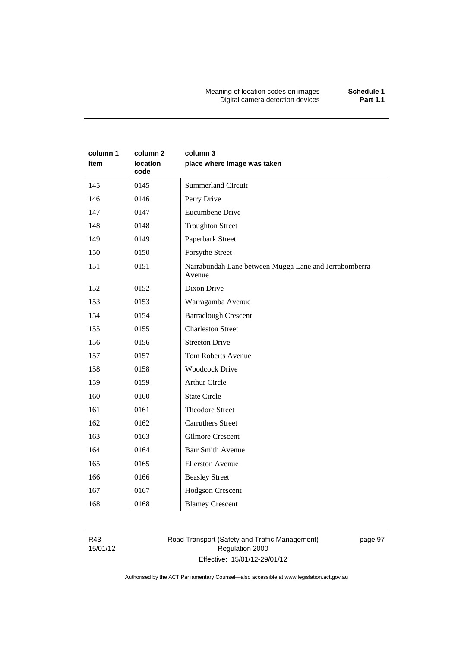Meaning of location codes on images **Schedule 1** Digital camera detection devices **Part 1.1** 

| column 1<br>item | column 2<br>location<br>code | column 3<br>place where image was taken                         |
|------------------|------------------------------|-----------------------------------------------------------------|
| 145              | 0145                         | <b>Summerland Circuit</b>                                       |
| 146              | 0146                         | Perry Drive                                                     |
| 147              | 0147                         | Eucumbene Drive                                                 |
| 148              | 0148                         | <b>Troughton Street</b>                                         |
| 149              | 0149                         | Paperbark Street                                                |
| 150              | 0150                         | Forsythe Street                                                 |
| 151              | 0151                         | Narrabundah Lane between Mugga Lane and Jerrabomberra<br>Avenue |
| 152              | 0152                         | Dixon Drive                                                     |
| 153              | 0153                         | Warragamba Avenue                                               |
| 154              | 0154                         | <b>Barraclough Crescent</b>                                     |
| 155              | 0155                         | <b>Charleston Street</b>                                        |
| 156              | 0156                         | <b>Streeton Drive</b>                                           |
| 157              | 0157                         | <b>Tom Roberts Avenue</b>                                       |
| 158              | 0158                         | <b>Woodcock Drive</b>                                           |
| 159              | 0159                         | <b>Arthur Circle</b>                                            |
| 160              | 0160                         | <b>State Circle</b>                                             |
| 161              | 0161                         | <b>Theodore Street</b>                                          |
| 162              | 0162                         | <b>Carruthers Street</b>                                        |
| 163              | 0163                         | <b>Gilmore Crescent</b>                                         |
| 164              | 0164                         | <b>Barr Smith Avenue</b>                                        |
| 165              | 0165                         | <b>Ellerston Avenue</b>                                         |
| 166              | 0166                         | <b>Beasley Street</b>                                           |
| 167              | 0167                         | Hodgson Crescent                                                |
| 168              | 0168                         | <b>Blamey Crescent</b>                                          |

R43 15/01/12

# Road Transport (Safety and Traffic Management) Regulation 2000 Effective: 15/01/12-29/01/12

page 97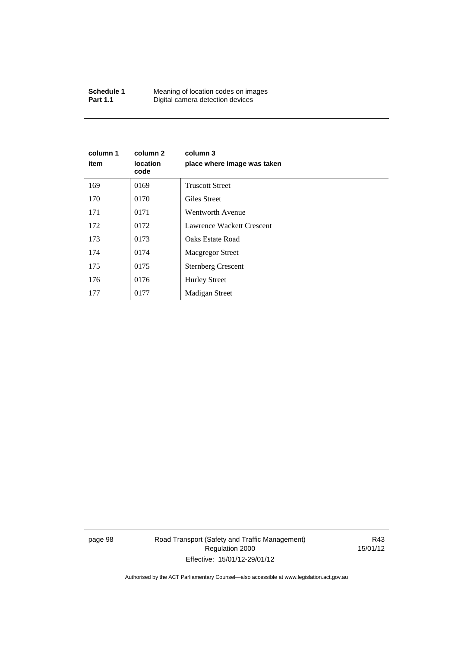| Schedule 1      | Meaning of location codes on images |
|-----------------|-------------------------------------|
| <b>Part 1.1</b> | Digital camera detection devices    |

| column 1<br>item | column 2<br><b>location</b><br>code | column 3<br>place where image was taken |
|------------------|-------------------------------------|-----------------------------------------|
| 169              | 0169                                | <b>Truscott Street</b>                  |
| 170              | 0170                                | Giles Street                            |
| 171              | 0171                                | <b>Wentworth Avenue</b>                 |
| 172              | 0172                                | Lawrence Wackett Crescent               |
| 173              | 0173                                | <b>Oaks Estate Road</b>                 |
| 174              | 0174                                | <b>Macgregor Street</b>                 |
| 175              | 0175                                | <b>Sternberg Crescent</b>               |
| 176              | 0176                                | <b>Hurley Street</b>                    |
| 177              | 0177                                | Madigan Street                          |

page 98 Road Transport (Safety and Traffic Management) Regulation 2000 Effective: 15/01/12-29/01/12

R43 15/01/12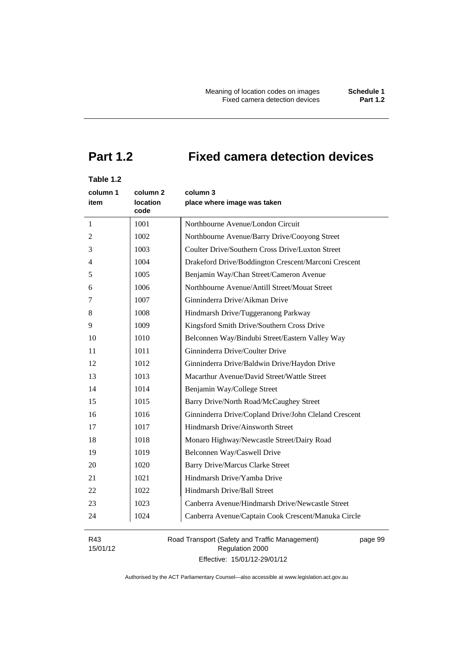# **Part 1.2 Fixed camera detection devices**

# **Table 1.2**

| column 1<br>item | column <sub>2</sub><br><b>location</b><br>code | column 3<br>place where image was taken               |
|------------------|------------------------------------------------|-------------------------------------------------------|
| $\mathbf{1}$     | 1001                                           | Northbourne Avenue/London Circuit                     |
| 2                | 1002                                           | Northbourne Avenue/Barry Drive/Cooyong Street         |
| 3                | 1003                                           | Coulter Drive/Southern Cross Drive/Luxton Street      |
| 4                | 1004                                           | Drakeford Drive/Boddington Crescent/Marconi Crescent  |
| 5                | 1005                                           | Benjamin Way/Chan Street/Cameron Avenue               |
| 6                | 1006                                           | Northbourne Avenue/Antill Street/Mouat Street         |
| 7                | 1007                                           | Ginninderra Drive/Aikman Drive                        |
| 8                | 1008                                           | Hindmarsh Drive/Tuggeranong Parkway                   |
| 9                | 1009                                           | Kingsford Smith Drive/Southern Cross Drive            |
| 10               | 1010                                           | Belconnen Way/Bindubi Street/Eastern Valley Way       |
| 11               | 1011                                           | Ginninderra Drive/Coulter Drive                       |
| 12               | 1012                                           | Ginninderra Drive/Baldwin Drive/Haydon Drive          |
| 13               | 1013                                           | Macarthur Avenue/David Street/Wattle Street           |
| 14               | 1014                                           | Benjamin Way/College Street                           |
| 15               | 1015                                           | Barry Drive/North Road/McCaughey Street               |
| 16               | 1016                                           | Ginninderra Drive/Copland Drive/John Cleland Crescent |
| 17               | 1017                                           | Hindmarsh Drive/Ainsworth Street                      |
| 18               | 1018                                           | Monaro Highway/Newcastle Street/Dairy Road            |
| 19               | 1019                                           | Belconnen Way/Caswell Drive                           |
| 20               | 1020                                           | <b>Barry Drive/Marcus Clarke Street</b>               |
| 21               | 1021                                           | Hindmarsh Drive/Yamba Drive                           |
| 22               | 1022                                           | Hindmarsh Drive/Ball Street                           |
| 23               | 1023                                           | Canberra Avenue/Hindmarsh Drive/Newcastle Street      |
| 24               | 1024                                           | Canberra Avenue/Captain Cook Crescent/Manuka Circle   |

R43 15/01/12 Road Transport (Safety and Traffic Management) Regulation 2000 Effective: 15/01/12-29/01/12

page 99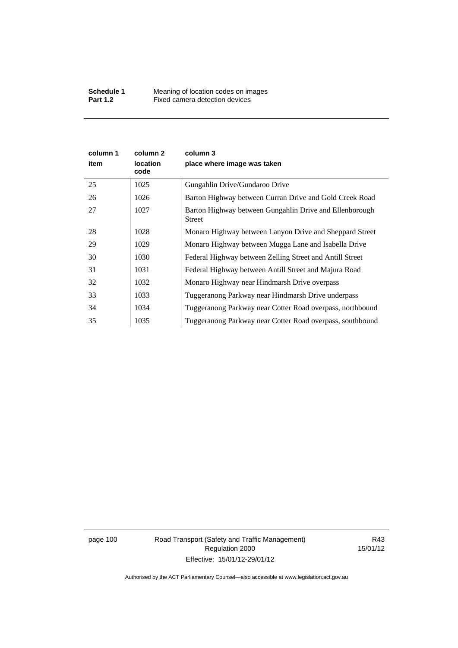| column 1<br>item | column 2<br><b>location</b><br>code | column 3<br>place where image was taken                           |
|------------------|-------------------------------------|-------------------------------------------------------------------|
| 25               | 1025                                | Gungahlin Drive/Gundaroo Drive                                    |
| 26               | 1026                                | Barton Highway between Curran Drive and Gold Creek Road           |
| 27               | 1027                                | Barton Highway between Gungahlin Drive and Ellenborough<br>Street |
| 28               | 1028                                | Monaro Highway between Lanyon Drive and Sheppard Street           |
| 29               | 1029                                | Monaro Highway between Mugga Lane and Isabella Drive              |
| 30               | 1030                                | Federal Highway between Zelling Street and Antill Street          |
| 31               | 1031                                | Federal Highway between Antill Street and Majura Road             |
| 32               | 1032                                | Monaro Highway near Hindmarsh Drive overpass                      |
| 33               | 1033                                | Tuggeranong Parkway near Hindmarsh Drive underpass                |
| 34               | 1034                                | Tuggeranong Parkway near Cotter Road overpass, northbound         |
| 35               | 1035                                | Tuggeranong Parkway near Cotter Road overpass, southbound         |

page 100 Road Transport (Safety and Traffic Management) Regulation 2000 Effective: 15/01/12-29/01/12

R43 15/01/12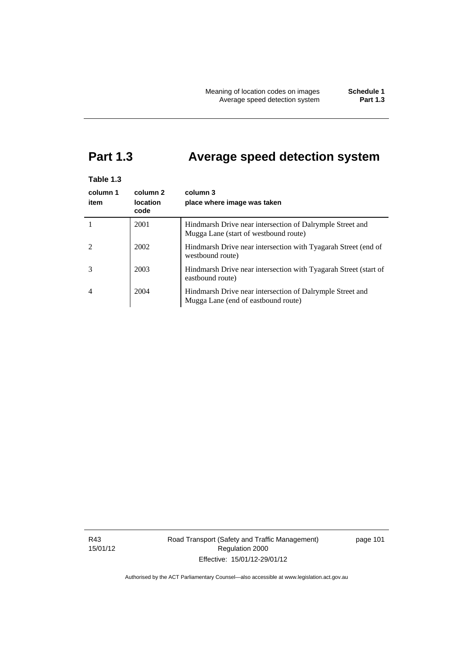# **Part 1.3 Average speed detection system**

| Table 1.3 |                         |                                                                                                    |
|-----------|-------------------------|----------------------------------------------------------------------------------------------------|
| column 1  | column <sub>2</sub>     | column 3                                                                                           |
| item      | <b>location</b><br>code | place where image was taken                                                                        |
|           | 2001                    | Hindmarsh Drive near intersection of Dalrymple Street and<br>Mugga Lane (start of westbound route) |
|           | 2002                    | Hindmarsh Drive near intersection with Tyagarah Street (end of<br>westbound route)                 |
| 3         | 2003                    | Hindmarsh Drive near intersection with Tyagarah Street (start of<br>eastbound route)               |
| 4         | 2004                    | Hindmarsh Drive near intersection of Dalrymple Street and<br>Mugga Lane (end of eastbound route)   |

R43 15/01/12 Road Transport (Safety and Traffic Management) Regulation 2000 Effective: 15/01/12-29/01/12

page 101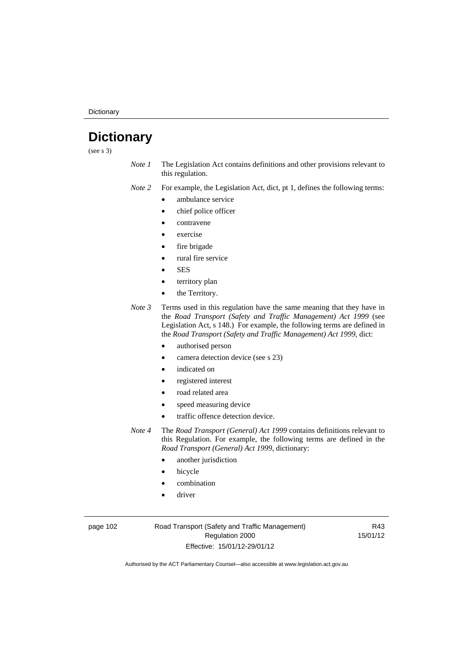**Dictionary** 

# **Dictionary**

(see s 3)

*Note 1* The Legislation Act contains definitions and other provisions relevant to this regulation.

*Note 2* For example, the Legislation Act, dict, pt 1, defines the following terms:

- ambulance service
- chief police officer
- contravene
- exercise
- fire brigade
- rural fire service
- **SES**
- territory plan
- the Territory.
- *Note 3* Terms used in this regulation have the same meaning that they have in the *Road Transport (Safety and Traffic Management) Act 1999* (see Legislation Act, s 148.) For example, the following terms are defined in the *Road Transport (Safety and Traffic Management) Act 1999*, dict:
	- authorised person
	- camera detection device (see s 23)
	- indicated on
	- registered interest
	- road related area
	- speed measuring device
	- traffic offence detection device.

*Note 4* The *Road Transport (General) Act 1999* contains definitions relevant to this Regulation. For example, the following terms are defined in the *Road Transport (General) Act 1999*, dictionary:

- another jurisdiction
- bicycle
- combination
- driver

page 102 Road Transport (Safety and Traffic Management) Regulation 2000 Effective: 15/01/12-29/01/12

R43 15/01/12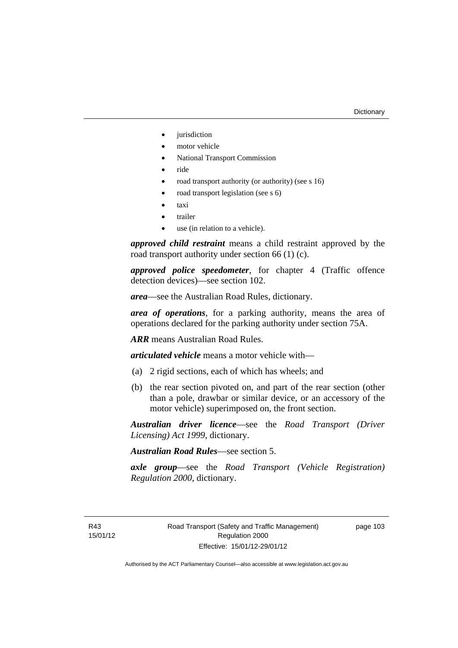- iurisdiction
- motor vehicle
- National Transport Commission
- ride
- road transport authority (or authority) (see s 16)
- road transport legislation (see s 6)
- taxi
- trailer
- use (in relation to a vehicle).

*approved child restraint* means a child restraint approved by the road transport authority under section 66 (1) (c).

*approved police speedometer*, for chapter 4 (Traffic offence detection devices)—see section 102.

*area*—see the Australian Road Rules, dictionary.

*area of operations*, for a parking authority, means the area of operations declared for the parking authority under section 75A.

*ARR* means Australian Road Rules.

*articulated vehicle* means a motor vehicle with—

- (a) 2 rigid sections, each of which has wheels; and
- (b) the rear section pivoted on, and part of the rear section (other than a pole, drawbar or similar device, or an accessory of the motor vehicle) superimposed on, the front section.

*Australian driver licence*—see the *Road Transport (Driver Licensing) Act 1999*, dictionary.

*Australian Road Rules*—see section 5.

*axle group*—see the *Road Transport (Vehicle Registration) Regulation 2000*, dictionary.

R43 15/01/12 page 103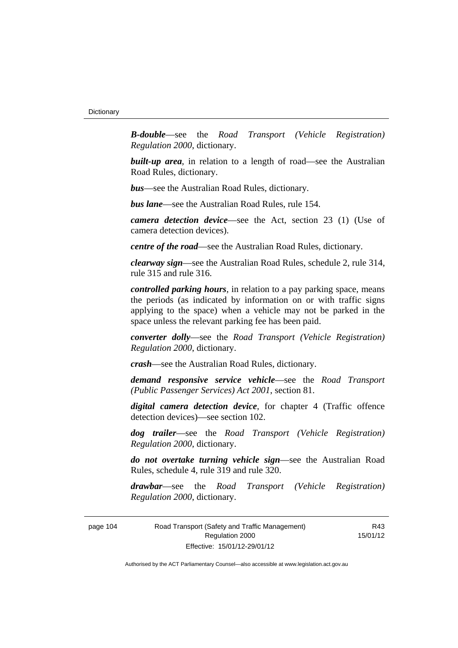*B-double*—see the *Road Transport (Vehicle Registration) Regulation 2000*, dictionary.

**built-up area**, in relation to a length of road—see the Australian Road Rules, dictionary.

*bus*—see the Australian Road Rules, dictionary.

*bus lane*—see the Australian Road Rules, rule 154.

*camera detection device*—see the Act, section 23 (1) (Use of camera detection devices).

*centre of the road*—see the Australian Road Rules, dictionary.

*clearway sign*—see the Australian Road Rules, schedule 2, rule 314, rule 315 and rule 316.

*controlled parking hours*, in relation to a pay parking space, means the periods (as indicated by information on or with traffic signs applying to the space) when a vehicle may not be parked in the space unless the relevant parking fee has been paid.

*converter dolly*—see the *Road Transport (Vehicle Registration) Regulation 2000*, dictionary.

*crash*—see the Australian Road Rules, dictionary.

*demand responsive service vehicle*—see the *Road Transport (Public Passenger Services) Act 2001*, section 81.

*digital camera detection device*, for chapter 4 (Traffic offence detection devices)—see section 102.

*dog trailer*—see the *Road Transport (Vehicle Registration) Regulation 2000*, dictionary.

*do not overtake turning vehicle sign*—see the Australian Road Rules, schedule 4, rule 319 and rule 320.

*drawbar*—see the *Road Transport (Vehicle Registration) Regulation 2000*, dictionary.

page 104 Road Transport (Safety and Traffic Management) Regulation 2000 Effective: 15/01/12-29/01/12

R43 15/01/12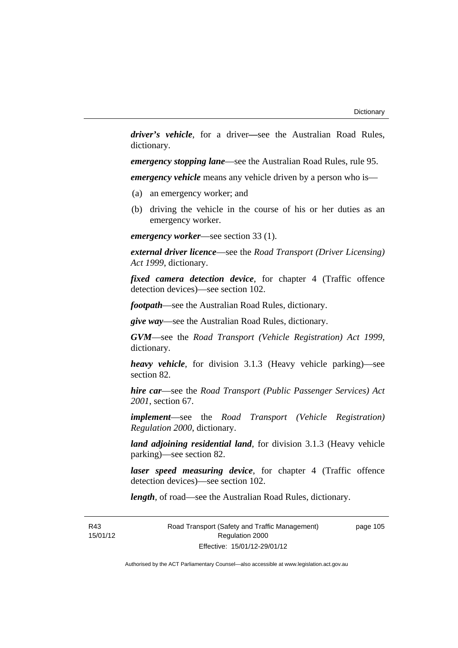*driver's vehicle*, for a driver*—*see the Australian Road Rules, dictionary.

*emergency stopping lane*—see the Australian Road Rules, rule 95.

*emergency vehicle* means any vehicle driven by a person who is—

- (a) an emergency worker; and
- (b) driving the vehicle in the course of his or her duties as an emergency worker.

*emergency worker*—see section 33 (1).

*external driver licence*—see the *Road Transport (Driver Licensing) Act 1999*, dictionary.

*fixed camera detection device*, for chapter 4 (Traffic offence detection devices)—see section 102.

*footpath*—see the Australian Road Rules, dictionary.

*give way*—see the Australian Road Rules, dictionary.

*GVM*—see the *Road Transport (Vehicle Registration) Act 1999*, dictionary.

*heavy vehicle*, for division 3.1.3 (Heavy vehicle parking)—see section 82.

*hire car*—see the *Road Transport (Public Passenger Services) Act 2001*, section 67.

*implement*—see the *Road Transport (Vehicle Registration) Regulation 2000*, dictionary.

*land adjoining residential land*, for division 3.1.3 (Heavy vehicle parking)—see section 82.

*laser speed measuring device*, for chapter 4 (Traffic offence detection devices)—see section 102.

*length*, of road—see the Australian Road Rules, dictionary.

R43 15/01/12 Road Transport (Safety and Traffic Management) Regulation 2000 Effective: 15/01/12-29/01/12

page 105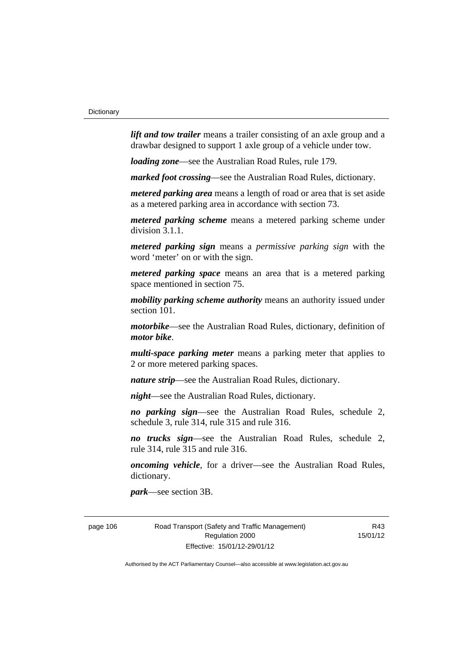*lift and tow trailer* means a trailer consisting of an axle group and a drawbar designed to support 1 axle group of a vehicle under tow.

*loading zone*—see the Australian Road Rules, rule 179.

*marked foot crossing*—see the Australian Road Rules, dictionary.

*metered parking area* means a length of road or area that is set aside as a metered parking area in accordance with section 73.

*metered parking scheme* means a metered parking scheme under division 3.1.1.

*metered parking sign* means a *permissive parking sign* with the word 'meter' on or with the sign.

*metered parking space* means an area that is a metered parking space mentioned in section 75.

*mobility parking scheme authority* means an authority issued under section 101.

*motorbike*—see the Australian Road Rules, dictionary, definition of *motor bike*.

*multi-space parking meter* means a parking meter that applies to 2 or more metered parking spaces.

*nature strip*—see the Australian Road Rules, dictionary.

*night*—see the Australian Road Rules, dictionary.

*no parking sign*—see the Australian Road Rules, schedule 2, schedule 3, rule 314, rule 315 and rule 316.

*no trucks sign*—see the Australian Road Rules, schedule 2, rule 314, rule 315 and rule 316.

*oncoming vehicle*, for a driver—see the Australian Road Rules, dictionary.

*park*—see section 3B.

page 106 Road Transport (Safety and Traffic Management) Regulation 2000 Effective: 15/01/12-29/01/12

R43 15/01/12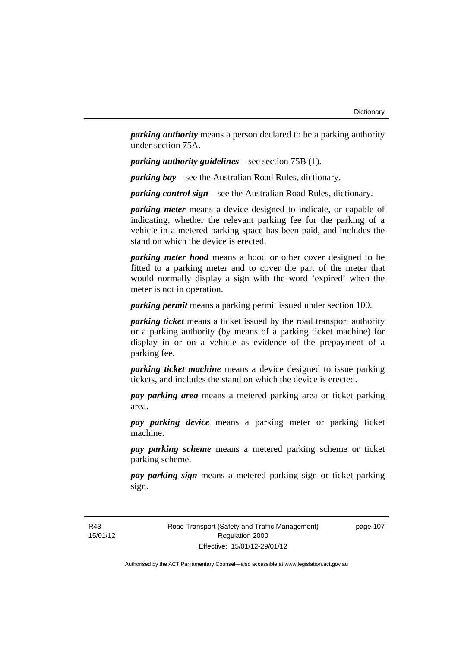*parking authority* means a person declared to be a parking authority under section 75A.

*parking authority guidelines*—see section 75B (1).

*parking bay*—see the Australian Road Rules, dictionary.

*parking control sign*—see the Australian Road Rules, dictionary.

*parking meter* means a device designed to indicate, or capable of indicating, whether the relevant parking fee for the parking of a vehicle in a metered parking space has been paid, and includes the stand on which the device is erected.

*parking meter hood* means a hood or other cover designed to be fitted to a parking meter and to cover the part of the meter that would normally display a sign with the word 'expired' when the meter is not in operation.

*parking permit* means a parking permit issued under section 100.

*parking ticket* means a ticket issued by the road transport authority or a parking authority (by means of a parking ticket machine) for display in or on a vehicle as evidence of the prepayment of a parking fee.

*parking ticket machine* means a device designed to issue parking tickets, and includes the stand on which the device is erected.

*pay parking area* means a metered parking area or ticket parking area.

*pay parking device* means a parking meter or parking ticket machine.

*pay parking scheme* means a metered parking scheme or ticket parking scheme.

*pay parking sign* means a metered parking sign or ticket parking sign.

R43 15/01/12 Road Transport (Safety and Traffic Management) Regulation 2000 Effective: 15/01/12-29/01/12

page 107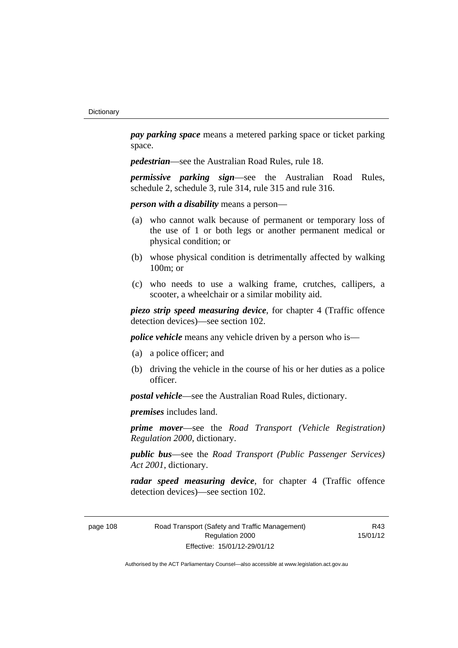*pay parking space* means a metered parking space or ticket parking space.

*pedestrian*—see the Australian Road Rules, rule 18.

*permissive parking sign*—see the Australian Road Rules, schedule 2, schedule 3, rule 314, rule 315 and rule 316.

*person with a disability* means a person—

- (a) who cannot walk because of permanent or temporary loss of the use of 1 or both legs or another permanent medical or physical condition; or
- (b) whose physical condition is detrimentally affected by walking 100m; or
- (c) who needs to use a walking frame, crutches, callipers, a scooter, a wheelchair or a similar mobility aid.

*piezo strip speed measuring device*, for chapter 4 (Traffic offence detection devices)—see section 102.

*police vehicle* means any vehicle driven by a person who is—

- (a) a police officer; and
- (b) driving the vehicle in the course of his or her duties as a police officer.

*postal vehicle*—see the Australian Road Rules, dictionary.

*premises* includes land.

*prime mover*—see the *Road Transport (Vehicle Registration) Regulation 2000*, dictionary.

*public bus*—see the *Road Transport (Public Passenger Services) Act 2001*, dictionary.

*radar speed measuring device*, for chapter 4 (Traffic offence detection devices)—see section 102.

page 108 Road Transport (Safety and Traffic Management) Regulation 2000 Effective: 15/01/12-29/01/12

R43 15/01/12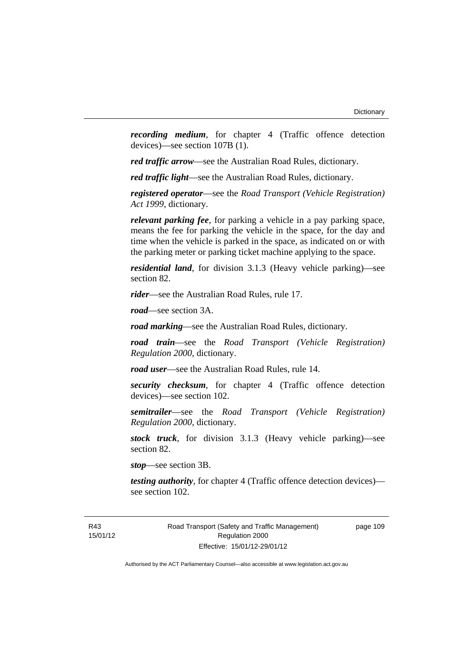*recording medium*, for chapter 4 (Traffic offence detection devices)—see section 107B (1).

*red traffic arrow*—see the Australian Road Rules, dictionary.

*red traffic light*—see the Australian Road Rules, dictionary.

*registered operator*—see the *Road Transport (Vehicle Registration) Act 1999*, dictionary.

*relevant parking fee*, for parking a vehicle in a pay parking space, means the fee for parking the vehicle in the space, for the day and time when the vehicle is parked in the space, as indicated on or with the parking meter or parking ticket machine applying to the space.

*residential land*, for division 3.1.3 (Heavy vehicle parking)—see section 82.

*rider*—see the Australian Road Rules, rule 17.

*road*—see section 3A.

*road marking*—see the Australian Road Rules, dictionary.

*road train*—see the *Road Transport (Vehicle Registration) Regulation 2000*, dictionary.

*road user*—see the Australian Road Rules, rule 14.

*security checksum*, for chapter 4 (Traffic offence detection devices)—see section 102.

*semitrailer*—see the *Road Transport (Vehicle Registration) Regulation 2000*, dictionary.

*stock truck*, for division 3.1.3 (Heavy vehicle parking)—see section 82.

*stop*—see section 3B.

*testing authority*, for chapter 4 (Traffic offence detection devices) see section 102.

page 109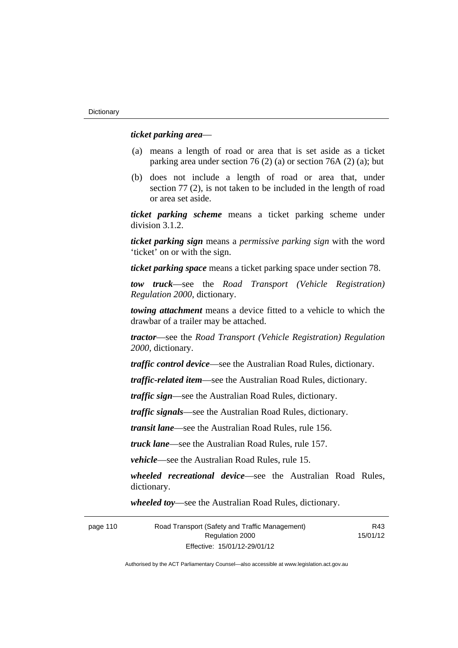### *ticket parking area*—

- (a) means a length of road or area that is set aside as a ticket parking area under section 76 (2) (a) or section 76A (2) (a); but
- (b) does not include a length of road or area that, under section 77 (2), is not taken to be included in the length of road or area set aside.

*ticket parking scheme* means a ticket parking scheme under division 3.1.2.

*ticket parking sign* means a *permissive parking sign* with the word 'ticket' on or with the sign.

*ticket parking space* means a ticket parking space under section 78.

*tow truck*—see the *Road Transport (Vehicle Registration) Regulation 2000*, dictionary.

*towing attachment* means a device fitted to a vehicle to which the drawbar of a trailer may be attached.

*tractor*—see the *Road Transport (Vehicle Registration) Regulation 2000*, dictionary.

*traffic control device*—see the Australian Road Rules, dictionary.

*traffic-related item*—see the Australian Road Rules, dictionary.

*traffic sign*—see the Australian Road Rules, dictionary.

*traffic signals*—see the Australian Road Rules, dictionary.

*transit lane*—see the Australian Road Rules, rule 156.

*truck lane*—see the Australian Road Rules, rule 157.

*vehicle*—see the Australian Road Rules, rule 15.

*wheeled recreational device*—see the Australian Road Rules, dictionary.

*wheeled toy*—see the Australian Road Rules, dictionary.

page 110 Road Transport (Safety and Traffic Management) Regulation 2000 Effective: 15/01/12-29/01/12 R43 15/01/12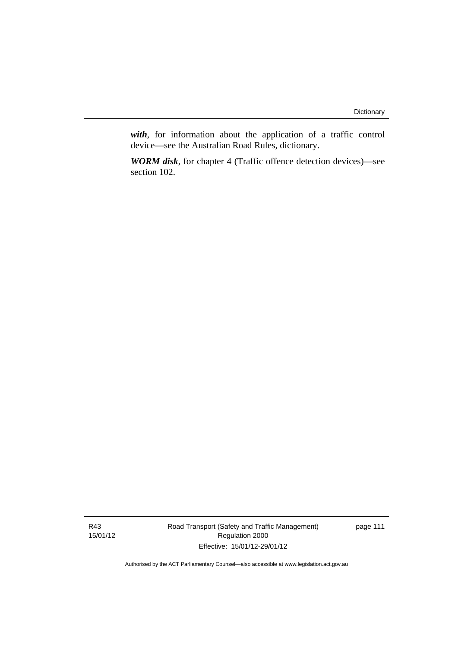*with*, for information about the application of a traffic control device—see the Australian Road Rules, dictionary.

*WORM disk*, for chapter 4 (Traffic offence detection devices)—see section 102.

R43 15/01/12 Road Transport (Safety and Traffic Management) Regulation 2000 Effective: 15/01/12-29/01/12

page 111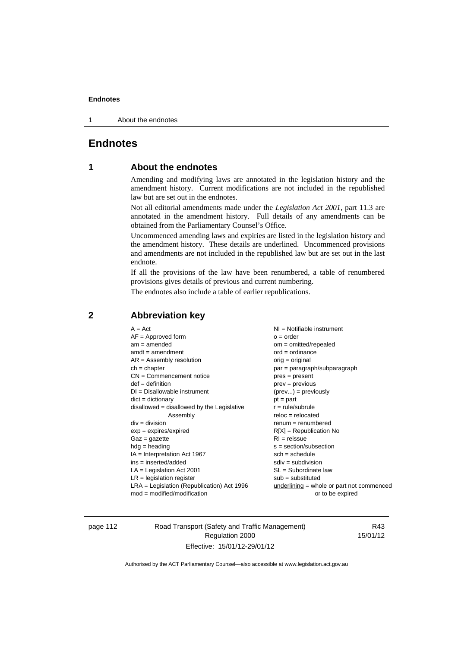1 About the endnotes

# **Endnotes**

# **1 About the endnotes**

Amending and modifying laws are annotated in the legislation history and the amendment history. Current modifications are not included in the republished law but are set out in the endnotes.

Not all editorial amendments made under the *Legislation Act 2001*, part 11.3 are annotated in the amendment history. Full details of any amendments can be obtained from the Parliamentary Counsel's Office.

Uncommenced amending laws and expiries are listed in the legislation history and the amendment history. These details are underlined. Uncommenced provisions and amendments are not included in the republished law but are set out in the last endnote.

If all the provisions of the law have been renumbered, a table of renumbered provisions gives details of previous and current numbering.

The endnotes also include a table of earlier republications.

| $A = Act$                                    | NI = Notifiable instrument                |
|----------------------------------------------|-------------------------------------------|
| $AF =$ Approved form                         | $o = order$                               |
| $am = amended$                               | $om = omitted/repealed$                   |
| $amdt = amendment$                           | $ord = ordinance$                         |
| $AR = Assembly resolution$                   | orig = original                           |
| $ch = chapter$                               | $par = paragraph/subparagraph$            |
| $CN =$ Commencement notice                   | $pres = present$                          |
| $def = definition$                           | $prev = previous$                         |
| $DI = Disallowable instrument$               | $(\text{prev}) = \text{previously}$       |
| $dict = dictionary$                          | $pt = part$                               |
| $disallowed = disallowed by the Legislative$ | $r = rule/subrule$                        |
| Assembly                                     | $reloc = relocated$                       |
| $div = division$                             | $remum = renumbered$                      |
| $exp = expires/expired$                      | $R[X]$ = Republication No                 |
| $Gaz = gazette$                              | $RI = reissue$                            |
| $hdg =$ heading                              | $s = section/subsection$                  |
| $IA = Interpretation Act 1967$               | $sch = schedule$                          |
| $ins = inserted/added$                       | $sdiv = subdivision$                      |
| $LA =$ Legislation Act 2001                  | $SL = Subordinate$ law                    |
| $LR =$ legislation register                  | $sub =$ substituted                       |
| $LRA =$ Legislation (Republication) Act 1996 | underlining = whole or part not commenced |
| $mod = modified/modification$                | or to be expired                          |
|                                              |                                           |

# **2 Abbreviation key**

page 112 Road Transport (Safety and Traffic Management) Regulation 2000 Effective: 15/01/12-29/01/12

R43 15/01/12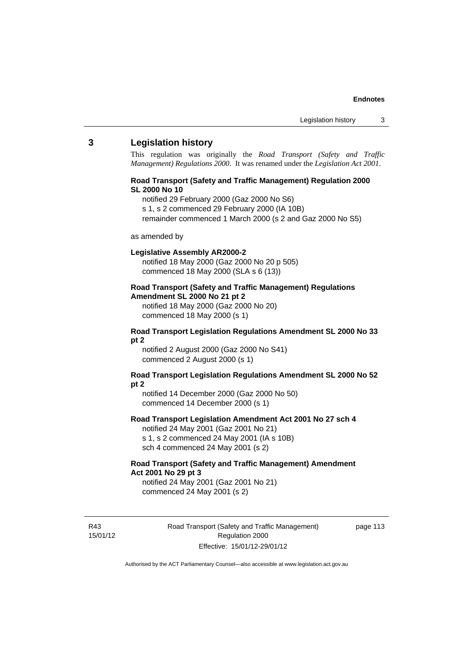# **3 Legislation history**

This regulation was originally the *Road Transport (Safety and Traffic Management) Regulations 2000*. It was renamed under the *Legislation Act 2001*.

### **Road Transport (Safety and Traffic Management) Regulation 2000 SL 2000 No 10**

- notified 29 February 2000 (Gaz 2000 No S6)
- s 1, s 2 commenced 29 February 2000 (IA 10B)
- remainder commenced 1 March 2000 (s 2 and Gaz 2000 No S5)

#### as amended by

#### **Legislative Assembly AR2000-2**

notified 18 May 2000 (Gaz 2000 No 20 p 505) commenced 18 May 2000 (SLA s 6 (13))

### **Road Transport (Safety and Traffic Management) Regulations Amendment SL 2000 No 21 pt 2**

notified 18 May 2000 (Gaz 2000 No 20) commenced 18 May 2000 (s 1)

#### **Road Transport Legislation Regulations Amendment SL 2000 No 33 pt 2**

notified 2 August 2000 (Gaz 2000 No S41) commenced 2 August 2000 (s 1)

#### **Road Transport Legislation Regulations Amendment SL 2000 No 52 pt 2**

notified 14 December 2000 (Gaz 2000 No 50) commenced 14 December 2000 (s 1)

### **Road Transport Legislation Amendment Act 2001 No 27 sch 4**

notified 24 May 2001 (Gaz 2001 No 21) s 1, s 2 commenced 24 May 2001 (IA s 10B) sch 4 commenced 24 May 2001 (s 2)

# **Road Transport (Safety and Traffic Management) Amendment Act 2001 No 29 pt 3**

notified 24 May 2001 (Gaz 2001 No 21) commenced 24 May 2001 (s 2)

R43 15/01/12 page 113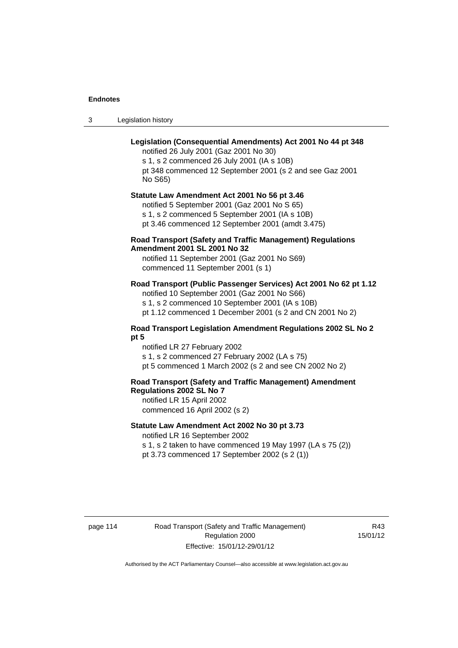3 Legislation history

# **Legislation (Consequential Amendments) Act 2001 No 44 pt 348**

notified 26 July 2001 (Gaz 2001 No 30) s 1, s 2 commenced 26 July 2001 (IA s 10B) pt 348 commenced 12 September 2001 (s 2 and see Gaz 2001 No S65)

# **Statute Law Amendment Act 2001 No 56 pt 3.46**

notified 5 September 2001 (Gaz 2001 No S 65) s 1, s 2 commenced 5 September 2001 (IA s 10B) pt 3.46 commenced 12 September 2001 (amdt 3.475)

# **Road Transport (Safety and Traffic Management) Regulations Amendment 2001 SL 2001 No 32**

notified 11 September 2001 (Gaz 2001 No S69) commenced 11 September 2001 (s 1)

# **Road Transport (Public Passenger Services) Act 2001 No 62 pt 1.12**

notified 10 September 2001 (Gaz 2001 No S66) s 1, s 2 commenced 10 September 2001 (IA s 10B)

pt 1.12 commenced 1 December 2001 (s 2 and CN 2001 No 2)

### **Road Transport Legislation Amendment Regulations 2002 SL No 2 pt 5**

notified LR 27 February 2002 s 1, s 2 commenced 27 February 2002 (LA s 75) pt 5 commenced 1 March 2002 (s 2 and see CN 2002 No 2)

# **Road Transport (Safety and Traffic Management) Amendment Regulations 2002 SL No 7**

notified LR 15 April 2002 commenced 16 April 2002 (s 2)

### **Statute Law Amendment Act 2002 No 30 pt 3.73**

notified LR 16 September 2002

s 1, s 2 taken to have commenced 19 May 1997 (LA s 75 (2)) pt 3.73 commenced 17 September 2002 (s 2 (1))

page 114 Road Transport (Safety and Traffic Management) Regulation 2000 Effective: 15/01/12-29/01/12

R43 15/01/12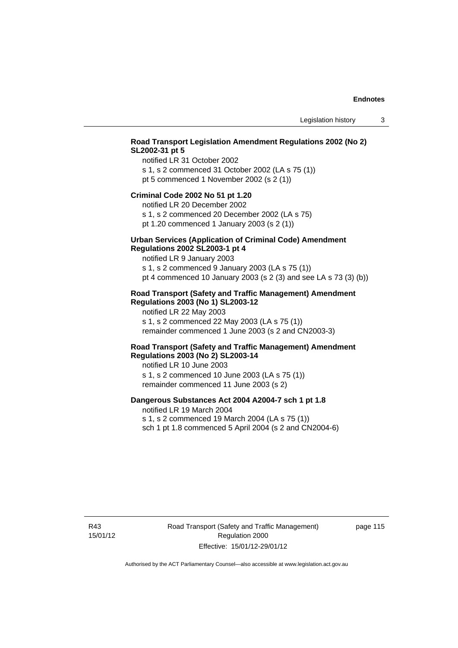# **Road Transport Legislation Amendment Regulations 2002 (No 2) SL2002-31 pt 5**

notified LR 31 October 2002 s 1, s 2 commenced 31 October 2002 (LA s 75 (1)) pt 5 commenced 1 November 2002 (s 2 (1))

#### **Criminal Code 2002 No 51 pt 1.20**

notified LR 20 December 2002

s 1, s 2 commenced 20 December 2002 (LA s 75) pt 1.20 commenced 1 January 2003 (s 2 (1))

#### **Urban Services (Application of Criminal Code) Amendment Regulations 2002 SL2003-1 pt 4**

notified LR 9 January 2003

s 1, s 2 commenced 9 January 2003 (LA s 75 (1)) pt 4 commenced 10 January 2003 (s 2 (3) and see LA s 73 (3) (b))

## **Road Transport (Safety and Traffic Management) Amendment Regulations 2003 (No 1) SL2003-12**

notified LR 22 May 2003 s 1, s 2 commenced 22 May 2003 (LA s 75 (1)) remainder commenced 1 June 2003 (s 2 and CN2003-3)

## **Road Transport (Safety and Traffic Management) Amendment Regulations 2003 (No 2) SL2003-14**

notified LR 10 June 2003 s 1, s 2 commenced 10 June 2003 (LA s 75 (1)) remainder commenced 11 June 2003 (s 2)

# **Dangerous Substances Act 2004 A2004-7 sch 1 pt 1.8**

notified LR 19 March 2004 s 1, s 2 commenced 19 March 2004 (LA s 75 (1)) sch 1 pt 1.8 commenced 5 April 2004 (s 2 and CN2004-6)

R43 15/01/12 Road Transport (Safety and Traffic Management) Regulation 2000 Effective: 15/01/12-29/01/12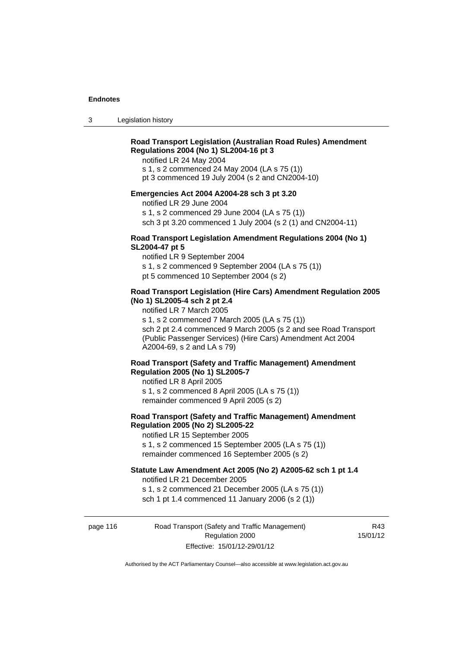3 Legislation history

# **Road Transport Legislation (Australian Road Rules) Amendment Regulations 2004 (No 1) SL2004-16 pt 3**

notified LR 24 May 2004

s 1, s 2 commenced 24 May 2004 (LA s 75 (1))

pt 3 commenced 19 July 2004 (s 2 and CN2004-10)

# **Emergencies Act 2004 A2004-28 sch 3 pt 3.20**

notified LR 29 June 2004

s 1, s 2 commenced 29 June 2004 (LA s 75 (1))

sch 3 pt 3.20 commenced 1 July 2004 (s 2 (1) and CN2004-11)

# **Road Transport Legislation Amendment Regulations 2004 (No 1) SL2004-47 pt 5**

notified LR 9 September 2004 s 1, s 2 commenced 9 September 2004 (LA s 75 (1)) pt 5 commenced 10 September 2004 (s 2)

# **Road Transport Legislation (Hire Cars) Amendment Regulation 2005 (No 1) SL2005-4 sch 2 pt 2.4**

notified LR 7 March 2005

s 1, s 2 commenced 7 March 2005 (LA s 75 (1))

sch 2 pt 2.4 commenced 9 March 2005 (s 2 and see Road Transport (Public Passenger Services) (Hire Cars) Amendment Act 2004 A2004-69, s 2 and LA s 79)

# **Road Transport (Safety and Traffic Management) Amendment Regulation 2005 (No 1) SL2005-7**

notified LR 8 April 2005 s 1, s 2 commenced 8 April 2005 (LA s 75 (1)) remainder commenced 9 April 2005 (s 2)

# **Road Transport (Safety and Traffic Management) Amendment Regulation 2005 (No 2) SL2005-22**

notified LR 15 September 2005 s 1, s 2 commenced 15 September 2005 (LA s 75 (1)) remainder commenced 16 September 2005 (s 2)

## **Statute Law Amendment Act 2005 (No 2) A2005-62 sch 1 pt 1.4**

notified LR 21 December 2005 s 1, s 2 commenced 21 December 2005 (LA s 75 (1)) sch 1 pt 1.4 commenced 11 January 2006 (s 2 (1))

page 116 Road Transport (Safety and Traffic Management) Regulation 2000 Effective: 15/01/12-29/01/12

R43 15/01/12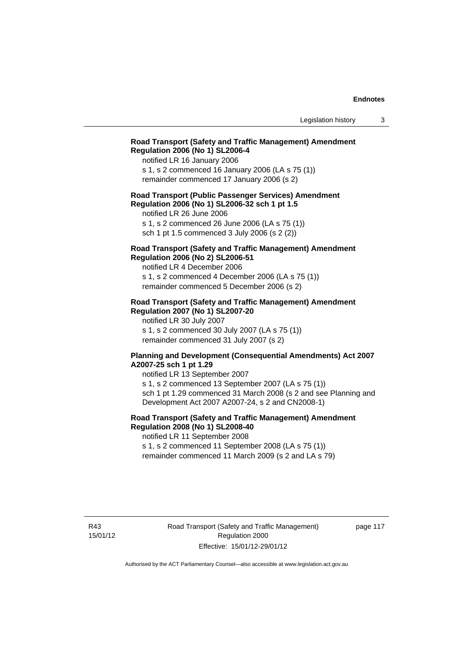# **Road Transport (Safety and Traffic Management) Amendment Regulation 2006 (No 1) SL2006-4**

notified LR 16 January 2006 s 1, s 2 commenced 16 January 2006 (LA s 75 (1)) remainder commenced 17 January 2006 (s 2)

### **Road Transport (Public Passenger Services) Amendment Regulation 2006 (No 1) SL2006-32 sch 1 pt 1.5**

notified LR 26 June 2006 s 1, s 2 commenced 26 June 2006 (LA s 75 (1)) sch 1 pt 1.5 commenced 3 July 2006 (s 2 (2))

# **Road Transport (Safety and Traffic Management) Amendment Regulation 2006 (No 2) SL2006-51**

notified LR 4 December 2006 s 1, s 2 commenced 4 December 2006 (LA s 75 (1)) remainder commenced 5 December 2006 (s 2)

#### **Road Transport (Safety and Traffic Management) Amendment Regulation 2007 (No 1) SL2007-20**

notified LR 30 July 2007 s 1, s 2 commenced 30 July 2007 (LA s 75 (1)) remainder commenced 31 July 2007 (s 2)

### **Planning and Development (Consequential Amendments) Act 2007 A2007-25 sch 1 pt 1.29**

notified LR 13 September 2007 s 1, s 2 commenced 13 September 2007 (LA s 75 (1)) sch 1 pt 1.29 commenced 31 March 2008 (s 2 and see Planning and Development Act 2007 A2007-24, s 2 and CN2008-1)

# **Road Transport (Safety and Traffic Management) Amendment Regulation 2008 (No 1) SL2008-40**

notified LR 11 September 2008 s 1, s 2 commenced 11 September 2008 (LA s 75 (1))

remainder commenced 11 March 2009 (s 2 and LA s 79)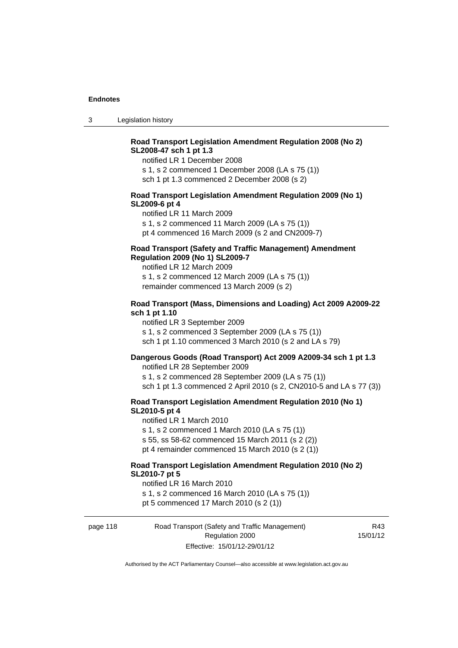3 Legislation history

# **Road Transport Legislation Amendment Regulation 2008 (No 2) SL2008-47 sch 1 pt 1.3**

notified LR 1 December 2008 s 1, s 2 commenced 1 December 2008 (LA s 75 (1)) sch 1 pt 1.3 commenced 2 December 2008 (s 2)

## **Road Transport Legislation Amendment Regulation 2009 (No 1) SL2009-6 pt 4**

notified LR 11 March 2009 s 1, s 2 commenced 11 March 2009 (LA s 75 (1)) pt 4 commenced 16 March 2009 (s 2 and CN2009-7)

# **Road Transport (Safety and Traffic Management) Amendment Regulation 2009 (No 1) SL2009-7**

notified LR 12 March 2009 s 1, s 2 commenced 12 March 2009 (LA s 75 (1)) remainder commenced 13 March 2009 (s 2)

#### **Road Transport (Mass, Dimensions and Loading) Act 2009 A2009-22 sch 1 pt 1.10**

notified LR 3 September 2009 s 1, s 2 commenced 3 September 2009 (LA s 75 (1)) sch 1 pt 1.10 commenced 3 March 2010 (s 2 and LA s 79)

# **Dangerous Goods (Road Transport) Act 2009 A2009-34 sch 1 pt 1.3**

notified LR 28 September 2009 s 1, s 2 commenced 28 September 2009 (LA s 75 (1)) sch 1 pt 1.3 commenced 2 April 2010 (s 2, CN2010-5 and LA s 77 (3))

### **Road Transport Legislation Amendment Regulation 2010 (No 1) SL2010-5 pt 4**

notified LR 1 March 2010 s 1, s 2 commenced 1 March 2010 (LA s 75 (1)) s 55, ss 58-62 commenced 15 March 2011 (s 2 (2)) pt 4 remainder commenced 15 March 2010 (s 2 (1))

### **Road Transport Legislation Amendment Regulation 2010 (No 2) SL2010-7 pt 5**

notified LR 16 March 2010 s 1, s 2 commenced 16 March 2010 (LA s 75 (1)) pt 5 commenced 17 March 2010 (s 2 (1))

page 118 Road Transport (Safety and Traffic Management) Regulation 2000 Effective: 15/01/12-29/01/12

R43 15/01/12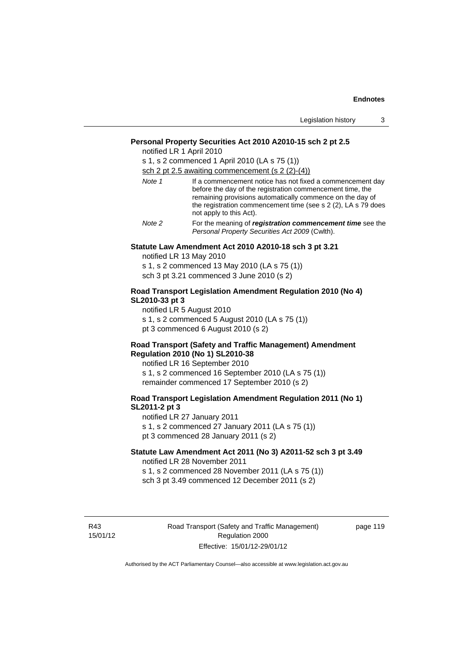|  |  | Legislation history |  |
|--|--|---------------------|--|
|--|--|---------------------|--|

#### **Personal Property Securities Act 2010 A2010-15 sch 2 pt 2.5**

notified LR 1 April 2010

s 1, s 2 commenced 1 April 2010 (LA s 75 (1)) sch 2 pt 2.5 awaiting commencement (s 2 (2)-(4))

| Note 1 | If a commencement notice has not fixed a commencement day<br>before the day of the registration commencement time, the<br>remaining provisions automatically commence on the day of<br>the registration commencement time (see s 2 (2), LA s 79 does<br>not apply to this Act). |
|--------|---------------------------------------------------------------------------------------------------------------------------------------------------------------------------------------------------------------------------------------------------------------------------------|
| Note 2 | For the meaning of <b>registration commencement time</b> see the                                                                                                                                                                                                                |

*Note 2* For the meaning of *registration commencement time* see the *Personal Property Securities Act 2009* (Cwlth).

#### **Statute Law Amendment Act 2010 A2010-18 sch 3 pt 3.21**

notified LR 13 May 2010

s 1, s 2 commenced 13 May 2010 (LA s 75 (1)) sch 3 pt 3.21 commenced 3 June 2010 (s 2)

## **Road Transport Legislation Amendment Regulation 2010 (No 4) SL2010-33 pt 3**

notified LR 5 August 2010 s 1, s 2 commenced 5 August 2010 (LA s 75 (1)) pt 3 commenced 6 August 2010 (s 2)

#### **Road Transport (Safety and Traffic Management) Amendment Regulation 2010 (No 1) SL2010-38**

notified LR 16 September 2010 s 1, s 2 commenced 16 September 2010 (LA s 75 (1)) remainder commenced 17 September 2010 (s 2)

# **Road Transport Legislation Amendment Regulation 2011 (No 1) SL2011-2 pt 3**

notified LR 27 January 2011 s 1, s 2 commenced 27 January 2011 (LA s 75 (1)) pt 3 commenced 28 January 2011 (s 2)

#### **Statute Law Amendment Act 2011 (No 3) A2011-52 sch 3 pt 3.49**  notified LR 28 November 2011

s 1, s 2 commenced 28 November 2011 (LA s 75 (1)) sch 3 pt 3.49 commenced 12 December 2011 (s 2)

R43 15/01/12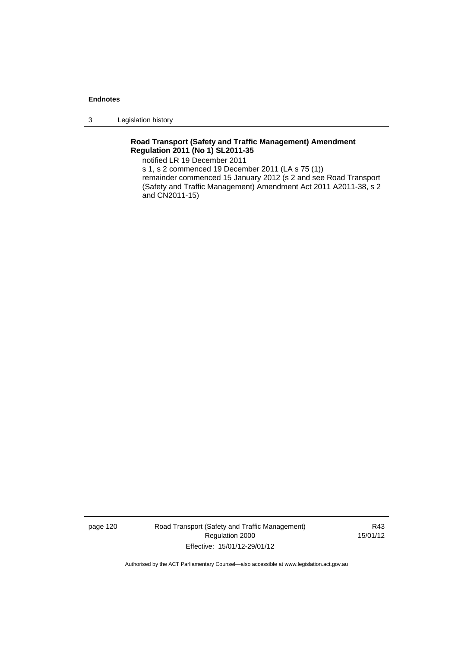3 Legislation history

# **Road Transport (Safety and Traffic Management) Amendment Regulation 2011 (No 1) SL2011-35**

notified LR 19 December 2011

s 1, s 2 commenced 19 December 2011 (LA s 75 (1)) remainder commenced 15 January 2012 (s 2 and see Road Transport (Safety and Traffic Management) Amendment Act 2011 A2011-38, s 2 and CN2011-15)

page 120 Road Transport (Safety and Traffic Management) Regulation 2000 Effective: 15/01/12-29/01/12

R43 15/01/12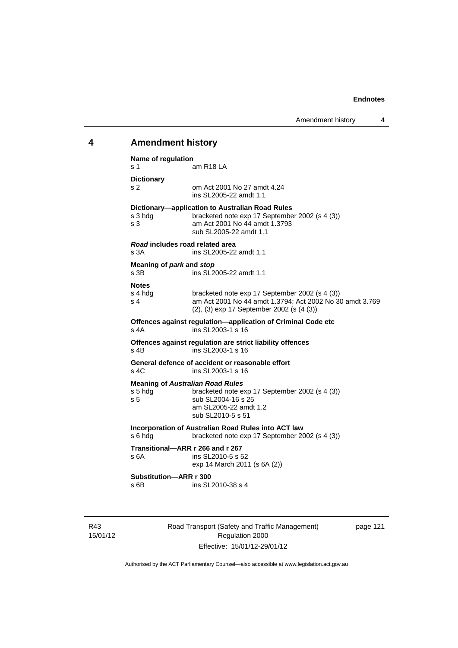# **4 Amendment history**

| Name of regulation<br>s 1                   | am R18 LA                                                                                                                                                     |
|---------------------------------------------|---------------------------------------------------------------------------------------------------------------------------------------------------------------|
| <b>Dictionary</b><br>s 2                    | om Act 2001 No 27 amdt 4.24<br>ins SL2005-22 amdt 1.1                                                                                                         |
| s 3 hdg<br>s <sub>3</sub>                   | Dictionary-application to Australian Road Rules<br>bracketed note exp 17 September 2002 (s 4 (3))<br>am Act 2001 No 44 amdt 1.3793<br>sub SL2005-22 amdt 1.1  |
| Road includes road related area<br>s 3A     | ins SL2005-22 amdt 1.1                                                                                                                                        |
| Meaning of park and stop<br>s <sub>3B</sub> | ins SL2005-22 amdt 1.1                                                                                                                                        |
| <b>Notes</b><br>s 4 hdg<br>s <sub>4</sub>   | bracketed note exp 17 September 2002 (s 4 (3))<br>am Act 2001 No 44 amdt 1.3794; Act 2002 No 30 amdt 3.769<br>(2), (3) exp 17 September 2002 (s (4 (3))       |
| $s$ 4A                                      | Offences against regulation-application of Criminal Code etc<br>ins SL2003-1 s 16                                                                             |
| $s$ 4B                                      | Offences against regulation are strict liability offences<br>ins SL2003-1 s 16                                                                                |
| $s$ 4 $C$                                   | General defence of accident or reasonable effort<br>ins SL2003-1 s 16                                                                                         |
| s 5 hdg<br>s <sub>5</sub>                   | <b>Meaning of Australian Road Rules</b><br>bracketed note exp 17 September 2002 (s 4 (3))<br>sub SL2004-16 s 25<br>am SL2005-22 amdt 1.2<br>sub SL2010-5 s 51 |
| s 6 hdg                                     | Incorporation of Australian Road Rules into ACT law<br>bracketed note exp 17 September 2002 (s 4 (3))                                                         |
| Transitional-ARR r 266 and r 267<br>s 6A    | ins SL2010-5 s 52<br>exp 14 March 2011 (s 6A (2))                                                                                                             |
| Substitution-ARR r 300<br>$s$ 6B            | ins SL2010-38 s 4                                                                                                                                             |

R43 15/01/12 Road Transport (Safety and Traffic Management) Regulation 2000 Effective: 15/01/12-29/01/12

page 121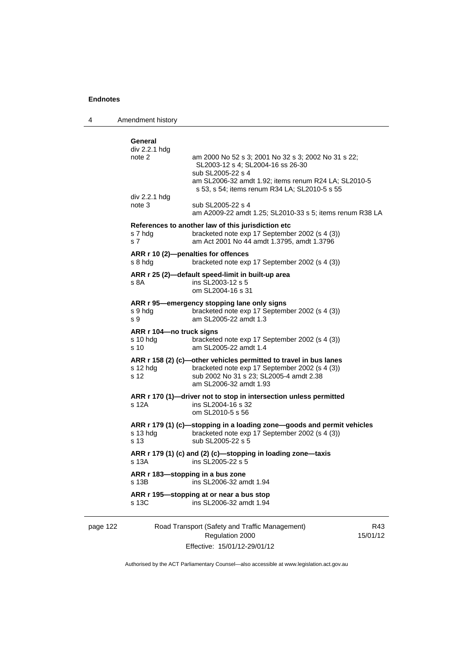4 Amendment history

| div 2.2.1 hdg<br>note 2                                 | am 2000 No 52 s 3; 2001 No 32 s 3; 2002 No 31 s 22;                                                                                                                                      |
|---------------------------------------------------------|------------------------------------------------------------------------------------------------------------------------------------------------------------------------------------------|
|                                                         | SL2003-12 s 4; SL2004-16 ss 26-30<br>sub SL2005-22 s 4<br>am SL2006-32 amdt 1.92; items renum R24 LA; SL2010-5                                                                           |
| div 2.2.1 hdg                                           | s 53, s 54; items renum R34 LA; SL2010-5 s 55                                                                                                                                            |
| note 3                                                  | sub SL2005-22 s 4<br>am A2009-22 amdt 1.25; SL2010-33 s 5; items renum R38 LA                                                                                                            |
| s 7 hdg<br>s <sub>7</sub>                               | References to another law of this jurisdiction etc<br>bracketed note exp 17 September 2002 (s 4 (3))<br>am Act 2001 No 44 amdt 1.3795, amdt 1.3796                                       |
| s 8 hdg                                                 | ARR r 10 (2)-penalties for offences<br>bracketed note exp 17 September 2002 (s 4 (3))                                                                                                    |
| s 8A                                                    | ARR r 25 (2)—default speed-limit in built-up area<br>ins SL2003-12 s 5<br>om SL2004-16 s 31                                                                                              |
| s 9 hda<br>s 9                                          | ARR r 95—emergency stopping lane only signs<br>bracketed note exp 17 September 2002 (s 4 (3))<br>am SL2005-22 amdt 1.3                                                                   |
| ARR r 104—no truck signs<br>s 10 hdg<br>s <sub>10</sub> | bracketed note exp 17 September 2002 (s 4 (3))<br>am SL2005-22 amdt 1.4                                                                                                                  |
| s 12 hda<br>s 12                                        | ARR r 158 (2) (c)-other vehicles permitted to travel in bus lanes<br>bracketed note exp 17 September 2002 (s 4 (3))<br>sub 2002 No 31 s 23; SL2005-4 amdt 2.38<br>am SL2006-32 amdt 1.93 |
| s 12A                                                   | ARR r 170 (1)-driver not to stop in intersection unless permitted<br>ins SL2004-16 s 32<br>om SL2010-5 s 56                                                                              |
| s 13 hdg<br>s 13                                        | ARR r 179 (1) (c)-stopping in a loading zone-goods and permit vehicles<br>bracketed note exp 17 September 2002 (s 4 (3))<br>sub SL2005-22 s 5                                            |
|                                                         | ARR r 179 (1) (c) and (2) (c)-stopping in loading zone-taxis<br>ins SL2005-22 s 5                                                                                                        |
| s 13A                                                   |                                                                                                                                                                                          |
| s 13B                                                   | ARR r 183-stopping in a bus zone<br>ins SL2006-32 amdt 1.94                                                                                                                              |

page 122 Road Transport (Safety and Traffic Management) Regulation 2000 Effective: 15/01/12-29/01/12

R43 15/01/12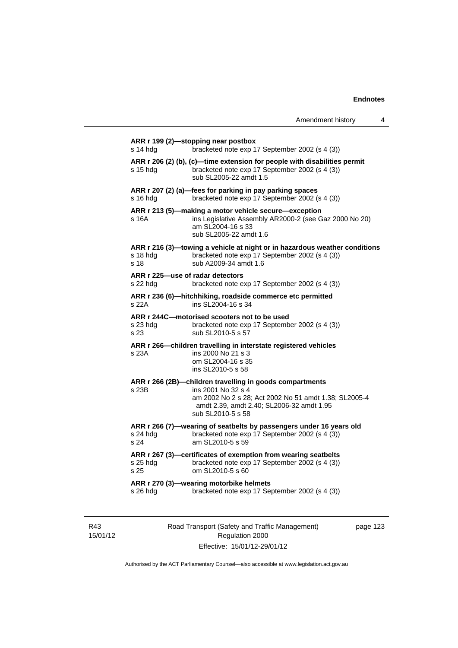| s 14 hdg         | bracketed note exp 17 September 2002 (s 4 (3))                                                                                                                                                            |
|------------------|-----------------------------------------------------------------------------------------------------------------------------------------------------------------------------------------------------------|
| s 15 hdg         | ARR r 206 (2) (b), (c)-time extension for people with disabilities permit<br>bracketed note exp 17 September 2002 (s 4 (3))<br>sub SL2005-22 amdt 1.5                                                     |
| s 16 hdg         | ARR r 207 (2) (a)-fees for parking in pay parking spaces<br>bracketed note exp 17 September 2002 (s 4 (3))                                                                                                |
| s 16A            | ARR r 213 (5)-making a motor vehicle secure-exception<br>ins Legislative Assembly AR2000-2 (see Gaz 2000 No 20)<br>am SL2004-16 s 33<br>sub SL2005-22 amdt 1.6                                            |
| s 18 hdg<br>s 18 | ARR r 216 (3)-towing a vehicle at night or in hazardous weather conditions<br>bracketed note exp 17 September 2002 (s 4 (3))<br>sub A2009-34 amdt 1.6                                                     |
| s 22 hdg         | ARR r 225-use of radar detectors<br>bracketed note exp 17 September 2002 (s 4 (3))                                                                                                                        |
| s 22A            | ARR r 236 (6)-hitchhiking, roadside commerce etc permitted<br>ins SL2004-16 s 34                                                                                                                          |
| s 23 hdg<br>s 23 | ARR r 244C-motorised scooters not to be used<br>bracketed note exp 17 September 2002 (s 4 (3))<br>sub SL2010-5 s 57                                                                                       |
| s 23A            | ARR r 266-children travelling in interstate registered vehicles<br>ins 2000 No 21 s 3<br>om SL2004-16 s 35<br>ins SL2010-5 s 58                                                                           |
| s 23B            | ARR r 266 (2B)-children travelling in goods compartments<br>ins 2001 No 32 s 4<br>am 2002 No 2 s 28; Act 2002 No 51 amdt 1.38; SL2005-4<br>amdt 2.39, amdt 2.40; SL2006-32 amdt 1.95<br>sub SL2010-5 s 58 |
| s 24 hdg<br>s 24 | ARR r 266 (7)-wearing of seatbelts by passengers under 16 years old<br>bracketed note exp 17 September 2002 (s 4 (3))<br>am SL2010-5 s 59                                                                 |
| s 25 hdg<br>s 25 | ARR r 267 (3)-certificates of exemption from wearing seatbelts<br>bracketed note exp 17 September 2002 (s 4 (3))<br>om SL2010-5 s 60                                                                      |
|                  | ARR r 270 (3)-wearing motorbike helmets                                                                                                                                                                   |

R43 15/01/12 Road Transport (Safety and Traffic Management) Regulation 2000 Effective: 15/01/12-29/01/12

page 123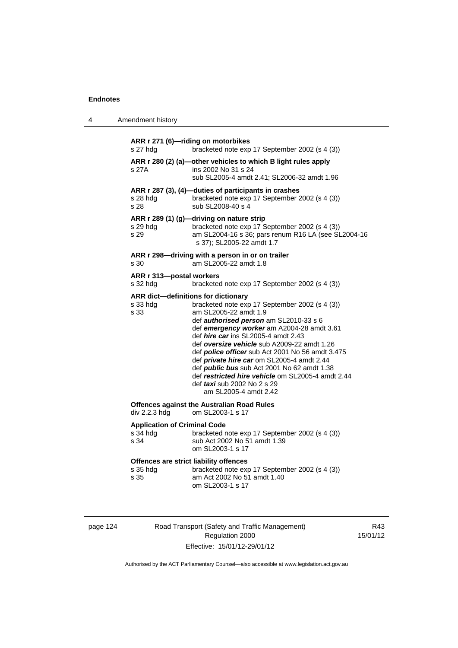4 Amendment history

| s 27 hdg                                                 | bracketed note exp 17 September 2002 (s 4 (3))                                                                                                                                                                                                                                                                                                                                                                                                                                                                                                                                         |
|----------------------------------------------------------|----------------------------------------------------------------------------------------------------------------------------------------------------------------------------------------------------------------------------------------------------------------------------------------------------------------------------------------------------------------------------------------------------------------------------------------------------------------------------------------------------------------------------------------------------------------------------------------|
| s 27A                                                    | ARR r 280 (2) (a)-other vehicles to which B light rules apply<br>ins 2002 No 31 s 24<br>sub SL2005-4 amdt 2.41; SL2006-32 amdt 1.96                                                                                                                                                                                                                                                                                                                                                                                                                                                    |
| s 28 hdg<br>s 28                                         | ARR r 287 (3), (4)-duties of participants in crashes<br>bracketed note exp 17 September 2002 (s 4 (3))<br>sub SL2008-40 s 4                                                                                                                                                                                                                                                                                                                                                                                                                                                            |
| s 29 hdg<br>s 29                                         | ARR r 289 (1) (g)-driving on nature strip<br>bracketed note exp 17 September 2002 (s 4 (3))<br>am SL2004-16 s 36; pars renum R16 LA (see SL2004-16<br>s 37); SL2005-22 amdt 1.7                                                                                                                                                                                                                                                                                                                                                                                                        |
| s 30                                                     | ARR r 298-driving with a person in or on trailer<br>am SL2005-22 amdt 1.8                                                                                                                                                                                                                                                                                                                                                                                                                                                                                                              |
| ARR r 313-postal workers<br>s 32 hdg                     | bracketed note exp 17 September 2002 (s 4 (3))                                                                                                                                                                                                                                                                                                                                                                                                                                                                                                                                         |
| s 33 hdg<br>s 33                                         | ARR dict-definitions for dictionary<br>bracketed note exp 17 September 2002 (s 4 (3))<br>am SL2005-22 amdt 1.9<br>def authorised person am SL2010-33 s 6<br>def emergency worker am A2004-28 amdt 3.61<br>def <i>hire car</i> ins SL2005-4 amdt 2.43<br>def oversize vehicle sub A2009-22 amdt 1.26<br>def <i>police officer</i> sub Act 2001 No 56 amdt 3.475<br>def private hire car om SL2005-4 amdt 2.44<br>def <i>public bus</i> sub Act 2001 No 62 amdt 1.38<br>def restricted hire vehicle om SL2005-4 amdt 2.44<br>def <i>taxi</i> sub 2002 No 2 s 29<br>am SL2005-4 amdt 2.42 |
| div 2.2.3 hdg                                            | <b>Offences against the Australian Road Rules</b><br>om SL2003-1 s 17                                                                                                                                                                                                                                                                                                                                                                                                                                                                                                                  |
| <b>Application of Criminal Code</b><br>$s34$ hdg<br>s 34 | bracketed note exp 17 September 2002 (s 4 (3))<br>sub Act 2002 No 51 amdt 1.39<br>om SL2003-1 s 17                                                                                                                                                                                                                                                                                                                                                                                                                                                                                     |
| $s35$ hdg<br>s 35                                        | Offences are strict liability offences<br>bracketed note exp 17 September 2002 (s 4 (3))<br>am Act 2002 No 51 amdt 1.40<br>om SL2003-1 s 17                                                                                                                                                                                                                                                                                                                                                                                                                                            |

| page 124 |  |
|----------|--|
|----------|--|

124 Road Transport (Safety and Traffic Management) Regulation 2000 Effective: 15/01/12-29/01/12

R43 15/01/12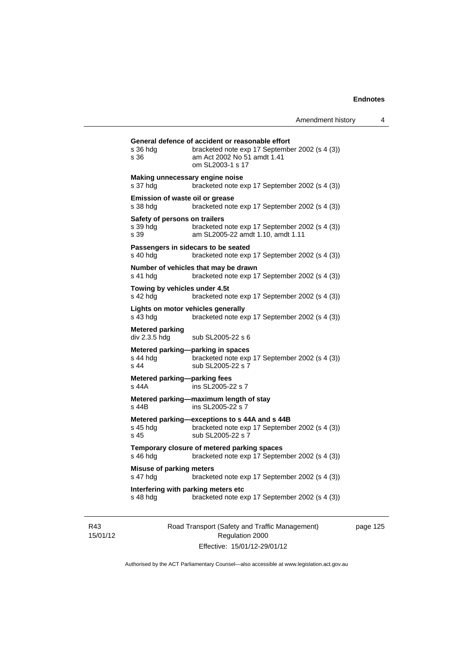| s 36 hda<br>s 36                                  | General defence of accident or reasonable effort<br>bracketed note exp 17 September 2002 (s 4 (3))<br>am Act 2002 No 51 amdt 1.41<br>om SL2003-1 s 17 |
|---------------------------------------------------|-------------------------------------------------------------------------------------------------------------------------------------------------------|
| Making unnecessary engine noise<br>s 37 hdg       | bracketed note exp 17 September 2002 (s 4 (3))                                                                                                        |
| Emission of waste oil or grease<br>s 38 hdg       | bracketed note exp 17 September 2002 (s 4 (3))                                                                                                        |
| Safety of persons on trailers<br>s 39 hda<br>s 39 | bracketed note exp 17 September 2002 (s 4 (3))<br>am SL2005-22 amdt 1.10, amdt 1.11                                                                   |
| s 40 hdg                                          | Passengers in sidecars to be seated<br>bracketed note exp 17 September 2002 (s 4 (3))                                                                 |
| s 41 hdg                                          | Number of vehicles that may be drawn<br>bracketed note exp 17 September 2002 (s 4 (3))                                                                |
| Towing by vehicles under 4.5t<br>s 42 hdg         | bracketed note exp 17 September 2002 (s 4 (3))                                                                                                        |
| Lights on motor vehicles generally<br>s 43 hda    | bracketed note exp 17 September 2002 (s 4 (3))                                                                                                        |
| <b>Metered parking</b><br>div 2.3.5 hdg           | sub SL2005-22 s 6                                                                                                                                     |
| s 44 hda<br>s <sub>44</sub>                       | Metered parking-parking in spaces<br>bracketed note exp 17 September 2002 (s 4 (3))<br>sub SL2005-22 s 7                                              |
| Metered parking-parking fees<br>s 44A             | ins SL2005-22 s 7                                                                                                                                     |
| s 44B                                             | Metered parking-maximum length of stay<br>ins SL2005-22 s 7                                                                                           |
| s 45 hdg<br>s <sub>45</sub>                       | Metered parking-exceptions to s 44A and s 44B<br>bracketed note exp 17 September 2002 (s 4 (3))<br>sub SL2005-22 s 7                                  |
| s 46 hdg                                          | Temporary closure of metered parking spaces<br>bracketed note exp 17 September 2002 (s 4 (3))                                                         |
| <b>Misuse of parking meters</b>                   | bracketed note exp 17 September 2002 (s 4 (3))                                                                                                        |
| s 47 hdg                                          |                                                                                                                                                       |

R43 15/01/12 Road Transport (Safety and Traffic Management) Regulation 2000 Effective: 15/01/12-29/01/12

page 125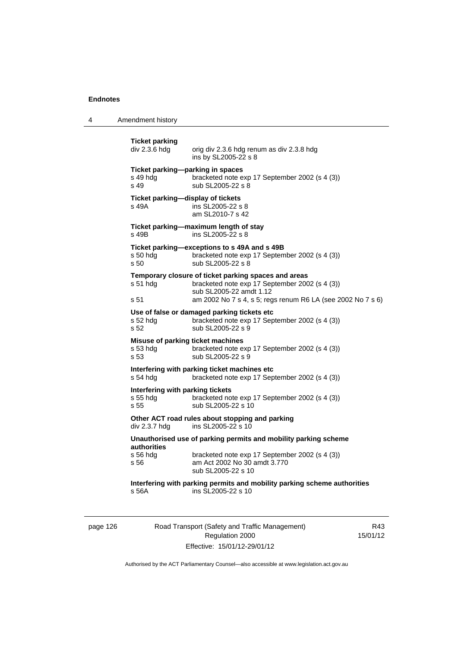4 Amendment history

| <b>Ticket parking</b><br>div 2.3.6 hdg                | orig div 2.3.6 hdg renum as div 2.3.8 hdg<br>ins by SL2005-22 s 8                                                                                                                                |
|-------------------------------------------------------|--------------------------------------------------------------------------------------------------------------------------------------------------------------------------------------------------|
| Ticket parking-parking in spaces<br>s 49 hdg<br>s 49  | bracketed note exp 17 September 2002 (s 4 (3))<br>sub SL2005-22 s 8                                                                                                                              |
| Ticket parking-display of tickets<br>s 49A            | ins SL2005-22 s 8<br>am SL2010-7 s 42                                                                                                                                                            |
| s 49B                                                 | Ticket parking-maximum length of stay<br>ins SL2005-22 s 8                                                                                                                                       |
| s 50 hdg<br>s 50                                      | Ticket parking-exceptions to s 49A and s 49B<br>bracketed note exp 17 September 2002 (s 4 (3))<br>sub SL2005-22 s 8                                                                              |
| $s51$ hdg<br>s 51                                     | Temporary closure of ticket parking spaces and areas<br>bracketed note exp 17 September 2002 (s 4 (3))<br>sub SL2005-22 amdt 1.12<br>am 2002 No 7 s 4, s 5; regs renum R6 LA (see 2002 No 7 s 6) |
| s 52 hdg<br>s 52                                      | Use of false or damaged parking tickets etc<br>bracketed note exp 17 September 2002 (s 4 (3))<br>sub SL2005-22 s 9                                                                               |
| Misuse of parking ticket machines<br>s 53 hdg<br>s 53 | bracketed note exp 17 September 2002 (s 4 (3))<br>sub SL2005-22 s 9                                                                                                                              |
| s 54 hdg                                              | Interfering with parking ticket machines etc<br>bracketed note exp 17 September 2002 (s 4 (3))                                                                                                   |
| Interfering with parking tickets<br>s 55 hdg<br>s 55  | bracketed note exp 17 September 2002 (s 4 (3))<br>sub SL2005-22 s 10                                                                                                                             |
| div 2.3.7 hdg                                         | Other ACT road rules about stopping and parking<br>ins SL2005-22 s 10                                                                                                                            |
| <b>authorities</b>                                    | Unauthorised use of parking permits and mobility parking scheme                                                                                                                                  |
| s 56 hdg<br>s 56                                      | bracketed note exp 17 September 2002 (s 4 (3))<br>am Act 2002 No 30 amdt 3.770<br>sub SL2005-22 s 10                                                                                             |
| s 56A                                                 | Interfering with parking permits and mobility parking scheme authorities<br>ins SL2005-22 s 10                                                                                                   |
|                                                       |                                                                                                                                                                                                  |

page 126 Road Transport (Safety and Traffic Management) Regulation 2000 Effective: 15/01/12-29/01/12

R43 15/01/12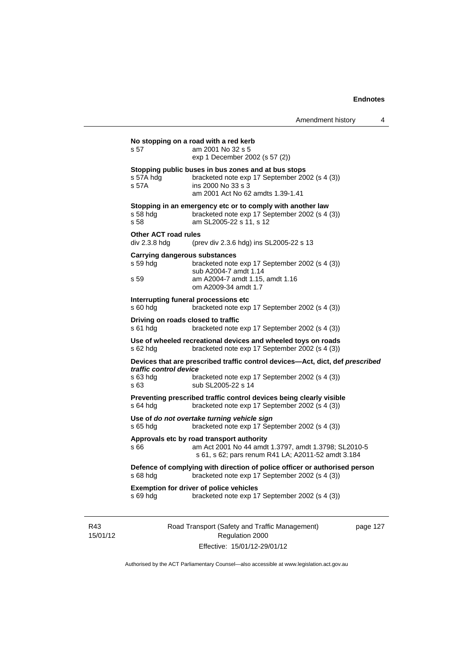# Road Transport (Safety and Traffic Management) **No stopping on a road with a red kerb**  s 57 am 2001 No 32 s 5 exp 1 December 2002 (s 57 (2)) **Stopping public buses in bus zones and at bus stops**  s 57A hdg bracketed note exp 17 September 2002 (s 4 (3)) s 57A ins 2000 No 33 s 3 am 2001 Act No 62 amdts 1.39-1.41 **Stopping in an emergency etc or to comply with another law**  s 58 hdg bracketed note exp 17 September 2002 (s 4 (3)) s 58 am SL2005-22 s 11, s 12 **Other ACT road rules**  div 2.3.8 hdg (prev div 2.3.6 hdg) ins SL2005-22 s 13 **Carrying dangerous substances**  s 59 hdg bracketed note exp 17 September 2002 (s 4 (3)) sub A2004-7 amdt 1.14 s 59 am A2004-7 amdt 1.15, amdt 1.16 om A2009-34 amdt 1.7 **Interrupting funeral processions etc**  s 60 hdg bracketed note exp 17 September 2002 (s 4 (3)) **Driving on roads closed to traffic**  s 61 hdg bracketed note exp 17 September 2002 (s 4 (3)) **Use of wheeled recreational devices and wheeled toys on roads**  s 62 hdg bracketed note exp 17 September 2002 (s 4 (3)) **Devices that are prescribed traffic control devices—Act, dict, def** *prescribed traffic control device* s 63 hdg bracketed note exp 17 September 2002 (s 4 (3))<br>s 63 sub SL2005-22 s 14 sub SL2005-22 s 14 **Preventing prescribed traffic control devices being clearly visible**  s 64 hdg bracketed note exp 17 September 2002 (s 4 (3)) **Use of** *do not overtake turning vehicle sign*  s 65 hdg bracketed note exp 17 September 2002 (s 4 (3)) **Approvals etc by road transport authority**  s 66 am Act 2001 No 44 amdt 1.3797, amdt 1.3798; SL2010-5 s 61, s 62; pars renum R41 LA; A2011-52 amdt 3.184 **Defence of complying with direction of police officer or authorised person**  s 68 hdg bracketed note exp 17 September 2002 (s 4 (3)) **Exemption for driver of police vehicles**  s 69 hdg bracketed note exp 17 September 2002 (s 4 (3))

R43 15/01/12

Regulation 2000 Effective: 15/01/12-29/01/12 page 127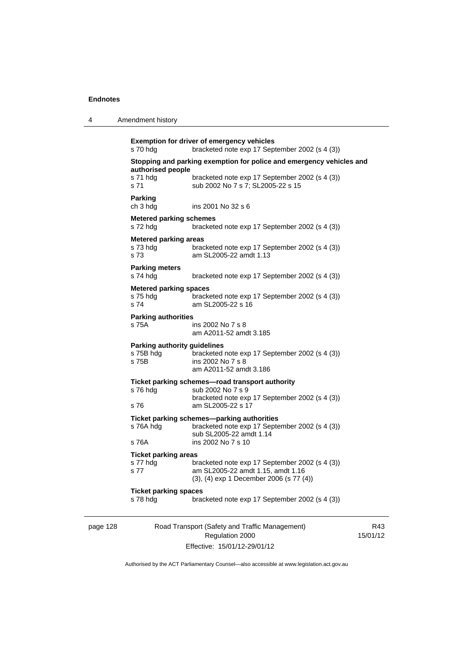4 Amendment history

|                              | s 70 hdg                                                                                  | <b>Exemption for driver of emergency vehicles</b><br>bracketed note exp 17 September 2002 (s 4 (3))                                           |            |  |
|------------------------------|-------------------------------------------------------------------------------------------|-----------------------------------------------------------------------------------------------------------------------------------------------|------------|--|
|                              | Stopping and parking exemption for police and emergency vehicles and<br>authorised people |                                                                                                                                               |            |  |
|                              | s 71 hdg<br>s 71                                                                          | bracketed note exp 17 September 2002 (s 4 (3))<br>sub 2002 No 7 s 7; SL2005-22 s 15                                                           |            |  |
|                              | <b>Parking</b><br>ch 3 hdg                                                                | ins 2001 No 32 s 6                                                                                                                            |            |  |
|                              | <b>Metered parking schemes</b><br>s 72 hdg                                                | bracketed note exp 17 September 2002 (s 4 (3))                                                                                                |            |  |
| <b>Metered parking areas</b> |                                                                                           |                                                                                                                                               |            |  |
|                              | s 73 hdg<br>s 73                                                                          | bracketed note exp 17 September 2002 (s 4 (3))<br>am SL2005-22 amdt 1.13                                                                      |            |  |
|                              | <b>Parking meters</b><br>s 74 hdg                                                         | bracketed note exp 17 September 2002 (s 4 (3))                                                                                                |            |  |
|                              | <b>Metered parking spaces</b><br>s 75 hdg<br>s 74                                         | bracketed note exp 17 September 2002 (s 4 (3))<br>am SL2005-22 s 16                                                                           |            |  |
|                              | <b>Parking authorities</b><br>s 75A                                                       | ins 2002 No 7 s 8<br>am A2011-52 amdt 3.185                                                                                                   |            |  |
|                              | <b>Parking authority guidelines</b><br>s 75B hdg<br>s 75B                                 | bracketed note exp 17 September 2002 (s 4 (3))<br>ins 2002 No 7 s 8<br>am A2011-52 amdt 3.186                                                 |            |  |
|                              | s 76 hdg<br>s 76                                                                          | Ticket parking schemes—road transport authority<br>sub 2002 No 7 s 9<br>bracketed note exp 17 September 2002 (s 4 (3))<br>am SL2005-22 s 17   |            |  |
|                              | s 76A hdg<br>s 76A                                                                        | Ticket parking schemes-parking authorities<br>bracketed note exp 17 September 2002 (s 4 (3))<br>sub SL2005-22 amdt 1.14<br>ins 2002 No 7 s 10 |            |  |
|                              |                                                                                           |                                                                                                                                               |            |  |
|                              | <b>Ticket parking areas</b><br>s 77 hdg<br>s 77                                           | bracketed note exp 17 September 2002 (s 4 (3))<br>am SL2005-22 amdt 1.15, amdt 1.16<br>(3), (4) exp 1 December 2006 (s 77 (4))                |            |  |
|                              | <b>Ticket parking spaces</b><br>s 78 hdg                                                  | bracketed note exp 17 September 2002 (s 4 (3))                                                                                                |            |  |
| page 128                     |                                                                                           | Road Transport (Safety and Traffic Management)<br>Regulation 2000                                                                             | F<br>15/01 |  |

Effective: 15/01/12-29/01/12

R43  $1/12$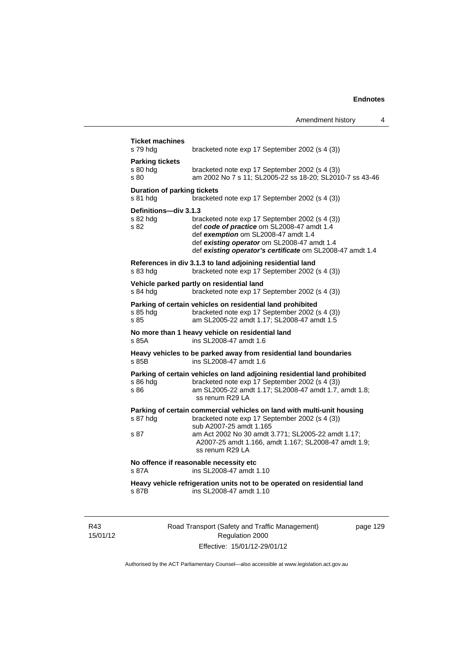| s 79 hdg                                       | bracketed note exp 17 September 2002 (s 4 (3))                                                                                                                                                                                                  |
|------------------------------------------------|-------------------------------------------------------------------------------------------------------------------------------------------------------------------------------------------------------------------------------------------------|
| <b>Parking tickets</b><br>s 80 hdg<br>s 80     | bracketed note exp 17 September 2002 (s 4 (3))<br>am 2002 No 7 s 11; SL2005-22 ss 18-20; SL2010-7 ss 43-46                                                                                                                                      |
| <b>Duration of parking tickets</b><br>s 81 hda | bracketed note exp 17 September 2002 (s 4 (3))                                                                                                                                                                                                  |
| Definitions-div 3.1.3<br>s 82 hdg<br>s 82      | bracketed note exp 17 September 2002 (s 4 (3))<br>def code of practice om SL2008-47 amdt 1.4<br>def exemption om SL2008-47 amdt 1.4<br>def existing operator om SL2008-47 amdt 1.4<br>def existing operator's certificate om SL2008-47 amdt 1.4 |
| s 83 hdg                                       | References in div 3.1.3 to land adjoining residential land<br>bracketed note exp 17 September 2002 (s 4 (3))                                                                                                                                    |
| s 84 hdg                                       | Vehicle parked partly on residential land<br>bracketed note exp 17 September 2002 (s 4 (3))                                                                                                                                                     |
| s 85 hda<br>s 85                               | Parking of certain vehicles on residential land prohibited<br>bracketed note exp 17 September 2002 (s 4 (3))<br>am SL2005-22 amdt 1.17; SL2008-47 amdt 1.5                                                                                      |
| s 85A                                          | No more than 1 heavy vehicle on residential land<br>ins SL2008-47 amdt 1.6                                                                                                                                                                      |
| s 85B                                          | Heavy vehicles to be parked away from residential land boundaries<br>ins SL2008-47 amdt 1.6                                                                                                                                                     |
| s 86 hdg<br>s 86                               | Parking of certain vehicles on land adjoining residential land prohibited<br>bracketed note exp 17 September 2002 (s 4 (3))<br>am SL2005-22 amdt 1.17; SL2008-47 amdt 1.7, amdt 1.8;<br>ss renum R29 LA                                         |
| s 87 hdg                                       | Parking of certain commercial vehicles on land with multi-unit housing<br>bracketed note exp 17 September 2002 (s 4 (3))<br>sub A2007-25 amdt 1.165                                                                                             |
| s 87                                           | am Act 2002 No 30 amdt 3.771; SL2005-22 amdt 1.17;<br>A2007-25 amdt 1.166, amdt 1.167; SL2008-47 amdt 1.9;<br>ss renum R29 LA                                                                                                                   |
| s 87A                                          | No offence if reasonable necessity etc<br>ins SL2008-47 amdt 1.10                                                                                                                                                                               |
| s 87B                                          | Heavy vehicle refrigeration units not to be operated on residential land<br>ins SL2008-47 amdt 1.10                                                                                                                                             |

R43 15/01/12 Road Transport (Safety and Traffic Management) Regulation 2000 Effective: 15/01/12-29/01/12

page 129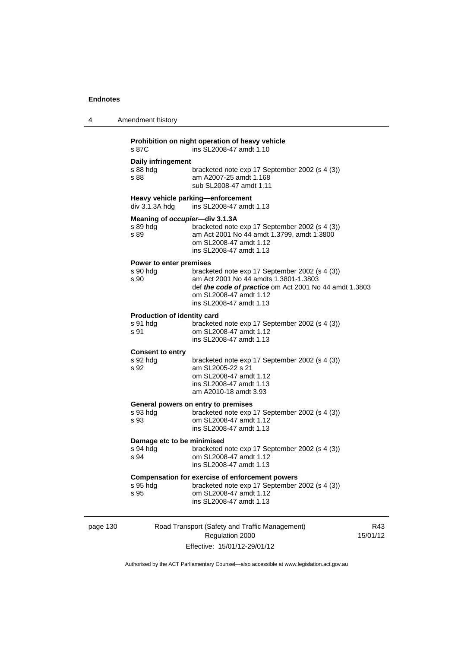| 4 | Amendment history                                                                                                                                                                                                                                     |  |
|---|-------------------------------------------------------------------------------------------------------------------------------------------------------------------------------------------------------------------------------------------------------|--|
|   | Prohibition on night operation of heavy vehicle<br>ins SL2008-47 amdt 1.10<br>s 87C                                                                                                                                                                   |  |
|   | Daily infringement<br>s 88 hdg<br>bracketed note exp 17 September 2002 (s 4 (3))<br>am A2007-25 amdt 1.168<br>s 88<br>sub SL2008-47 amdt 1.11                                                                                                         |  |
|   | Heavy vehicle parking-enforcement<br>div 3.1.3A hdg<br>ins SL2008-47 amdt 1.13                                                                                                                                                                        |  |
|   | Meaning of occupier-div 3.1.3A<br>s 89 hda<br>bracketed note exp 17 September 2002 (s 4 (3))<br>am Act 2001 No 44 amdt 1.3799, amdt 1.3800<br>s 89<br>om SL2008-47 amdt 1.12<br>ins SL2008-47 amdt 1.13                                               |  |
|   | Power to enter premises<br>s 90 hdg<br>bracketed note exp 17 September 2002 (s 4 (3))<br>am Act 2001 No 44 amdts 1.3801-1.3803<br>s 90<br>def the code of practice om Act 2001 No 44 amdt 1.3803<br>om SL2008-47 amdt 1.12<br>ins SL2008-47 amdt 1.13 |  |
|   | Production of identity card<br>bracketed note exp 17 September 2002 (s 4 (3))<br>s 91 hdg<br>s 91<br>om SL2008-47 amdt 1.12<br>ins SL2008-47 amdt 1.13                                                                                                |  |
|   | <b>Consent to entry</b><br>s 92 hdg<br>bracketed note exp 17 September 2002 (s 4 (3))<br>s 92<br>am SL2005-22 s 21<br>om SL2008-47 amdt 1.12<br>ins SL2008-47 amdt 1.13<br>am A2010-18 amdt 3.93                                                      |  |
|   | General powers on entry to premises<br>bracketed note exp 17 September 2002 (s 4 (3))<br>s 93 hdg<br>om SL2008-47 amdt 1.12<br>s 93<br>ins SL2008-47 amdt 1.13                                                                                        |  |
|   | Damage etc to be minimised<br>s 94 hdg<br>bracketed note exp 17 September 2002 (s 4 (3))<br>s 94<br>om SL2008-47 amdt 1.12<br>ins SL2008-47 amdt 1.13                                                                                                 |  |
|   | <b>Compensation for exercise of enforcement powers</b><br>bracketed note exp 17 September 2002 (s 4 (3))<br>s 95 hdg<br>om SL2008-47 amdt 1.12<br>s 95<br>ins SL2008-47 amdt 1.13                                                                     |  |
|   |                                                                                                                                                                                                                                                       |  |

page 130 Road Transport (Safety and Traffic Management) Regulation 2000 Effective: 15/01/12-29/01/12

R43 15/01/12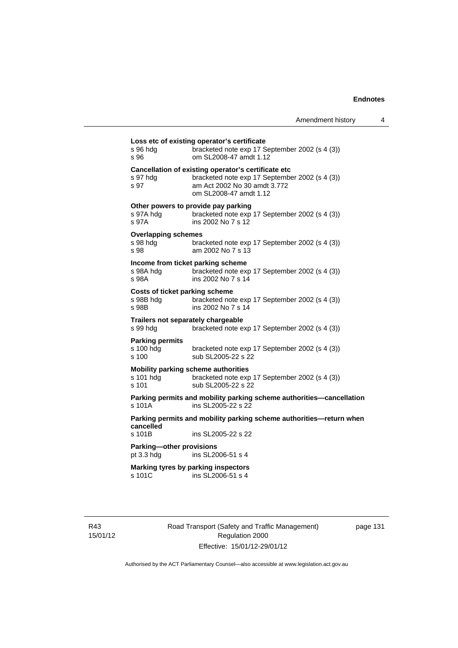| s 96 hdg<br>s 96                               | bracketed note exp 17 September 2002 (s 4 (3))<br>om SL2008-47 amdt 1.12                                                                                        |
|------------------------------------------------|-----------------------------------------------------------------------------------------------------------------------------------------------------------------|
| s 97 hda<br>s 97                               | Cancellation of existing operator's certificate etc<br>bracketed note exp 17 September 2002 (s 4 (3))<br>am Act 2002 No 30 amdt 3.772<br>om SL2008-47 amdt 1.12 |
| s 97A hdg<br>s 97A                             | Other powers to provide pay parking<br>bracketed note exp 17 September 2002 (s 4 (3))<br>ins 2002 No 7 s 12                                                     |
| <b>Overlapping schemes</b><br>s 98 hda<br>s 98 | bracketed note exp 17 September 2002 (s 4 (3))<br>am 2002 No 7 s 13                                                                                             |
| s 98A hdg<br>s 98A                             | Income from ticket parking scheme<br>bracketed note exp 17 September 2002 (s 4 (3))<br>ins 2002 No 7 s 14                                                       |
| s 98B hdg<br>s 98B                             | Costs of ticket parking scheme<br>bracketed note exp 17 September 2002 (s 4 (3))<br>ins 2002 No 7 s 14                                                          |
| s 99 hdg                                       | Trailers not separately chargeable<br>bracketed note exp 17 September 2002 (s 4 (3))                                                                            |
| <b>Parking permits</b><br>s 100 hdg<br>s 100   | bracketed note exp 17 September 2002 (s 4 (3))<br>sub SL2005-22 s 22                                                                                            |
| s 101 hdg<br>s 101                             | <b>Mobility parking scheme authorities</b><br>bracketed note exp 17 September 2002 (s 4 (3))<br>sub SL2005-22 s 22                                              |
| s 101A                                         | Parking permits and mobility parking scheme authorities-cancellation<br>ins SL2005-22 s 22                                                                      |
| cancelled                                      | Parking permits and mobility parking scheme authorities-return when                                                                                             |
| s 101B                                         | ins SL2005-22 s 22                                                                                                                                              |
| Parking-other provisions<br>pt 3.3 hdg         | ins SL2006-51 s 4                                                                                                                                               |
| s 101C                                         | Marking tyres by parking inspectors<br>ins SL2006-51 s 4                                                                                                        |

R43 15/01/12 Road Transport (Safety and Traffic Management) Regulation 2000 Effective: 15/01/12-29/01/12

page 131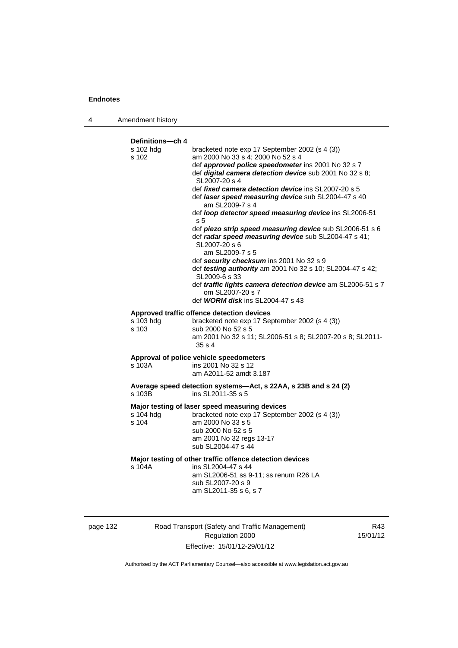4 Amendment history

**Definitions—ch 4**  s 102 hdg bracketed note exp 17 September 2002 (s 4 (3)) s 102 am 2000 No 33 s 4; 2000 No 52 s 4 def *approved police speedometer* ins 2001 No 32 s 7 def *digital camera detection device* sub 2001 No 32 s 8; SL2007-20 s 4 def *fixed camera detection device* ins SL2007-20 s 5 def *laser speed measuring device* sub SL2004-47 s 40 am SL2009-7 s 4 def *loop detector speed measuring device* ins SL2006-51 s 5 def *piezo strip speed measuring device* sub SL2006-51 s 6 def *radar speed measuring device* sub SL2004-47 s 41; SL2007-20 s 6 am SL2009-7 s 5 def *security checksum* ins 2001 No 32 s 9 def *testing authority* am 2001 No 32 s 10; SL2004-47 s 42; SL2009-6 s 33 def *traffic lights camera detection device* am SL2006-51 s 7 om SL2007-20 s 7 def *WORM disk* ins SL2004-47 s 43 **Approved traffic offence detection devices**  s 103 hdg bracketed note exp 17 September 2002 (s 4 (3)) s 103 sub 2000 No 52 s 5 am 2001 No 32 s 11; SL2006-51 s 8; SL2007-20 s 8; SL2011- 35 s 4 **Approval of police vehicle speedometers**  ins 2001 No 32 s 12 am A2011-52 amdt 3.187 **Average speed detection systems—Act, s 22AA, s 23B and s 24 (2)**  s 103B ins SL2011-35 s 5 **Major testing of laser speed measuring devices**  s 104 hdg bracketed note exp 17 September 2002 (s 4 (3)) s 104 am 2000 No 33 s 5 sub 2000 No 52 s 5 am 2001 No 32 regs 13-17 sub SL2004-47 s 44 **Major testing of other traffic offence detection devices**  s 104A ins SL2004-47 s 44 am SL2006-51 ss 9-11; ss renum R26 LA sub SL2007-20 s 9 am SL2011-35 s 6, s 7

page 132 Road Transport (Safety and Traffic Management) Regulation 2000 Effective: 15/01/12-29/01/12

R43 15/01/12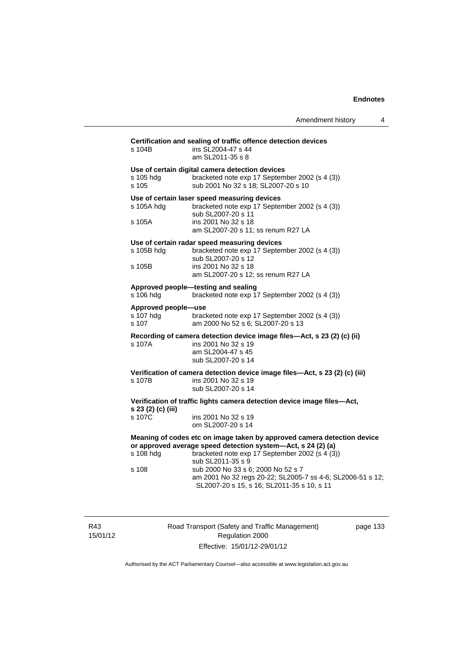| Amendment history |  |
|-------------------|--|
|                   |  |

| s 104B                                    | Certification and sealing of traffic offence detection devices<br>ins SL2004-47 s 44<br>am SL2011-35 s 8                                                                                                                                                                                                                                                         |
|-------------------------------------------|------------------------------------------------------------------------------------------------------------------------------------------------------------------------------------------------------------------------------------------------------------------------------------------------------------------------------------------------------------------|
| s 105 hdg<br>s 105                        | Use of certain digital camera detection devices<br>bracketed note exp 17 September 2002 (s 4 (3))<br>sub 2001 No 32 s 18; SL2007-20 s 10                                                                                                                                                                                                                         |
| s 105A hdq<br>s 105A                      | Use of certain laser speed measuring devices<br>bracketed note exp 17 September 2002 (s 4 (3))<br>sub SL2007-20 s 11<br>ins 2001 No 32 s 18<br>am SL2007-20 s 11; ss renum R27 LA                                                                                                                                                                                |
| s 105B hdg<br>s 105B                      | Use of certain radar speed measuring devices<br>bracketed note exp 17 September 2002 (s 4 (3))<br>sub SL2007-20 s 12<br>ins 2001 No 32 s 18<br>am SL2007-20 s 12; ss renum R27 LA                                                                                                                                                                                |
| s 106 hdg                                 | Approved people-testing and sealing<br>bracketed note exp 17 September 2002 (s 4 (3))                                                                                                                                                                                                                                                                            |
| Approved people-use<br>s 107 hda<br>s.107 | bracketed note exp 17 September 2002 (s 4 (3))<br>am 2000 No 52 s 6; SL2007-20 s 13                                                                                                                                                                                                                                                                              |
| s 107A                                    | Recording of camera detection device image files—Act, s 23 (2) (c) (ii)<br>ins 2001 No 32 s 19<br>am SL2004-47 s 45<br>sub SL2007-20 s 14                                                                                                                                                                                                                        |
| s 107B                                    | Verification of camera detection device image files—Act, s 23 (2) (c) (iii)<br>ins 2001 No 32 s 19<br>sub SL2007-20 s 14                                                                                                                                                                                                                                         |
| s 23 (2) (c) (iii)<br>s 107C              | Verification of traffic lights camera detection device image files—Act,<br>ins 2001 No 32 s 19<br>om SL2007-20 s 14                                                                                                                                                                                                                                              |
| s 108 hdg<br>s 108                        | Meaning of codes etc on image taken by approved camera detection device<br>or approved average speed detection system-Act, s 24 (2) (a)<br>bracketed note exp 17 September 2002 (s 4 (3))<br>sub SL2011-35 s 9<br>sub 2000 No 33 s 6; 2000 No 52 s 7<br>am 2001 No 32 regs 20-22; SL2005-7 ss 4-6; SL2006-51 s 12;<br>SL2007-20 s 15, s 16; SL2011-35 s 10, s 11 |

R43 15/01/12 Road Transport (Safety and Traffic Management) Regulation 2000 Effective: 15/01/12-29/01/12

page 133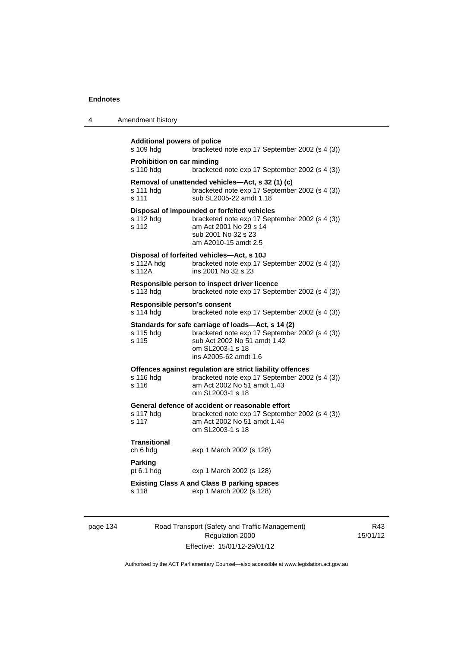| 4 | Amendment history |  |
|---|-------------------|--|
|---|-------------------|--|

```
Additional powers of police 
s 109 hdg bracketed note exp 17 September 2002 (s 4 (3)) 
Prohibition on car minding 
s 110 hdg bracketed note exp 17 September 2002 (s 4 (3)) 
Removal of unattended vehicles—Act, s 32 (1) (c) 
s 111 hdg bracketed note exp 17 September 2002 (s 4 (3)) 
s 111 sub SL2005-22 amdt 1.18 
Disposal of impounded or forfeited vehicles 
                 bracketed note exp 17 September 2002 (s 4 (3))
s 112 am Act 2001 No 29 s 14 
                   sub 2001 No 32 s 23 
                  am A2010-15 amdt 2.5
Disposal of forfeited vehicles—Act, s 10J 
s 112A hdg bracketed note exp 17 September 2002 (s 4 (3))
s 112A ins 2001 No 32 s 23 
Responsible person to inspect driver licence 
s 113 hdg bracketed note exp 17 September 2002 (s 4 (3)) 
Responsible person's consent 
s 114 hdg bracketed note exp 17 September 2002 (s 4 (3))
Standards for safe carriage of loads—Act, s 14 (2) 
                  bracketed note exp 17 September 2002 (s 4 (3))
s 115 sub Act 2002 No 51 amdt 1.42 
                  om SL2003-1 s 18 
                  ins A2005-62 amdt 1.6 
Offences against regulation are strict liability offences 
s 116 hdg bracketed note exp 17 September 2002 (s 4 (3))<br>s 116 am Act 2002 No 51 amdt 1.43
                  am Act 2002 No 51 amdt 1.43
                  om SL2003-1 s 18 
General defence of accident or reasonable effort 
                 bracketed note exp 17 September 2002 (s 4 (3))
s 117 am Act 2002 No 51 amdt 1.44 
                   om SL2003-1 s 18 
Transitional 
ch 6 hdg exp 1 March 2002 (s 128) 
Parking 
pt 6.1 hdg exp 1 March 2002 (s 128) 
Existing Class A and Class B parking spaces 
s 118 exp 1 March 2002 (s 128)
```

| page 134 |  |
|----------|--|
|----------|--|

134 Road Transport (Safety and Traffic Management) Regulation 2000 Effective: 15/01/12-29/01/12

R43 15/01/12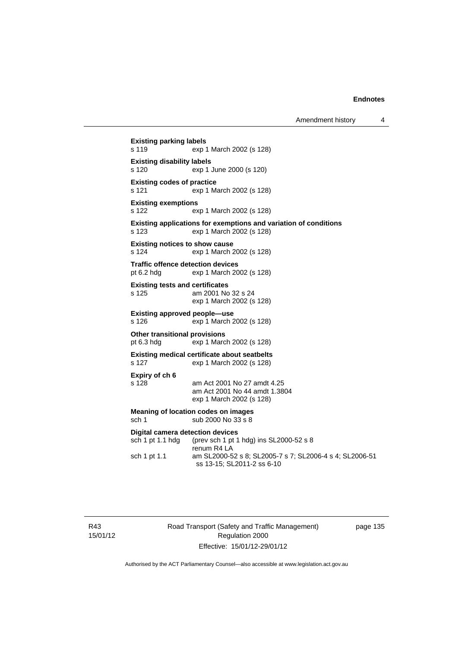**Existing parking labels**  s 119 exp 1 March 2002 (s 128) **Existing disability labels**  s 120 exp 1 June 2000 (s 120) **Existing codes of practice**  s 121 exp 1 March 2002 (s 128) **Existing exemptions**  s 122 exp 1 March 2002 (s 128) **Existing applications for exemptions and variation of conditions**  s 123 exp 1 March 2002 (s 128) **Existing notices to show cause**  s 124 exp 1 March 2002 (s 128) **Traffic offence detection devices**  pt 6.2 hdg exp 1 March 2002 (s 128) **Existing tests and certificates**  s 125 am 2001 No 32 s 24 exp 1 March 2002 (s 128) **Existing approved people—use**  s 126 exp 1 March 2002 (s 128) **Other transitional provisions**  pt 6.3 hdg exp 1 March 2002 (s 128) **Existing medical certificate about seatbelts**  s 127 exp 1 March 2002 (s 128) **Expiry of ch 6**  am Act 2001 No 27 amdt 4.25 am Act 2001 No 44 amdt 1.3804 exp 1 March 2002 (s 128) **Meaning of location codes on images**  sch 1 sub 2000 No 33 s 8 **Digital camera detection devices**  sch 1 pt 1.1 hdg (prev sch 1 pt 1 hdg) ins SL2000-52 s 8 renum R4 LA sch 1 pt 1.1 am SL2000-52 s 8; SL2005-7 s 7; SL2006-4 s 4; SL2006-51 ss 13-15; SL2011-2 ss 6-10

R43 15/01/12 Road Transport (Safety and Traffic Management) Regulation 2000 Effective: 15/01/12-29/01/12

page 135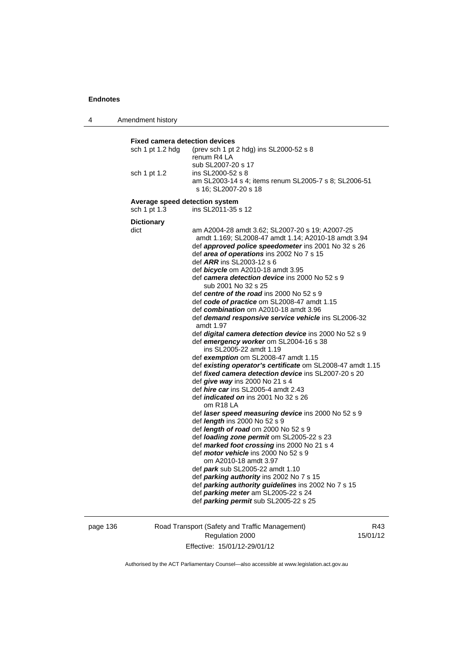4 Amendment history

**Fixed camera detection devices**  sch 1 pt 1.2 hdg (prev sch 1 pt 2 hdg) ins SL2000-52 s 8 renum R4 LA sub SL2007-20 s 17 sch 1 pt 1.2 ins SL2000-52 s 8 am SL2003-14 s 4; items renum SL2005-7 s 8; SL2006-51 s 16; SL2007-20 s 18 **Average speed detection system**  sch 1 pt 1.3 ins SL2011-35 s 12 **Dictionary**  dict am A2004-28 amdt 3.62; SL2007-20 s 19; A2007-25 amdt 1.169; SL2008-47 amdt 1.14; A2010-18 amdt 3.94 def *approved police speedometer* ins 2001 No 32 s 26 def *area of operations* ins 2002 No 7 s 15 def *ARR* ins SL2003-12 s 6 def *bicycle* om A2010-18 amdt 3.95 def *camera detection device* ins 2000 No 52 s 9 sub 2001 No 32 s 25 def *centre of the road* ins 2000 No 52 s 9 def *code of practice* om SL2008-47 amdt 1.15 def *combination* om A2010-18 amdt 3.96 def *demand responsive service vehicle* ins SL2006-32 amdt 1.97 def *digital camera detection device* ins 2000 No 52 s 9 def *emergency worker* om SL2004-16 s 38 ins SL2005-22 amdt 1.19 def *exemption* om SL2008-47 amdt 1.15 def *existing operator's certificate* om SL2008-47 amdt 1.15 def *fixed camera detection device* ins SL2007-20 s 20 def *give way* ins 2000 No 21 s 4 def *hire car* ins SL2005-4 amdt 2.43 def *indicated on* ins 2001 No 32 s 26 om R18 LA def *laser speed measuring device* ins 2000 No 52 s 9 def *length* ins 2000 No 52 s 9 def *length of road* om 2000 No 52 s 9 def *loading zone permit* om SL2005-22 s 23 def *marked foot crossing* ins 2000 No 21 s 4 def *motor vehicle* ins 2000 No 52 s 9 om A2010-18 amdt 3.97 def *park* sub SL2005-22 amdt 1.10 def *parking authority* ins 2002 No 7 s 15 def *parking authority guidelines* ins 2002 No 7 s 15 def *parking meter* am SL2005-22 s 24 def *parking permit* sub SL2005-22 s 25

page 136 Road Transport (Safety and Traffic Management) Regulation 2000 Effective: 15/01/12-29/01/12

R43 15/01/12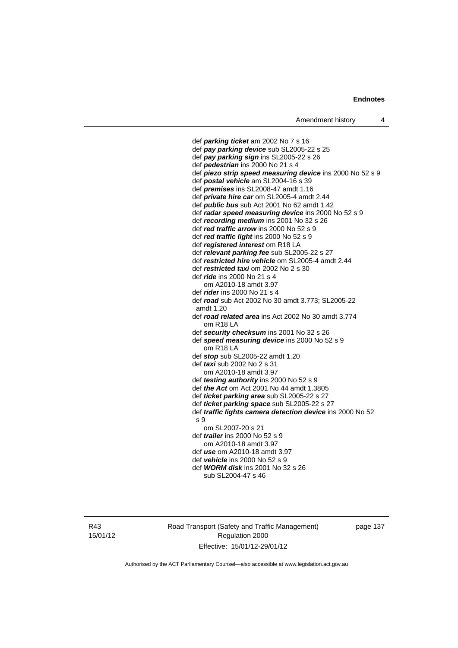def *parking ticket* am 2002 No 7 s 16 def *pay parking device* sub SL2005-22 s 25 def *pay parking sign* ins SL2005-22 s 26 def *pedestrian* ins 2000 No 21 s 4 def *piezo strip speed measuring device* ins 2000 No 52 s 9 def *postal vehicle* am SL2004-16 s 39 def *premises* ins SL2008-47 amdt 1.16 def *private hire car* om SL2005-4 amdt 2.44 def *public bus* sub Act 2001 No 62 amdt 1.42 def *radar speed measuring device* ins 2000 No 52 s 9 def *recording medium* ins 2001 No 32 s 26 def *red traffic arrow* ins 2000 No 52 s 9 def *red traffic light* ins 2000 No 52 s 9 def *registered interest* om R18 LA def *relevant parking fee* sub SL2005-22 s 27 def *restricted hire vehicle* om SL2005-4 amdt 2.44 def *restricted taxi* om 2002 No 2 s 30 def *ride* ins 2000 No 21 s 4 om A2010-18 amdt 3.97 def *rider* ins 2000 No 21 s 4 def *road* sub Act 2002 No 30 amdt 3.773; SL2005-22 amdt 1.20 def *road related area* ins Act 2002 No 30 amdt 3.774 om R18 LA def *security checksum* ins 2001 No 32 s 26 def *speed measuring device* ins 2000 No 52 s 9 om R18 LA def *stop* sub SL2005-22 amdt 1.20 def *taxi* sub 2002 No 2 s 31 om A2010-18 amdt 3.97 def *testing authority* ins 2000 No 52 s 9 def *the Act* om Act 2001 No 44 amdt 1.3805 def *ticket parking area* sub SL2005-22 s 27 def *ticket parking space* sub SL2005-22 s 27 def *traffic lights camera detection device* ins 2000 No 52 s 9 om SL2007-20 s 21 def *trailer* ins 2000 No 52 s 9 om A2010-18 amdt 3.97 def *use* om A2010-18 amdt 3.97 def *vehicle* ins 2000 No 52 s 9 def *WORM disk* ins 2001 No 32 s 26 sub SL2004-47 s 46

R43 15/01/12 Road Transport (Safety and Traffic Management) Regulation 2000 Effective: 15/01/12-29/01/12

page 137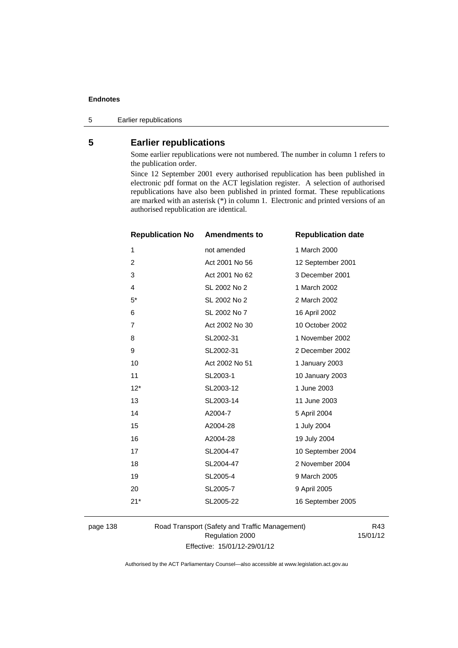5 Earlier republications

# **5 Earlier republications**

Some earlier republications were not numbered. The number in column 1 refers to the publication order.

Since 12 September 2001 every authorised republication has been published in electronic pdf format on the ACT legislation register. A selection of authorised republications have also been published in printed format. These republications are marked with an asterisk (\*) in column 1. Electronic and printed versions of an authorised republication are identical.

| <b>Republication No</b> | <b>Amendments to</b> | <b>Republication date</b> |
|-------------------------|----------------------|---------------------------|
| 1                       | not amended          | 1 March 2000              |
| 2                       | Act 2001 No 56       | 12 September 2001         |
| 3                       | Act 2001 No 62       | 3 December 2001           |
| 4                       | SL 2002 No 2         | 1 March 2002              |
| $5^*$                   | SL 2002 No 2         | 2 March 2002              |
| 6                       | SL 2002 No 7         | 16 April 2002             |
| $\overline{7}$          | Act 2002 No 30       | 10 October 2002           |
| 8                       | SL2002-31            | 1 November 2002           |
| 9                       | SL2002-31            | 2 December 2002           |
| 10                      | Act 2002 No 51       | 1 January 2003            |
| 11                      | SL2003-1             | 10 January 2003           |
| $12*$                   | SL2003-12            | 1 June 2003               |
| 13                      | SL2003-14            | 11 June 2003              |
| 14                      | A2004-7              | 5 April 2004              |
| 15                      | A2004-28             | 1 July 2004               |
| 16                      | A2004-28             | 19 July 2004              |
| 17                      | SL2004-47            | 10 September 2004         |
| 18                      | SL2004-47            | 2 November 2004           |
| 19                      | SL2005-4             | 9 March 2005              |
| 20                      | SL2005-7             | 9 April 2005              |
| $21*$                   | SL2005-22            | 16 September 2005         |
|                         |                      |                           |

page 138 Road Transport (Safety and Traffic Management) Regulation 2000 Effective: 15/01/12-29/01/12

R43 15/01/12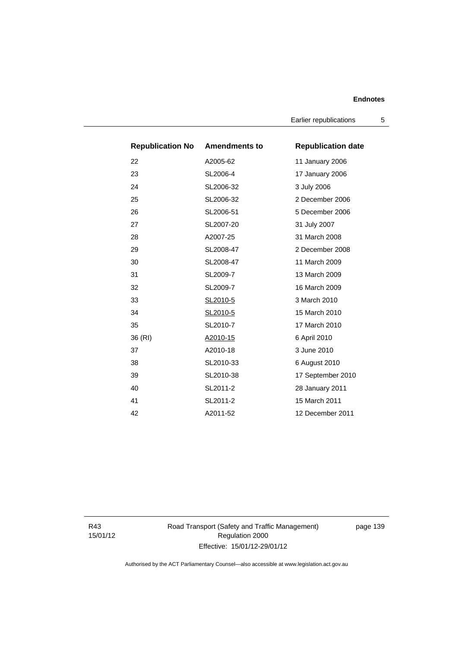Earlier republications 5

| <b>Republication No Amendments to</b> |           | <b>Republication date</b> |
|---------------------------------------|-----------|---------------------------|
| 22                                    | A2005-62  | 11 January 2006           |
| 23                                    | SL2006-4  | 17 January 2006           |
| 24                                    | SL2006-32 | 3 July 2006               |
| 25                                    | SL2006-32 | 2 December 2006           |
| 26                                    | SL2006-51 | 5 December 2006           |
| 27                                    | SL2007-20 | 31 July 2007              |
| 28                                    | A2007-25  | 31 March 2008             |
| 29                                    | SL2008-47 | 2 December 2008           |
| 30                                    | SL2008-47 | 11 March 2009             |
| 31                                    | SL2009-7  | 13 March 2009             |
| 32                                    | SL2009-7  | 16 March 2009             |
| 33                                    | SL2010-5  | 3 March 2010              |
| 34                                    | SL2010-5  | 15 March 2010             |
| 35                                    | SL2010-7  | 17 March 2010             |
| 36 (RI)                               | A2010-15  | 6 April 2010              |
| 37                                    | A2010-18  | 3 June 2010               |
| 38                                    | SL2010-33 | 6 August 2010             |
| 39                                    | SL2010-38 | 17 September 2010         |
| 40                                    | SL2011-2  | 28 January 2011           |
| 41                                    | SL2011-2  | 15 March 2011             |
| 42                                    | A2011-52  | 12 December 2011          |

R43 15/01/12 Road Transport (Safety and Traffic Management) Regulation 2000 Effective: 15/01/12-29/01/12

page 139